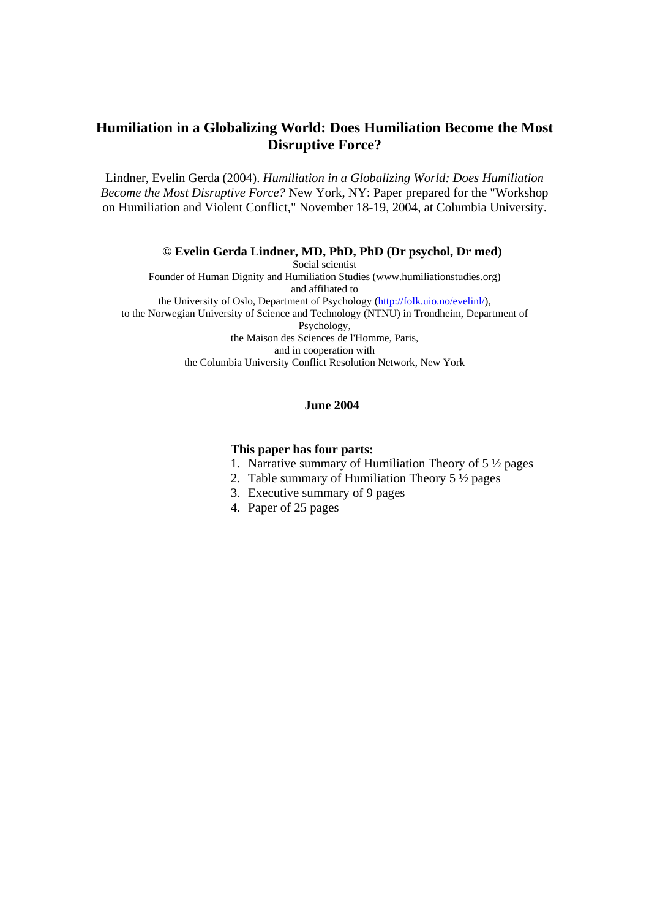# **Humiliation in a Globalizing World: Does Humiliation Become the Most Disruptive Force?**

Lindner, Evelin Gerda (2004). *Humiliation in a Globalizing World: Does Humiliation Become the Most Disruptive Force?* New York, NY: Paper prepared for the "Workshop on Humiliation and Violent Conflict," November 18-19, 2004, at Columbia University.

**© Evelin Gerda Lindner, MD, PhD, PhD (Dr psychol, Dr med)**  Social scientist Founder of Human Dignity and Humiliation Studies (www.humiliationstudies.org) and affiliated to the University of Oslo, Department of Psychology (http://folk.uio.no/evelinl/), to the Norwegian University of Science and Technology (NTNU) in Trondheim, Department of Psychology, the Maison des Sciences de l'Homme, Paris, and in cooperation with the Columbia University Conflict Resolution Network, New York

## **June 2004**

### **This paper has four parts:**

- 1. Narrative summary of Humiliation Theory of 5 ½ pages
- 2. Table summary of Humiliation Theory 5 ½ pages
- 3. Executive summary of 9 pages
- 4. Paper of 25 pages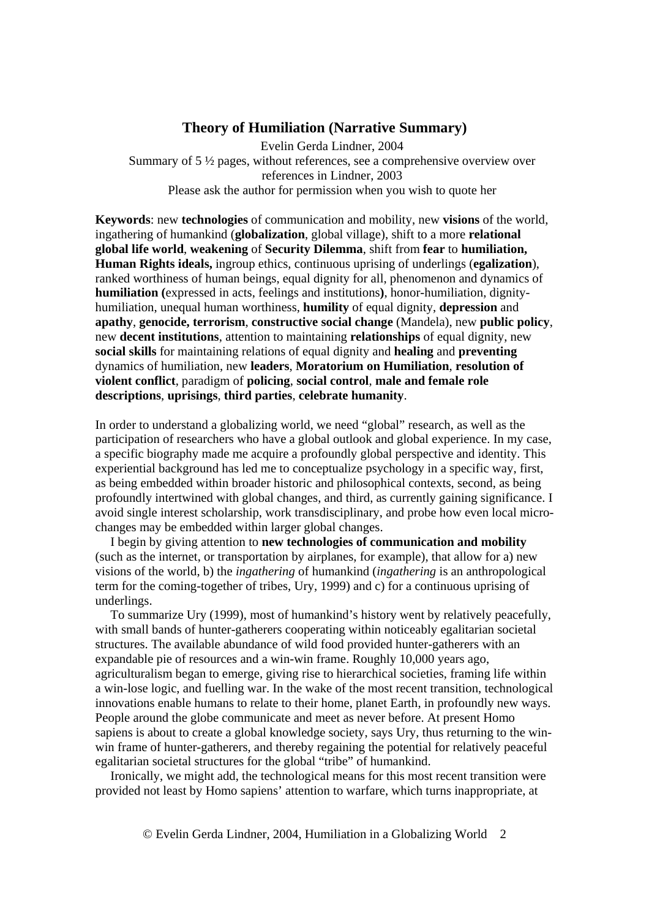# **Theory of Humiliation (Narrative Summary)**

Evelin Gerda Lindner, 2004 Summary of 5 ½ pages, without references, see a comprehensive overview over references in Lindner, 2003 Please ask the author for permission when you wish to quote her

**Keywords**: new **technologies** of communication and mobility, new **visions** of the world, ingathering of humankind (**globalization**, global village), shift to a more **relational global life world**, **weakening** of **Security Dilemma**, shift from **fear** to **humiliation, Human Rights ideals,** ingroup ethics, continuous uprising of underlings (**egalization**), ranked worthiness of human beings, equal dignity for all, phenomenon and dynamics of **humiliation (**expressed in acts, feelings and institutions**)**, honor-humiliation, dignityhumiliation, unequal human worthiness, **humility** of equal dignity, **depression** and **apathy**, **genocide, terrorism**, **constructive social change** (Mandela), new **public policy**, new **decent institutions**, attention to maintaining **relationships** of equal dignity, new **social skills** for maintaining relations of equal dignity and **healing** and **preventing** dynamics of humiliation, new **leaders**, **Moratorium on Humiliation**, **resolution of violent conflict**, paradigm of **policing**, **social control**, **male and female role descriptions**, **uprisings**, **third parties**, **celebrate humanity**.

In order to understand a globalizing world, we need "global" research, as well as the participation of researchers who have a global outlook and global experience. In my case, a specific biography made me acquire a profoundly global perspective and identity. This experiential background has led me to conceptualize psychology in a specific way, first, as being embedded within broader historic and philosophical contexts, second, as being profoundly intertwined with global changes, and third, as currently gaining significance. I avoid single interest scholarship, work transdisciplinary, and probe how even local microchanges may be embedded within larger global changes.

I begin by giving attention to **new technologies of communication and mobility** (such as the internet, or transportation by airplanes, for example), that allow for a) new visions of the world, b) the *ingathering* of humankind (*ingathering* is an anthropological term for the coming-together of tribes, Ury, 1999) and c) for a continuous uprising of underlings.

To summarize Ury (1999), most of humankind's history went by relatively peacefully, with small bands of hunter-gatherers cooperating within noticeably egalitarian societal structures. The available abundance of wild food provided hunter-gatherers with an expandable pie of resources and a win-win frame. Roughly 10,000 years ago, agriculturalism began to emerge, giving rise to hierarchical societies, framing life within a win-lose logic, and fuelling war. In the wake of the most recent transition, technological innovations enable humans to relate to their home, planet Earth, in profoundly new ways. People around the globe communicate and meet as never before. At present Homo sapiens is about to create a global knowledge society, says Ury, thus returning to the winwin frame of hunter-gatherers, and thereby regaining the potential for relatively peaceful egalitarian societal structures for the global "tribe" of humankind.

Ironically, we might add, the technological means for this most recent transition were provided not least by Homo sapiens' attention to warfare, which turns inappropriate, at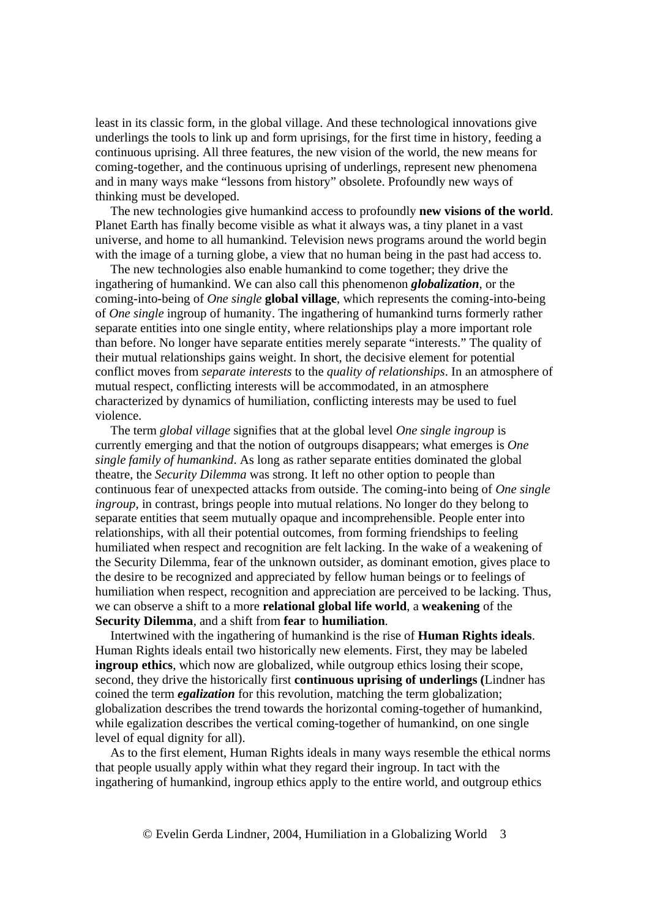least in its classic form, in the global village. And these technological innovations give underlings the tools to link up and form uprisings, for the first time in history, feeding a continuous uprising. All three features, the new vision of the world, the new means for coming-together, and the continuous uprising of underlings, represent new phenomena and in many ways make "lessons from history" obsolete. Profoundly new ways of thinking must be developed.

The new technologies give humankind access to profoundly **new visions of the world**. Planet Earth has finally become visible as what it always was, a tiny planet in a vast universe, and home to all humankind. Television news programs around the world begin with the image of a turning globe, a view that no human being in the past had access to.

The new technologies also enable humankind to come together; they drive the ingathering of humankind. We can also call this phenomenon *globalization*, or the coming-into-being of *One single* **global village**, which represents the coming-into-being of *One single* ingroup of humanity. The ingathering of humankind turns formerly rather separate entities into one single entity, where relationships play a more important role than before. No longer have separate entities merely separate "interests." The quality of their mutual relationships gains weight. In short, the decisive element for potential conflict moves from *separate interests* to the *quality of relationships*. In an atmosphere of mutual respect, conflicting interests will be accommodated, in an atmosphere characterized by dynamics of humiliation, conflicting interests may be used to fuel violence.

The term *global village* signifies that at the global level *One single ingroup* is currently emerging and that the notion of outgroups disappears; what emerges is *One single family of humankind*. As long as rather separate entities dominated the global theatre, the *Security Dilemma* was strong. It left no other option to people than continuous fear of unexpected attacks from outside. The coming-into being of *One single ingroup*, in contrast, brings people into mutual relations. No longer do they belong to separate entities that seem mutually opaque and incomprehensible. People enter into relationships, with all their potential outcomes, from forming friendships to feeling humiliated when respect and recognition are felt lacking. In the wake of a weakening of the Security Dilemma, fear of the unknown outsider, as dominant emotion, gives place to the desire to be recognized and appreciated by fellow human beings or to feelings of humiliation when respect, recognition and appreciation are perceived to be lacking. Thus, we can observe a shift to a more **relational global life world**, a **weakening** of the **Security Dilemma**, and a shift from **fear** to **humiliation**.

Intertwined with the ingathering of humankind is the rise of **Human Rights ideals**. Human Rights ideals entail two historically new elements. First, they may be labeled **ingroup ethics**, which now are globalized, while outgroup ethics losing their scope, second, they drive the historically first **continuous uprising of underlings (**Lindner has coined the term *egalization* for this revolution, matching the term globalization; globalization describes the trend towards the horizontal coming-together of humankind, while egalization describes the vertical coming-together of humankind, on one single level of equal dignity for all).

As to the first element, Human Rights ideals in many ways resemble the ethical norms that people usually apply within what they regard their ingroup. In tact with the ingathering of humankind, ingroup ethics apply to the entire world, and outgroup ethics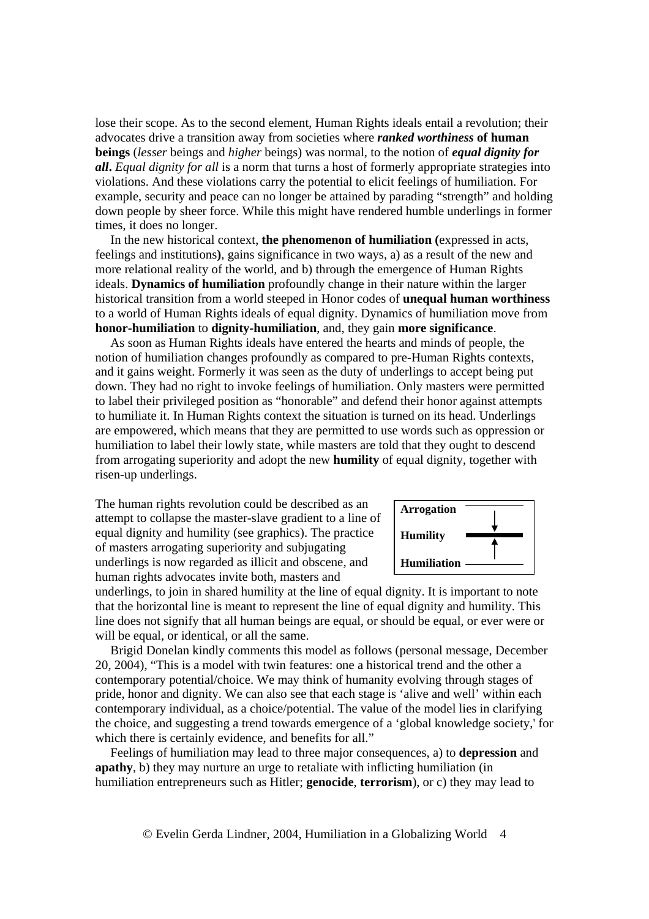lose their scope. As to the second element, Human Rights ideals entail a revolution; their advocates drive a transition away from societies where *ranked worthiness* **of human beings** (*lesser* beings and *higher* beings) was normal, to the notion of *equal dignity for all***.** *Equal dignity for all* is a norm that turns a host of formerly appropriate strategies into violations. And these violations carry the potential to elicit feelings of humiliation. For example, security and peace can no longer be attained by parading "strength" and holding down people by sheer force. While this might have rendered humble underlings in former times, it does no longer.

In the new historical context, **the phenomenon of humiliation (**expressed in acts, feelings and institutions**)**, gains significance in two ways, a) as a result of the new and more relational reality of the world, and b) through the emergence of Human Rights ideals. **Dynamics of humiliation** profoundly change in their nature within the larger historical transition from a world steeped in Honor codes of **unequal human worthiness** to a world of Human Rights ideals of equal dignity. Dynamics of humiliation move from **honor-humiliation** to **dignity-humiliation**, and, they gain **more significance**.

As soon as Human Rights ideals have entered the hearts and minds of people, the notion of humiliation changes profoundly as compared to pre-Human Rights contexts, and it gains weight. Formerly it was seen as the duty of underlings to accept being put down. They had no right to invoke feelings of humiliation. Only masters were permitted to label their privileged position as "honorable" and defend their honor against attempts to humiliate it. In Human Rights context the situation is turned on its head. Underlings are empowered, which means that they are permitted to use words such as oppression or humiliation to label their lowly state, while masters are told that they ought to descend from arrogating superiority and adopt the new **humility** of equal dignity, together with risen-up underlings.

The human rights revolution could be described as an attempt to collapse the master-slave gradient to a line of equal dignity and humility (see graphics). The practice of masters arrogating superiority and subjugating underlings is now regarded as illicit and obscene, and human rights advocates invite both, masters and



underlings, to join in shared humility at the line of equal dignity. It is important to note that the horizontal line is meant to represent the line of equal dignity and humility. This line does not signify that all human beings are equal, or should be equal, or ever were or will be equal, or identical, or all the same.

Brigid Donelan kindly comments this model as follows (personal message, December 20, 2004), "This is a model with twin features: one a historical trend and the other a contemporary potential/choice. We may think of humanity evolving through stages of pride, honor and dignity. We can also see that each stage is 'alive and well' within each contemporary individual, as a choice/potential. The value of the model lies in clarifying the choice, and suggesting a trend towards emergence of a 'global knowledge society,' for which there is certainly evidence, and benefits for all."

Feelings of humiliation may lead to three major consequences, a) to **depression** and **apathy**, b) they may nurture an urge to retaliate with inflicting humiliation (in humiliation entrepreneurs such as Hitler; **genocide**, **terrorism**), or c) they may lead to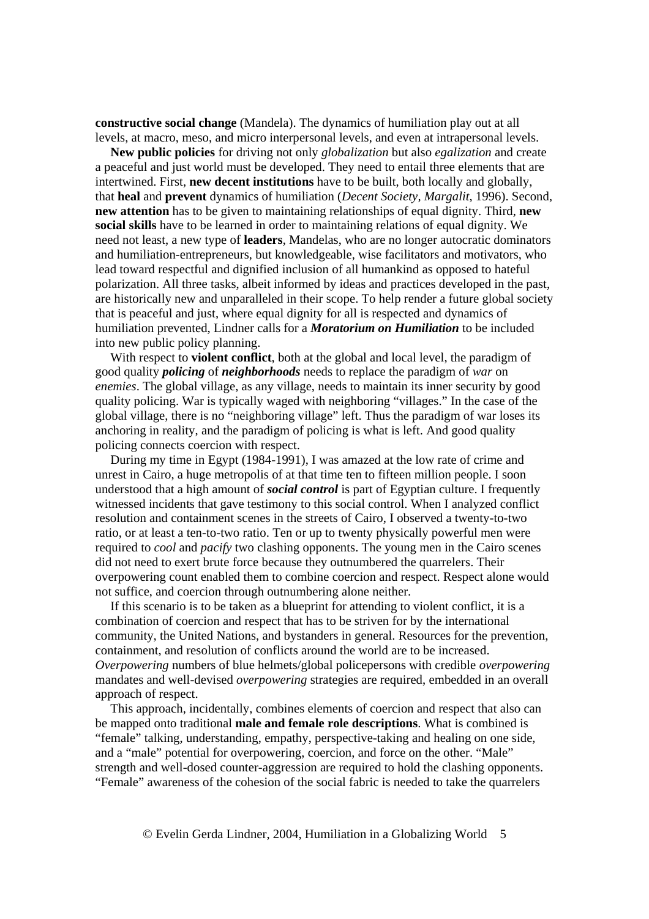**constructive social change** (Mandela). The dynamics of humiliation play out at all levels, at macro, meso, and micro interpersonal levels, and even at intrapersonal levels.

**New public policies** for driving not only *globalization* but also *egalization* and create a peaceful and just world must be developed. They need to entail three elements that are intertwined. First, **new decent institutions** have to be built, both locally and globally, that **heal** and **prevent** dynamics of humiliation (*Decent Society, Margalit*, 1996). Second, **new attention** has to be given to maintaining relationships of equal dignity. Third, **new social skills** have to be learned in order to maintaining relations of equal dignity. We need not least, a new type of **leaders**, Mandelas, who are no longer autocratic dominators and humiliation-entrepreneurs, but knowledgeable, wise facilitators and motivators, who lead toward respectful and dignified inclusion of all humankind as opposed to hateful polarization. All three tasks, albeit informed by ideas and practices developed in the past, are historically new and unparalleled in their scope. To help render a future global society that is peaceful and just, where equal dignity for all is respected and dynamics of humiliation prevented, Lindner calls for a *Moratorium on Humiliation* to be included into new public policy planning.

With respect to **violent conflict**, both at the global and local level, the paradigm of good quality *policing* of *neighborhoods* needs to replace the paradigm of *war* on *enemies*. The global village, as any village, needs to maintain its inner security by good quality policing. War is typically waged with neighboring "villages." In the case of the global village, there is no "neighboring village" left. Thus the paradigm of war loses its anchoring in reality, and the paradigm of policing is what is left. And good quality policing connects coercion with respect.

During my time in Egypt (1984-1991), I was amazed at the low rate of crime and unrest in Cairo, a huge metropolis of at that time ten to fifteen million people. I soon understood that a high amount of *social control* is part of Egyptian culture. I frequently witnessed incidents that gave testimony to this social control. When I analyzed conflict resolution and containment scenes in the streets of Cairo, I observed a twenty-to-two ratio, or at least a ten-to-two ratio. Ten or up to twenty physically powerful men were required to *cool* and *pacify* two clashing opponents. The young men in the Cairo scenes did not need to exert brute force because they outnumbered the quarrelers. Their overpowering count enabled them to combine coercion and respect. Respect alone would not suffice, and coercion through outnumbering alone neither.

If this scenario is to be taken as a blueprint for attending to violent conflict, it is a combination of coercion and respect that has to be striven for by the international community, the United Nations, and bystanders in general. Resources for the prevention, containment, and resolution of conflicts around the world are to be increased. *Overpowering* numbers of blue helmets/global policepersons with credible *overpowering* mandates and well-devised *overpowering* strategies are required, embedded in an overall approach of respect.

This approach, incidentally, combines elements of coercion and respect that also can be mapped onto traditional **male and female role descriptions**. What is combined is "female" talking, understanding, empathy, perspective-taking and healing on one side, and a "male" potential for overpowering, coercion, and force on the other. "Male" strength and well-dosed counter-aggression are required to hold the clashing opponents. "Female" awareness of the cohesion of the social fabric is needed to take the quarrelers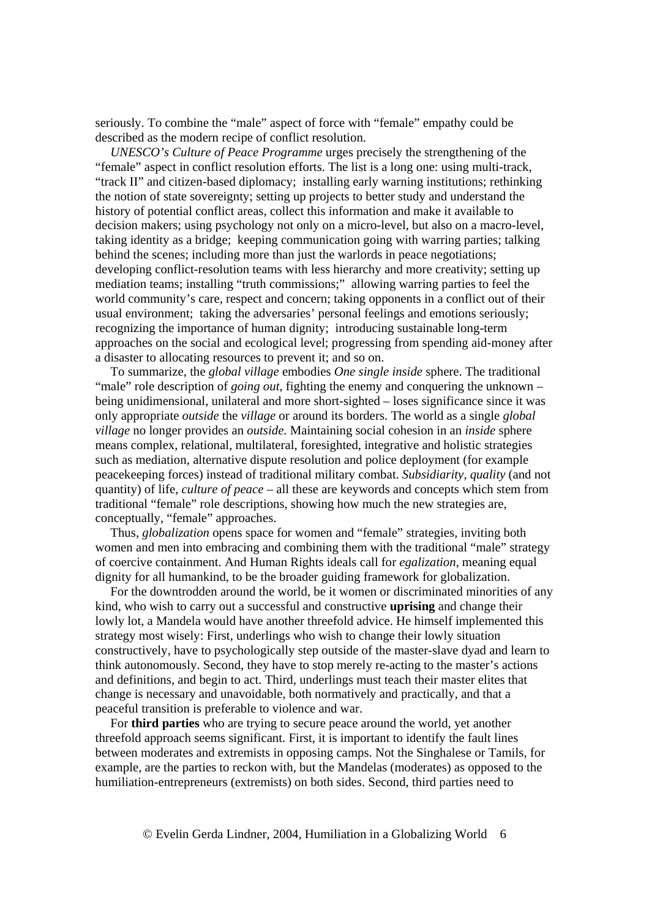seriously. To combine the "male" aspect of force with "female" empathy could be described as the modern recipe of conflict resolution.

*UNESCO's Culture of Peace Programme* urges precisely the strengthening of the "female" aspect in conflict resolution efforts. The list is a long one: using multi-track, "track II" and citizen-based diplomacy; installing early warning institutions; rethinking the notion of state sovereignty; setting up projects to better study and understand the history of potential conflict areas, collect this information and make it available to decision makers; using psychology not only on a micro-level, but also on a macro-level, taking identity as a bridge; keeping communication going with warring parties; talking behind the scenes; including more than just the warlords in peace negotiations; developing conflict-resolution teams with less hierarchy and more creativity; setting up mediation teams; installing "truth commissions;" allowing warring parties to feel the world community's care, respect and concern; taking opponents in a conflict out of their usual environment; taking the adversaries' personal feelings and emotions seriously; recognizing the importance of human dignity; introducing sustainable long-term approaches on the social and ecological level; progressing from spending aid-money after a disaster to allocating resources to prevent it; and so on.

To summarize, the *global village* embodies *One single inside* sphere. The traditional "male" role description of *going out*, fighting the enemy and conquering the unknown – being unidimensional, unilateral and more short-sighted – loses significance since it was only appropriate *outside* the *village* or around its borders. The world as a single *global village* no longer provides an *outside*. Maintaining social cohesion in an *inside* sphere means complex, relational, multilateral, foresighted, integrative and holistic strategies such as mediation, alternative dispute resolution and police deployment (for example peacekeeping forces) instead of traditional military combat. *Subsidiarity*, *quality* (and not quantity) of life, *culture of peace* – all these are keywords and concepts which stem from traditional "female" role descriptions, showing how much the new strategies are, conceptually, "female" approaches.

Thus, *globalization* opens space for women and "female" strategies, inviting both women and men into embracing and combining them with the traditional "male" strategy of coercive containment. And Human Rights ideals call for *egalization*, meaning equal dignity for all humankind, to be the broader guiding framework for globalization.

For the downtrodden around the world, be it women or discriminated minorities of any kind, who wish to carry out a successful and constructive **uprising** and change their lowly lot, a Mandela would have another threefold advice. He himself implemented this strategy most wisely: First, underlings who wish to change their lowly situation constructively, have to psychologically step outside of the master-slave dyad and learn to think autonomously. Second, they have to stop merely re-acting to the master's actions and definitions, and begin to act. Third, underlings must teach their master elites that change is necessary and unavoidable, both normatively and practically, and that a peaceful transition is preferable to violence and war.

For **third parties** who are trying to secure peace around the world, yet another threefold approach seems significant. First, it is important to identify the fault lines between moderates and extremists in opposing camps. Not the Singhalese or Tamils, for example, are the parties to reckon with, but the Mandelas (moderates) as opposed to the humiliation-entrepreneurs (extremists) on both sides. Second, third parties need to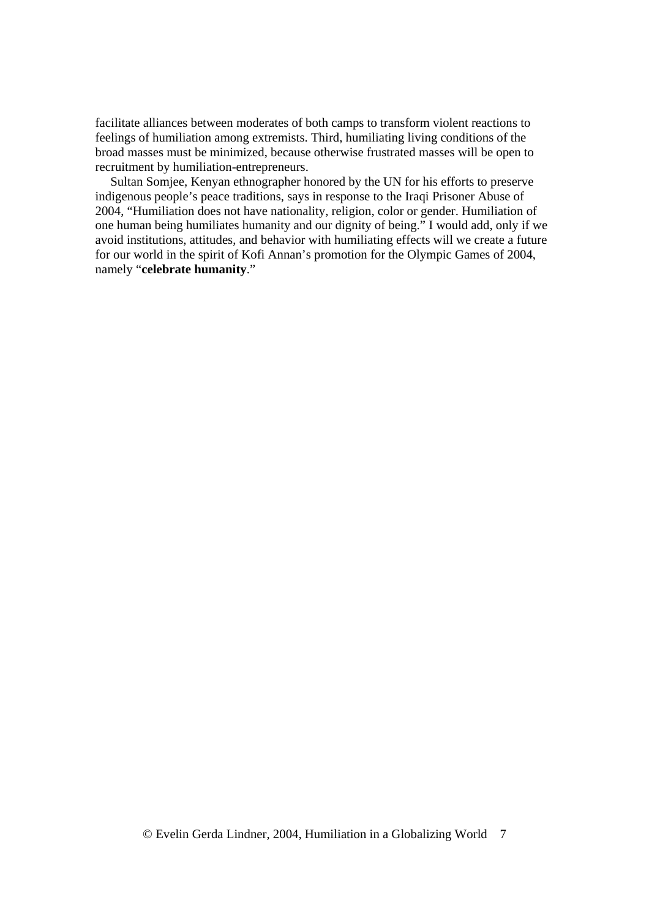facilitate alliances between moderates of both camps to transform violent reactions to feelings of humiliation among extremists. Third, humiliating living conditions of the broad masses must be minimized, because otherwise frustrated masses will be open to recruitment by humiliation-entrepreneurs.

Sultan Somjee, Kenyan ethnographer honored by the UN for his efforts to preserve indigenous people's peace traditions, says in response to the Iraqi Prisoner Abuse of 2004, "Humiliation does not have nationality, religion, color or gender. Humiliation of one human being humiliates humanity and our dignity of being." I would add, only if we avoid institutions, attitudes, and behavior with humiliating effects will we create a future for our world in the spirit of Kofi Annan's promotion for the Olympic Games of 2004, namely "**celebrate humanity**."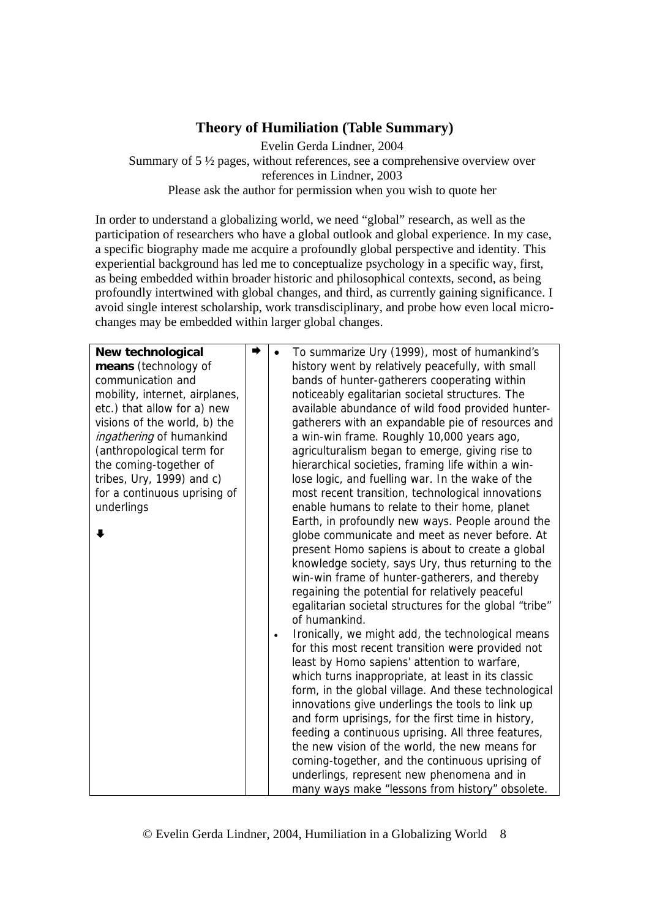# **Theory of Humiliation (Table Summary)**

Evelin Gerda Lindner, 2004 Summary of 5 ½ pages, without references, see a comprehensive overview over references in Lindner, 2003 Please ask the author for permission when you wish to quote her

In order to understand a globalizing world, we need "global" research, as well as the participation of researchers who have a global outlook and global experience. In my case, a specific biography made me acquire a profoundly global perspective and identity. This experiential background has led me to conceptualize psychology in a specific way, first, as being embedded within broader historic and philosophical contexts, second, as being profoundly intertwined with global changes, and third, as currently gaining significance. I avoid single interest scholarship, work transdisciplinary, and probe how even local microchanges may be embedded within larger global changes.

| New technological              |           | To summarize Ury (1999), most of humankind's           |
|--------------------------------|-----------|--------------------------------------------------------|
| means (technology of           |           | history went by relatively peacefully, with small      |
| communication and              |           | bands of hunter-gatherers cooperating within           |
| mobility, internet, airplanes, |           | noticeably egalitarian societal structures. The        |
| etc.) that allow for a) new    |           | available abundance of wild food provided hunter-      |
| visions of the world, b) the   |           | gatherers with an expandable pie of resources and      |
| ingathering of humankind       |           | a win-win frame. Roughly 10,000 years ago,             |
| (anthropological term for      |           | agriculturalism began to emerge, giving rise to        |
| the coming-together of         |           | hierarchical societies, framing life within a win-     |
| tribes, Ury, $1999$ ) and c)   |           | lose logic, and fuelling war. In the wake of the       |
| for a continuous uprising of   |           | most recent transition, technological innovations      |
| underlings                     |           | enable humans to relate to their home, planet          |
|                                |           | Earth, in profoundly new ways. People around the       |
|                                |           | globe communicate and meet as never before. At         |
|                                |           | present Homo sapiens is about to create a global       |
|                                |           | knowledge society, says Ury, thus returning to the     |
|                                |           | win-win frame of hunter-gatherers, and thereby         |
|                                |           | regaining the potential for relatively peaceful        |
|                                |           | egalitarian societal structures for the global "tribe" |
|                                |           | of humankind.                                          |
|                                | $\bullet$ | Ironically, we might add, the technological means      |
|                                |           | for this most recent transition were provided not      |
|                                |           | least by Homo sapiens' attention to warfare,           |
|                                |           | which turns inappropriate, at least in its classic     |
|                                |           | form, in the global village. And these technological   |
|                                |           | innovations give underlings the tools to link up       |
|                                |           | and form uprisings, for the first time in history,     |
|                                |           | feeding a continuous uprising. All three features,     |
|                                |           | the new vision of the world, the new means for         |
|                                |           | coming-together, and the continuous uprising of        |
|                                |           | underlings, represent new phenomena and in             |
|                                |           | many ways make "lessons from history" obsolete.        |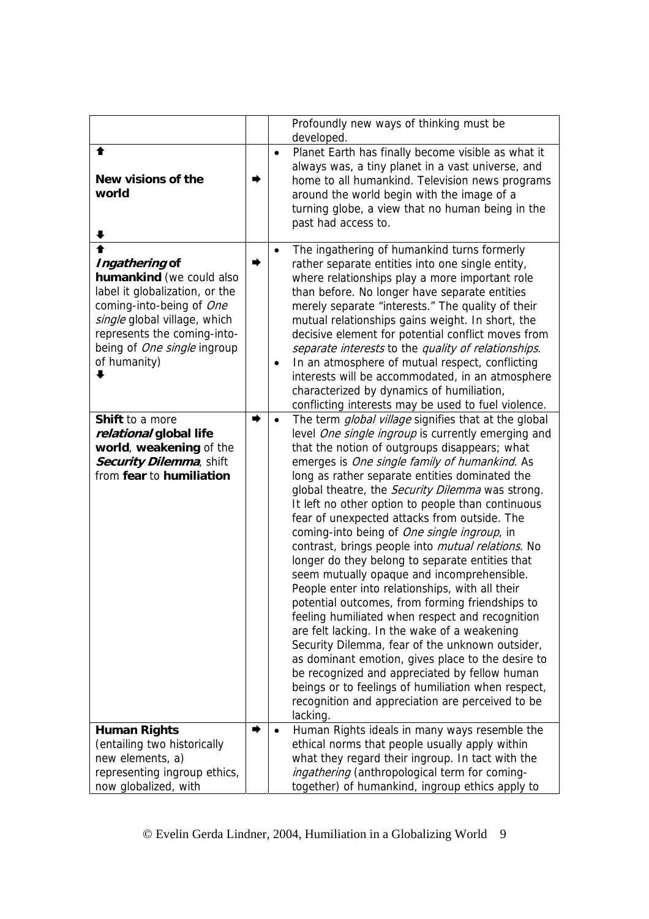|                                                                                                                                                                                                                                           |   | Profoundly new ways of thinking must be<br>developed.                                                                                                                                                                                                                                                                                                                                                                                                                                                                                                                                                                                                                                                                                                                                                                                                                                                                                                                                                                                                        |
|-------------------------------------------------------------------------------------------------------------------------------------------------------------------------------------------------------------------------------------------|---|--------------------------------------------------------------------------------------------------------------------------------------------------------------------------------------------------------------------------------------------------------------------------------------------------------------------------------------------------------------------------------------------------------------------------------------------------------------------------------------------------------------------------------------------------------------------------------------------------------------------------------------------------------------------------------------------------------------------------------------------------------------------------------------------------------------------------------------------------------------------------------------------------------------------------------------------------------------------------------------------------------------------------------------------------------------|
| New visions of the<br>world                                                                                                                                                                                                               |   | Planet Earth has finally become visible as what it<br>always was, a tiny planet in a vast universe, and<br>home to all humankind. Television news programs<br>around the world begin with the image of a<br>turning globe, a view that no human being in the<br>past had access to.                                                                                                                                                                                                                                                                                                                                                                                                                                                                                                                                                                                                                                                                                                                                                                          |
| Ingathering of<br>humankind (we could also<br>label it globalization, or the<br>coming-into-being of One<br>single global village, which<br>represents the coming-into-<br>being of One single ingroup<br>of humanity)<br>Shift to a more |   | The ingathering of humankind turns formerly<br>rather separate entities into one single entity,<br>where relationships play a more important role<br>than before. No longer have separate entities<br>merely separate "interests." The quality of their<br>mutual relationships gains weight. In short, the<br>decisive element for potential conflict moves from<br>separate interests to the quality of relationships.<br>In an atmosphere of mutual respect, conflicting<br>interests will be accommodated, in an atmosphere<br>characterized by dynamics of humiliation,<br>conflicting interests may be used to fuel violence.<br>The term <i>global village</i> signifies that at the global                                                                                                                                                                                                                                                                                                                                                           |
| relational global life<br>world, weakening of the<br>Security Dilemma, shift<br>from fear to humiliation                                                                                                                                  |   | level One single ingroup is currently emerging and<br>that the notion of outgroups disappears; what<br>emerges is One single family of humankind. As<br>long as rather separate entities dominated the<br>global theatre, the Security Dilemma was strong.<br>It left no other option to people than continuous<br>fear of unexpected attacks from outside. The<br>coming-into being of One single ingroup, in<br>contrast, brings people into mutual relations. No<br>longer do they belong to separate entities that<br>seem mutually opaque and incomprehensible.<br>People enter into relationships, with all their<br>potential outcomes, from forming friendships to<br>feeling humiliated when respect and recognition<br>are felt lacking. In the wake of a weakening<br>Security Dilemma, fear of the unknown outsider,<br>as dominant emotion, gives place to the desire to<br>be recognized and appreciated by fellow human<br>beings or to feelings of humiliation when respect,<br>recognition and appreciation are perceived to be<br>lacking. |
| <b>Human Rights</b><br>(entailing two historically<br>new elements, a)<br>representing ingroup ethics,<br>now globalized, with                                                                                                            | ➡ | Human Rights ideals in many ways resemble the<br>ethical norms that people usually apply within<br>what they regard their ingroup. In tact with the<br>ingathering (anthropological term for coming-<br>together) of humankind, ingroup ethics apply to                                                                                                                                                                                                                                                                                                                                                                                                                                                                                                                                                                                                                                                                                                                                                                                                      |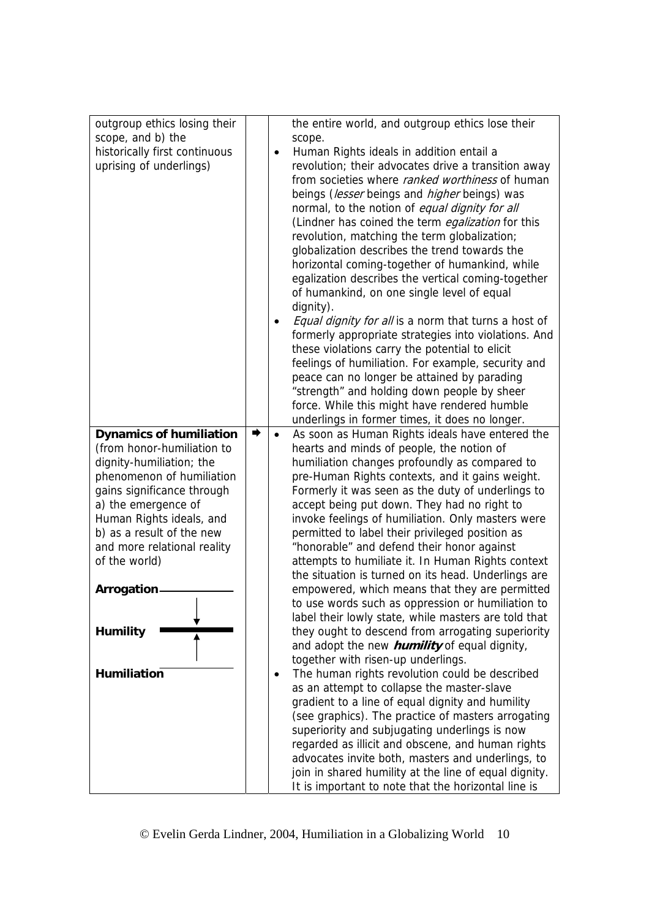| outgroup ethics losing their                      |   |           | the entire world, and outgroup ethics lose their                                                 |
|---------------------------------------------------|---|-----------|--------------------------------------------------------------------------------------------------|
| scope, and b) the                                 |   |           | scope.                                                                                           |
| historically first continuous                     |   | $\bullet$ | Human Rights ideals in addition entail a                                                         |
| uprising of underlings)                           |   |           | revolution; their advocates drive a transition away                                              |
|                                                   |   |           | from societies where <i>ranked worthiness</i> of human                                           |
|                                                   |   |           | beings (lesser beings and higher beings) was                                                     |
|                                                   |   |           | normal, to the notion of equal dignity for all                                                   |
|                                                   |   |           | (Lindner has coined the term egalization for this                                                |
|                                                   |   |           | revolution, matching the term globalization;                                                     |
|                                                   |   |           | globalization describes the trend towards the                                                    |
|                                                   |   |           | horizontal coming-together of humankind, while                                                   |
|                                                   |   |           | egalization describes the vertical coming-together                                               |
|                                                   |   |           | of humankind, on one single level of equal                                                       |
|                                                   |   |           | dignity).                                                                                        |
|                                                   |   | $\bullet$ | Equal dignity for all is a norm that turns a host of                                             |
|                                                   |   |           | formerly appropriate strategies into violations. And                                             |
|                                                   |   |           | these violations carry the potential to elicit                                                   |
|                                                   |   |           | feelings of humiliation. For example, security and                                               |
|                                                   |   |           | peace can no longer be attained by parading                                                      |
|                                                   |   |           | "strength" and holding down people by sheer                                                      |
|                                                   |   |           | force. While this might have rendered humble                                                     |
|                                                   |   |           | underlings in former times, it does no longer.                                                   |
| <b>Dynamics of humiliation</b>                    | ➡ | $\bullet$ | As soon as Human Rights ideals have entered the                                                  |
| (from honor-humiliation to                        |   |           | hearts and minds of people, the notion of                                                        |
| dignity-humiliation; the                          |   |           | humiliation changes profoundly as compared to                                                    |
| phenomenon of humiliation                         |   |           | pre-Human Rights contexts, and it gains weight.                                                  |
| gains significance through<br>a) the emergence of |   |           | Formerly it was seen as the duty of underlings to<br>accept being put down. They had no right to |
| Human Rights ideals, and                          |   |           | invoke feelings of humiliation. Only masters were                                                |
| b) as a result of the new                         |   |           | permitted to label their privileged position as                                                  |
| and more relational reality                       |   |           | "honorable" and defend their honor against                                                       |
| of the world)                                     |   |           | attempts to humiliate it. In Human Rights context                                                |
|                                                   |   |           | the situation is turned on its head. Underlings are                                              |
| Arrogation                                        |   |           | empowered, which means that they are permitted                                                   |
|                                                   |   |           | to use words such as oppression or humiliation to                                                |
|                                                   |   |           | label their lowly state, while masters are told that                                             |
| <b>Humility</b>                                   |   |           | they ought to descend from arrogating superiority                                                |
|                                                   |   |           | and adopt the new <i>humility</i> of equal dignity,                                              |
|                                                   |   |           | together with risen-up underlings.                                                               |
| <b>Humiliation</b>                                |   | $\bullet$ | The human rights revolution could be described                                                   |
|                                                   |   |           | as an attempt to collapse the master-slave                                                       |
|                                                   |   |           | gradient to a line of equal dignity and humility                                                 |
|                                                   |   |           | (see graphics). The practice of masters arrogating                                               |
|                                                   |   |           | superiority and subjugating underlings is now                                                    |
|                                                   |   |           | regarded as illicit and obscene, and human rights                                                |
|                                                   |   |           | advocates invite both, masters and underlings, to                                                |
|                                                   |   |           | join in shared humility at the line of equal dignity.                                            |
|                                                   |   |           | It is important to note that the horizontal line is                                              |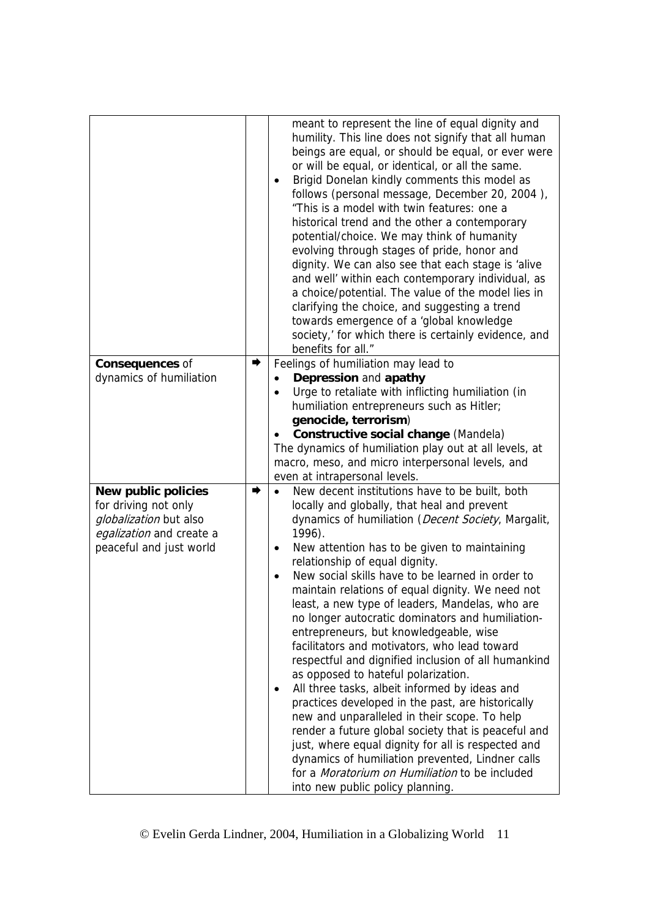|                                                                                                                                     |   | meant to represent the line of equal dignity and<br>humility. This line does not signify that all human<br>beings are equal, or should be equal, or ever were<br>or will be equal, or identical, or all the same.<br>Brigid Donelan kindly comments this model as<br>follows (personal message, December 20, 2004),<br>"This is a model with twin features: one a<br>historical trend and the other a contemporary<br>potential/choice. We may think of humanity<br>evolving through stages of pride, honor and<br>dignity. We can also see that each stage is 'alive<br>and well' within each contemporary individual, as<br>a choice/potential. The value of the model lies in<br>clarifying the choice, and suggesting a trend<br>towards emergence of a 'global knowledge<br>society,' for which there is certainly evidence, and<br>benefits for all."                                                                                                                                                                                                                             |
|-------------------------------------------------------------------------------------------------------------------------------------|---|-----------------------------------------------------------------------------------------------------------------------------------------------------------------------------------------------------------------------------------------------------------------------------------------------------------------------------------------------------------------------------------------------------------------------------------------------------------------------------------------------------------------------------------------------------------------------------------------------------------------------------------------------------------------------------------------------------------------------------------------------------------------------------------------------------------------------------------------------------------------------------------------------------------------------------------------------------------------------------------------------------------------------------------------------------------------------------------------|
| <b>Consequences of</b><br>dynamics of humiliation                                                                                   | ➡ | Feelings of humiliation may lead to<br>Depression and apathy<br>$\bullet$<br>Urge to retaliate with inflicting humiliation (in<br>$\bullet$<br>humiliation entrepreneurs such as Hitler;<br>genocide, terrorism)<br>Constructive social change (Mandela)<br>The dynamics of humiliation play out at all levels, at<br>macro, meso, and micro interpersonal levels, and<br>even at intrapersonal levels.                                                                                                                                                                                                                                                                                                                                                                                                                                                                                                                                                                                                                                                                                 |
| <b>New public policies</b><br>for driving not only<br>globalization but also<br>egalization and create a<br>peaceful and just world |   | New decent institutions have to be built, both<br>locally and globally, that heal and prevent<br>dynamics of humiliation (Decent Society, Margalit,<br>1996).<br>New attention has to be given to maintaining<br>$\bullet$<br>relationship of equal dignity.<br>New social skills have to be learned in order to<br>maintain relations of equal dignity. We need not<br>least, a new type of leaders, Mandelas, who are<br>no longer autocratic dominators and humiliation-<br>entrepreneurs, but knowledgeable, wise<br>facilitators and motivators, who lead toward<br>respectful and dignified inclusion of all humankind<br>as opposed to hateful polarization.<br>All three tasks, albeit informed by ideas and<br>practices developed in the past, are historically<br>new and unparalleled in their scope. To help<br>render a future global society that is peaceful and<br>just, where equal dignity for all is respected and<br>dynamics of humiliation prevented, Lindner calls<br>for a <i>Moratorium on Humiliation</i> to be included<br>into new public policy planning. |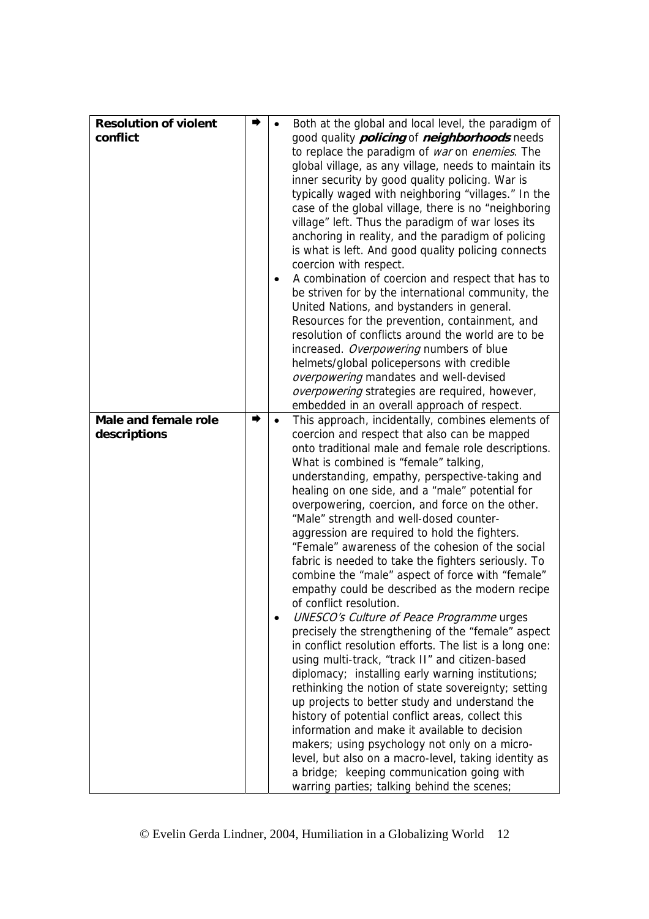| <b>Resolution of violent</b> | ➡ | Both at the global and local level, the paradigm of                                                        |
|------------------------------|---|------------------------------------------------------------------------------------------------------------|
| conflict                     |   | good quality <i>policing</i> of <i>neighborhoods</i> needs                                                 |
|                              |   | to replace the paradigm of war on enemies. The                                                             |
|                              |   | global village, as any village, needs to maintain its                                                      |
|                              |   | inner security by good quality policing. War is                                                            |
|                              |   | typically waged with neighboring "villages." In the                                                        |
|                              |   | case of the global village, there is no "neighboring                                                       |
|                              |   | village" left. Thus the paradigm of war loses its                                                          |
|                              |   | anchoring in reality, and the paradigm of policing                                                         |
|                              |   | is what is left. And good quality policing connects                                                        |
|                              |   | coercion with respect.                                                                                     |
|                              |   | A combination of coercion and respect that has to                                                          |
|                              |   | be striven for by the international community, the                                                         |
|                              |   | United Nations, and bystanders in general.                                                                 |
|                              |   | Resources for the prevention, containment, and                                                             |
|                              |   | resolution of conflicts around the world are to be                                                         |
|                              |   | increased. Overpowering numbers of blue                                                                    |
|                              |   | helmets/global policepersons with credible                                                                 |
|                              |   | overpowering mandates and well-devised                                                                     |
|                              |   | overpowering strategies are required, however,                                                             |
|                              |   | embedded in an overall approach of respect.                                                                |
| Male and female role         | ➡ | This approach, incidentally, combines elements of                                                          |
| descriptions                 |   | coercion and respect that also can be mapped                                                               |
|                              |   | onto traditional male and female role descriptions.                                                        |
|                              |   | What is combined is "female" talking,                                                                      |
|                              |   | understanding, empathy, perspective-taking and                                                             |
|                              |   | healing on one side, and a "male" potential for                                                            |
|                              |   | overpowering, coercion, and force on the other.                                                            |
|                              |   | "Male" strength and well-dosed counter-                                                                    |
|                              |   | aggression are required to hold the fighters.                                                              |
|                              |   | "Female" awareness of the cohesion of the social                                                           |
|                              |   | fabric is needed to take the fighters seriously. To                                                        |
|                              |   | combine the "male" aspect of force with "female"                                                           |
|                              |   | empathy could be described as the modern recipe                                                            |
|                              |   | of conflict resolution.                                                                                    |
|                              |   | UNESCO's Culture of Peace Programme urges                                                                  |
|                              |   | precisely the strengthening of the "female" aspect                                                         |
|                              |   | in conflict resolution efforts. The list is a long one:<br>using multi-track, "track II" and citizen-based |
|                              |   | diplomacy; installing early warning institutions;                                                          |
|                              |   | rethinking the notion of state sovereignty; setting                                                        |
|                              |   | up projects to better study and understand the                                                             |
|                              |   | history of potential conflict areas, collect this                                                          |
|                              |   | information and make it available to decision                                                              |
|                              |   | makers; using psychology not only on a micro-                                                              |
|                              |   | level, but also on a macro-level, taking identity as                                                       |
|                              |   | a bridge; keeping communication going with                                                                 |
|                              |   | warring parties; talking behind the scenes;                                                                |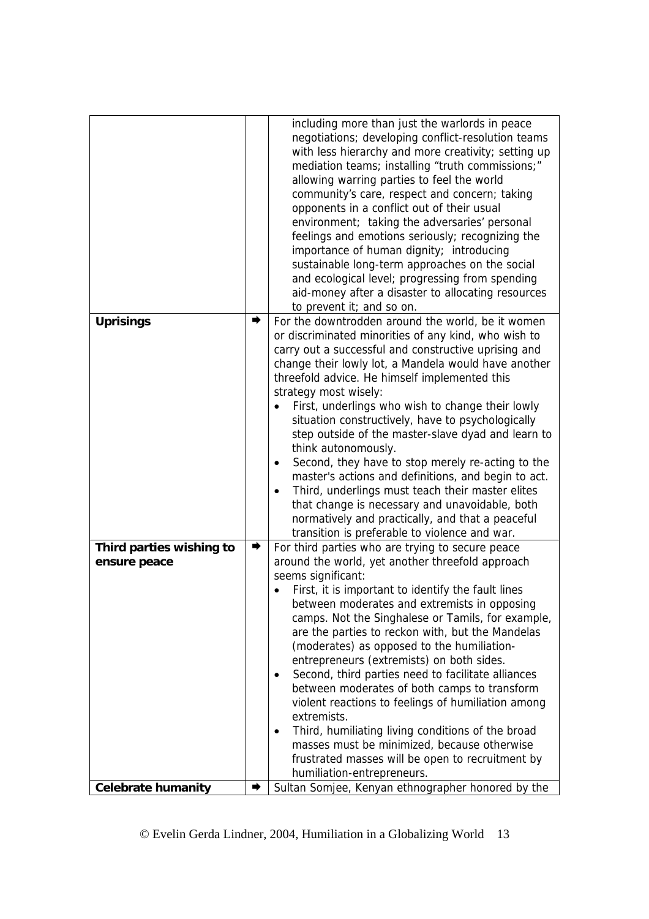|                          | including more than just the warlords in peace<br>negotiations; developing conflict-resolution teams                                                                                                                                                                                                                                                                                                                                                                                                                                                              |  |
|--------------------------|-------------------------------------------------------------------------------------------------------------------------------------------------------------------------------------------------------------------------------------------------------------------------------------------------------------------------------------------------------------------------------------------------------------------------------------------------------------------------------------------------------------------------------------------------------------------|--|
|                          | with less hierarchy and more creativity; setting up                                                                                                                                                                                                                                                                                                                                                                                                                                                                                                               |  |
|                          | mediation teams; installing "truth commissions;"                                                                                                                                                                                                                                                                                                                                                                                                                                                                                                                  |  |
|                          |                                                                                                                                                                                                                                                                                                                                                                                                                                                                                                                                                                   |  |
|                          | allowing warring parties to feel the world                                                                                                                                                                                                                                                                                                                                                                                                                                                                                                                        |  |
|                          | community's care, respect and concern; taking                                                                                                                                                                                                                                                                                                                                                                                                                                                                                                                     |  |
|                          | opponents in a conflict out of their usual                                                                                                                                                                                                                                                                                                                                                                                                                                                                                                                        |  |
|                          | environment; taking the adversaries' personal                                                                                                                                                                                                                                                                                                                                                                                                                                                                                                                     |  |
|                          | feelings and emotions seriously; recognizing the                                                                                                                                                                                                                                                                                                                                                                                                                                                                                                                  |  |
|                          | importance of human dignity; introducing                                                                                                                                                                                                                                                                                                                                                                                                                                                                                                                          |  |
|                          | sustainable long-term approaches on the social                                                                                                                                                                                                                                                                                                                                                                                                                                                                                                                    |  |
|                          | and ecological level; progressing from spending                                                                                                                                                                                                                                                                                                                                                                                                                                                                                                                   |  |
|                          | aid-money after a disaster to allocating resources                                                                                                                                                                                                                                                                                                                                                                                                                                                                                                                |  |
|                          | to prevent it; and so on.                                                                                                                                                                                                                                                                                                                                                                                                                                                                                                                                         |  |
| <b>Uprisings</b>         | For the downtrodden around the world, be it women<br>➡                                                                                                                                                                                                                                                                                                                                                                                                                                                                                                            |  |
|                          | or discriminated minorities of any kind, who wish to                                                                                                                                                                                                                                                                                                                                                                                                                                                                                                              |  |
|                          | carry out a successful and constructive uprising and                                                                                                                                                                                                                                                                                                                                                                                                                                                                                                              |  |
|                          | change their lowly lot, a Mandela would have another                                                                                                                                                                                                                                                                                                                                                                                                                                                                                                              |  |
|                          | threefold advice. He himself implemented this                                                                                                                                                                                                                                                                                                                                                                                                                                                                                                                     |  |
|                          | strategy most wisely:                                                                                                                                                                                                                                                                                                                                                                                                                                                                                                                                             |  |
|                          | First, underlings who wish to change their lowly                                                                                                                                                                                                                                                                                                                                                                                                                                                                                                                  |  |
|                          | situation constructively, have to psychologically                                                                                                                                                                                                                                                                                                                                                                                                                                                                                                                 |  |
|                          | step outside of the master-slave dyad and learn to                                                                                                                                                                                                                                                                                                                                                                                                                                                                                                                |  |
|                          | think autonomously.                                                                                                                                                                                                                                                                                                                                                                                                                                                                                                                                               |  |
|                          | Second, they have to stop merely re-acting to the<br>$\bullet$                                                                                                                                                                                                                                                                                                                                                                                                                                                                                                    |  |
|                          | master's actions and definitions, and begin to act.                                                                                                                                                                                                                                                                                                                                                                                                                                                                                                               |  |
|                          | Third, underlings must teach their master elites<br>$\bullet$                                                                                                                                                                                                                                                                                                                                                                                                                                                                                                     |  |
|                          | that change is necessary and unavoidable, both                                                                                                                                                                                                                                                                                                                                                                                                                                                                                                                    |  |
|                          | normatively and practically, and that a peaceful                                                                                                                                                                                                                                                                                                                                                                                                                                                                                                                  |  |
|                          | transition is preferable to violence and war.<br>For third parties who are trying to secure peace<br>➡                                                                                                                                                                                                                                                                                                                                                                                                                                                            |  |
| Third parties wishing to |                                                                                                                                                                                                                                                                                                                                                                                                                                                                                                                                                                   |  |
| ensure peace             | around the world, yet another threefold approach<br>seems significant:                                                                                                                                                                                                                                                                                                                                                                                                                                                                                            |  |
|                          | First, it is important to identify the fault lines                                                                                                                                                                                                                                                                                                                                                                                                                                                                                                                |  |
|                          | between moderates and extremists in opposing                                                                                                                                                                                                                                                                                                                                                                                                                                                                                                                      |  |
|                          |                                                                                                                                                                                                                                                                                                                                                                                                                                                                                                                                                                   |  |
|                          |                                                                                                                                                                                                                                                                                                                                                                                                                                                                                                                                                                   |  |
|                          |                                                                                                                                                                                                                                                                                                                                                                                                                                                                                                                                                                   |  |
|                          |                                                                                                                                                                                                                                                                                                                                                                                                                                                                                                                                                                   |  |
|                          |                                                                                                                                                                                                                                                                                                                                                                                                                                                                                                                                                                   |  |
|                          |                                                                                                                                                                                                                                                                                                                                                                                                                                                                                                                                                                   |  |
|                          |                                                                                                                                                                                                                                                                                                                                                                                                                                                                                                                                                                   |  |
|                          |                                                                                                                                                                                                                                                                                                                                                                                                                                                                                                                                                                   |  |
|                          |                                                                                                                                                                                                                                                                                                                                                                                                                                                                                                                                                                   |  |
|                          |                                                                                                                                                                                                                                                                                                                                                                                                                                                                                                                                                                   |  |
|                          |                                                                                                                                                                                                                                                                                                                                                                                                                                                                                                                                                                   |  |
|                          |                                                                                                                                                                                                                                                                                                                                                                                                                                                                                                                                                                   |  |
|                          |                                                                                                                                                                                                                                                                                                                                                                                                                                                                                                                                                                   |  |
|                          | camps. Not the Singhalese or Tamils, for example,<br>are the parties to reckon with, but the Mandelas<br>(moderates) as opposed to the humiliation-<br>entrepreneurs (extremists) on both sides.<br>Second, third parties need to facilitate alliances<br>between moderates of both camps to transform<br>violent reactions to feelings of humiliation among<br>extremists.<br>Third, humiliating living conditions of the broad<br>masses must be minimized, because otherwise<br>frustrated masses will be open to recruitment by<br>humiliation-entrepreneurs. |  |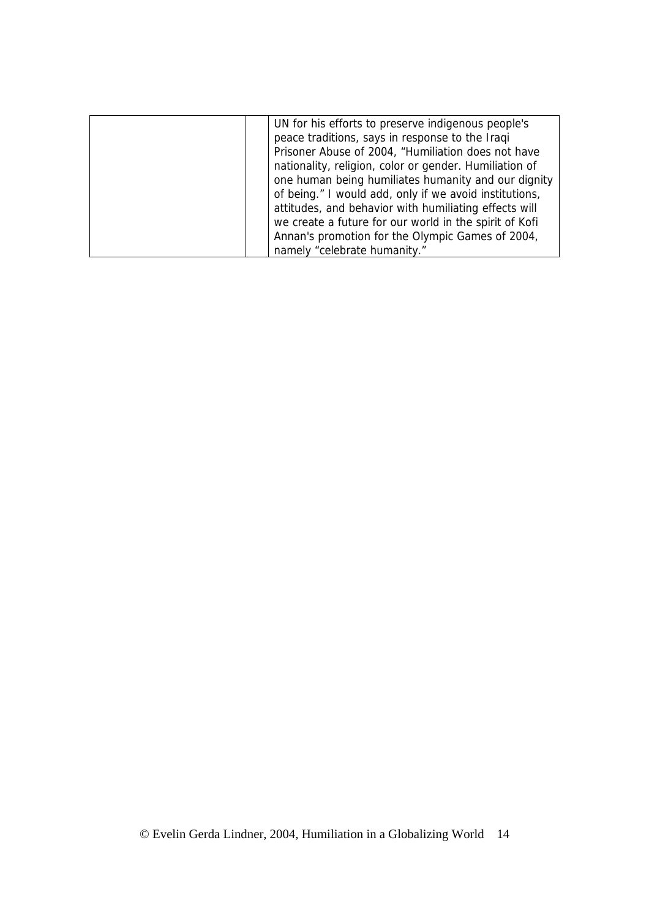| UN for his efforts to preserve indigenous people's     |
|--------------------------------------------------------|
| peace traditions, says in response to the Iraqi        |
| Prisoner Abuse of 2004, "Humiliation does not have     |
| nationality, religion, color or gender. Humiliation of |
| one human being humiliates humanity and our dignity    |
| of being." I would add, only if we avoid institutions, |
| attitudes, and behavior with humiliating effects will  |
| we create a future for our world in the spirit of Kofi |
| Annan's promotion for the Olympic Games of 2004,       |
| namely "celebrate humanity."                           |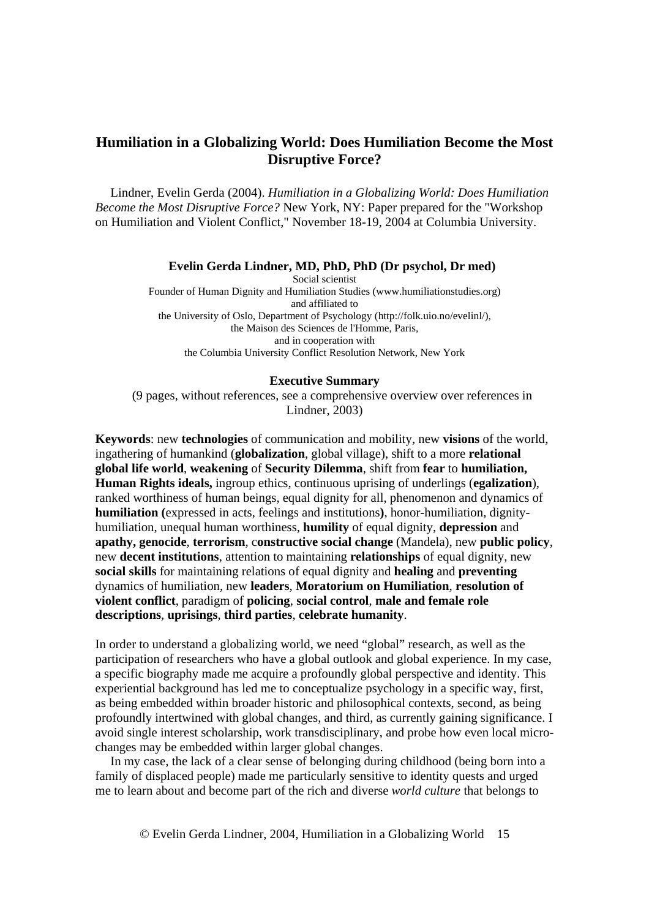# **Humiliation in a Globalizing World: Does Humiliation Become the Most Disruptive Force?**

Lindner, Evelin Gerda (2004). *Humiliation in a Globalizing World: Does Humiliation Become the Most Disruptive Force?* New York, NY: Paper prepared for the "Workshop on Humiliation and Violent Conflict," November 18-19, 2004 at Columbia University.

### **Evelin Gerda Lindner, MD, PhD, PhD (Dr psychol, Dr med)**

Social scientist Founder of Human Dignity and Humiliation Studies (www.humiliationstudies.org) and affiliated to the University of Oslo, Department of Psychology (http://folk.uio.no/evelinl/), the Maison des Sciences de l'Homme, Paris, and in cooperation with the Columbia University Conflict Resolution Network, New York

### **Executive Summary**

(9 pages, without references, see a comprehensive overview over references in Lindner, 2003)

**Keywords**: new **technologies** of communication and mobility, new **visions** of the world, ingathering of humankind (**globalization**, global village), shift to a more **relational global life world**, **weakening** of **Security Dilemma**, shift from **fear** to **humiliation, Human Rights ideals,** ingroup ethics, continuous uprising of underlings (**egalization**), ranked worthiness of human beings, equal dignity for all, phenomenon and dynamics of **humiliation (**expressed in acts, feelings and institutions**)**, honor-humiliation, dignityhumiliation, unequal human worthiness, **humility** of equal dignity, **depression** and **apathy, genocide**, **terrorism**, c**onstructive social change** (Mandela), new **public policy**, new **decent institutions**, attention to maintaining **relationships** of equal dignity, new **social skills** for maintaining relations of equal dignity and **healing** and **preventing** dynamics of humiliation, new **leaders**, **Moratorium on Humiliation**, **resolution of violent conflict**, paradigm of **policing**, **social control**, **male and female role descriptions**, **uprisings**, **third parties**, **celebrate humanity**.

In order to understand a globalizing world, we need "global" research, as well as the participation of researchers who have a global outlook and global experience. In my case, a specific biography made me acquire a profoundly global perspective and identity. This experiential background has led me to conceptualize psychology in a specific way, first, as being embedded within broader historic and philosophical contexts, second, as being profoundly intertwined with global changes, and third, as currently gaining significance. I avoid single interest scholarship, work transdisciplinary, and probe how even local microchanges may be embedded within larger global changes.

In my case, the lack of a clear sense of belonging during childhood (being born into a family of displaced people) made me particularly sensitive to identity quests and urged me to learn about and become part of the rich and diverse *world culture* that belongs to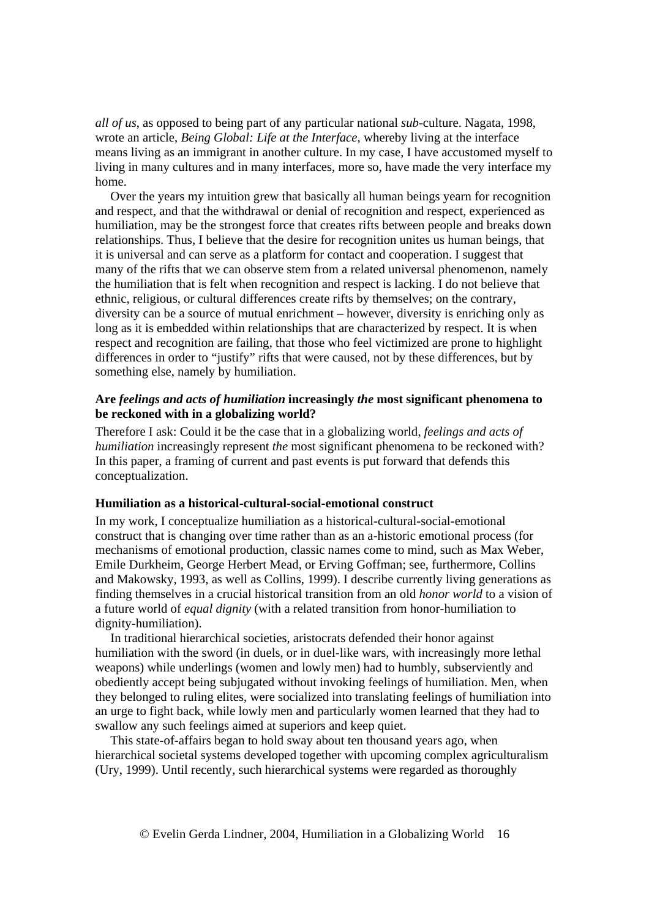*all of us*, as opposed to being part of any particular national *sub*-culture. Nagata, 1998, wrote an article, *Being Global: Life at the Interface*, whereby living at the interface means living as an immigrant in another culture. In my case, I have accustomed myself to living in many cultures and in many interfaces, more so, have made the very interface my home.

Over the years my intuition grew that basically all human beings yearn for recognition and respect, and that the withdrawal or denial of recognition and respect, experienced as humiliation, may be the strongest force that creates rifts between people and breaks down relationships. Thus, I believe that the desire for recognition unites us human beings, that it is universal and can serve as a platform for contact and cooperation. I suggest that many of the rifts that we can observe stem from a related universal phenomenon, namely the humiliation that is felt when recognition and respect is lacking. I do not believe that ethnic, religious, or cultural differences create rifts by themselves; on the contrary, diversity can be a source of mutual enrichment – however, diversity is enriching only as long as it is embedded within relationships that are characterized by respect. It is when respect and recognition are failing, that those who feel victimized are prone to highlight differences in order to "justify" rifts that were caused, not by these differences, but by something else, namely by humiliation.

# **Are** *feelings and acts of humiliation* **increasingly** *the* **most significant phenomena to be reckoned with in a globalizing world?**

Therefore I ask: Could it be the case that in a globalizing world, *feelings and acts of humiliation* increasingly represent *the* most significant phenomena to be reckoned with? In this paper, a framing of current and past events is put forward that defends this conceptualization.

## **Humiliation as a historical-cultural-social-emotional construct**

In my work, I conceptualize humiliation as a historical-cultural-social-emotional construct that is changing over time rather than as an a-historic emotional process (for mechanisms of emotional production, classic names come to mind, such as Max Weber, Emile Durkheim, George Herbert Mead, or Erving Goffman; see, furthermore, Collins and Makowsky, 1993, as well as Collins, 1999). I describe currently living generations as finding themselves in a crucial historical transition from an old *honor world* to a vision of a future world of *equal dignity* (with a related transition from honor-humiliation to dignity-humiliation).

In traditional hierarchical societies, aristocrats defended their honor against humiliation with the sword (in duels, or in duel-like wars, with increasingly more lethal weapons) while underlings (women and lowly men) had to humbly, subserviently and obediently accept being subjugated without invoking feelings of humiliation. Men, when they belonged to ruling elites, were socialized into translating feelings of humiliation into an urge to fight back, while lowly men and particularly women learned that they had to swallow any such feelings aimed at superiors and keep quiet.

This state-of-affairs began to hold sway about ten thousand years ago, when hierarchical societal systems developed together with upcoming complex agriculturalism (Ury, 1999). Until recently, such hierarchical systems were regarded as thoroughly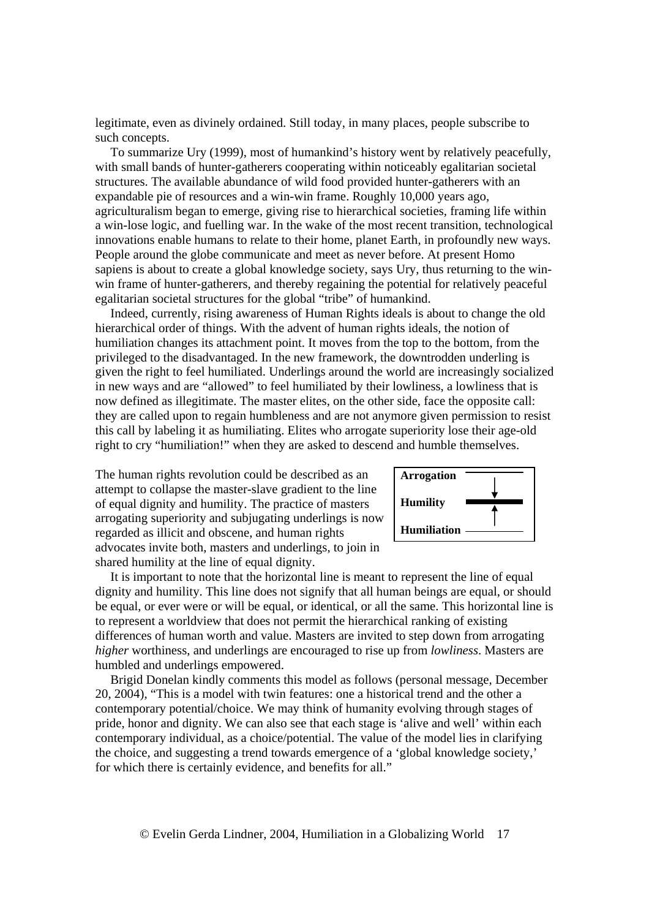legitimate, even as divinely ordained. Still today, in many places, people subscribe to such concepts.

To summarize Ury (1999), most of humankind's history went by relatively peacefully, with small bands of hunter-gatherers cooperating within noticeably egalitarian societal structures. The available abundance of wild food provided hunter-gatherers with an expandable pie of resources and a win-win frame. Roughly 10,000 years ago, agriculturalism began to emerge, giving rise to hierarchical societies, framing life within a win-lose logic, and fuelling war. In the wake of the most recent transition, technological innovations enable humans to relate to their home, planet Earth, in profoundly new ways. People around the globe communicate and meet as never before. At present Homo sapiens is about to create a global knowledge society, says Ury, thus returning to the winwin frame of hunter-gatherers, and thereby regaining the potential for relatively peaceful egalitarian societal structures for the global "tribe" of humankind.

Indeed, currently, rising awareness of Human Rights ideals is about to change the old hierarchical order of things. With the advent of human rights ideals, the notion of humiliation changes its attachment point. It moves from the top to the bottom, from the privileged to the disadvantaged. In the new framework, the downtrodden underling is given the right to feel humiliated. Underlings around the world are increasingly socialized in new ways and are "allowed" to feel humiliated by their lowliness, a lowliness that is now defined as illegitimate. The master elites, on the other side, face the opposite call: they are called upon to regain humbleness and are not anymore given permission to resist this call by labeling it as humiliating. Elites who arrogate superiority lose their age-old right to cry "humiliation!" when they are asked to descend and humble themselves.

The human rights revolution could be described as an attempt to collapse the master-slave gradient to the line of equal dignity and humility. The practice of masters arrogating superiority and subjugating underlings is now regarded as illicit and obscene, and human rights advocates invite both, masters and underlings, to join in shared humility at the line of equal dignity.



It is important to note that the horizontal line is meant to represent the line of equal dignity and humility. This line does not signify that all human beings are equal, or should be equal, or ever were or will be equal, or identical, or all the same. This horizontal line is to represent a worldview that does not permit the hierarchical ranking of existing differences of human worth and value. Masters are invited to step down from arrogating *higher* worthiness, and underlings are encouraged to rise up from *lowliness*. Masters are humbled and underlings empowered.

Brigid Donelan kindly comments this model as follows (personal message, December 20, 2004), "This is a model with twin features: one a historical trend and the other a contemporary potential/choice. We may think of humanity evolving through stages of pride, honor and dignity. We can also see that each stage is 'alive and well' within each contemporary individual, as a choice/potential. The value of the model lies in clarifying the choice, and suggesting a trend towards emergence of a 'global knowledge society,' for which there is certainly evidence, and benefits for all."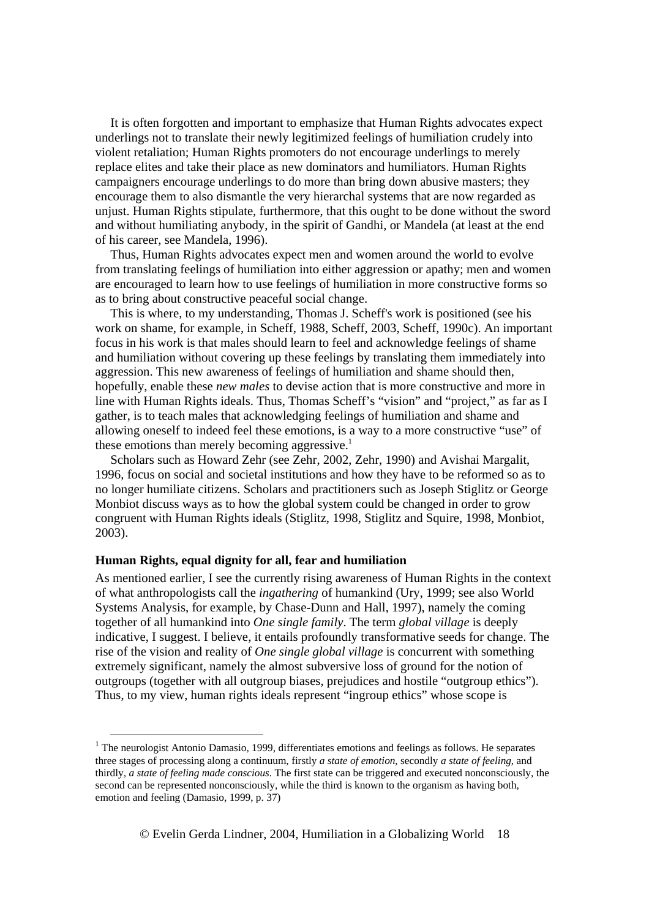It is often forgotten and important to emphasize that Human Rights advocates expect underlings not to translate their newly legitimized feelings of humiliation crudely into violent retaliation; Human Rights promoters do not encourage underlings to merely replace elites and take their place as new dominators and humiliators. Human Rights campaigners encourage underlings to do more than bring down abusive masters; they encourage them to also dismantle the very hierarchal systems that are now regarded as unjust. Human Rights stipulate, furthermore, that this ought to be done without the sword and without humiliating anybody, in the spirit of Gandhi, or Mandela (at least at the end of his career, see Mandela, 1996).

Thus, Human Rights advocates expect men and women around the world to evolve from translating feelings of humiliation into either aggression or apathy; men and women are encouraged to learn how to use feelings of humiliation in more constructive forms so as to bring about constructive peaceful social change.

This is where, to my understanding, Thomas J. Scheff's work is positioned (see his work on shame, for example, in Scheff, 1988, Scheff, 2003, Scheff, 1990c). An important focus in his work is that males should learn to feel and acknowledge feelings of shame and humiliation without covering up these feelings by translating them immediately into aggression. This new awareness of feelings of humiliation and shame should then, hopefully, enable these *new males* to devise action that is more constructive and more in line with Human Rights ideals. Thus, Thomas Scheff's "vision" and "project," as far as I gather, is to teach males that acknowledging feelings of humiliation and shame and allowing oneself to indeed feel these emotions, is a way to a more constructive "use" of these emotions than merely becoming aggressive.<sup>1</sup>

Scholars such as Howard Zehr (see Zehr, 2002, Zehr, 1990) and Avishai Margalit, 1996, focus on social and societal institutions and how they have to be reformed so as to no longer humiliate citizens. Scholars and practitioners such as Joseph Stiglitz or George Monbiot discuss ways as to how the global system could be changed in order to grow congruent with Human Rights ideals (Stiglitz, 1998, Stiglitz and Squire, 1998, Monbiot, 2003).

# **Human Rights, equal dignity for all, fear and humiliation**

As mentioned earlier, I see the currently rising awareness of Human Rights in the context of what anthropologists call the *ingathering* of humankind (Ury, 1999; see also World Systems Analysis, for example, by Chase-Dunn and Hall, 1997), namely the coming together of all humankind into *One single family*. The term *global village* is deeply indicative, I suggest. I believe, it entails profoundly transformative seeds for change. The rise of the vision and reality of *One single global village* is concurrent with something extremely significant, namely the almost subversive loss of ground for the notion of outgroups (together with all outgroup biases, prejudices and hostile "outgroup ethics"). Thus, to my view, human rights ideals represent "ingroup ethics" whose scope is

<sup>&</sup>lt;sup>1</sup> The neurologist Antonio Damasio, 1999, differentiates emotions and feelings as follows. He separates three stages of processing along a continuum, firstly *a state of emotion*, secondly *a state of feeling*, and thirdly, *a state of feeling made conscious*. The first state can be triggered and executed nonconsciously, the second can be represented nonconsciously, while the third is known to the organism as having both, emotion and feeling (Damasio, 1999, p. 37)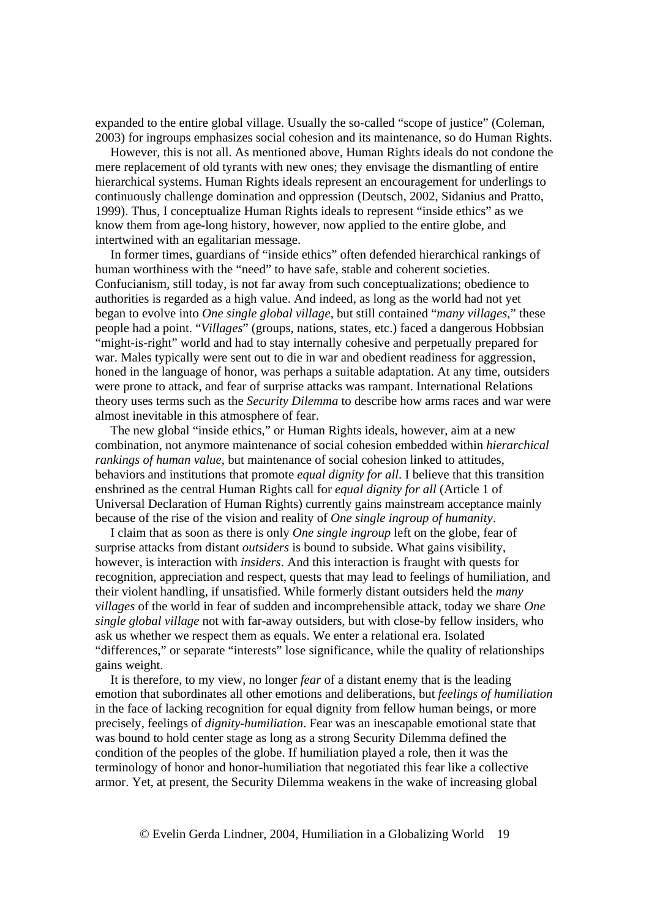expanded to the entire global village. Usually the so-called "scope of justice" (Coleman, 2003) for ingroups emphasizes social cohesion and its maintenance, so do Human Rights.

However, this is not all. As mentioned above, Human Rights ideals do not condone the mere replacement of old tyrants with new ones; they envisage the dismantling of entire hierarchical systems. Human Rights ideals represent an encouragement for underlings to continuously challenge domination and oppression (Deutsch, 2002, Sidanius and Pratto, 1999). Thus, I conceptualize Human Rights ideals to represent "inside ethics" as we know them from age-long history, however, now applied to the entire globe, and intertwined with an egalitarian message.

In former times, guardians of "inside ethics" often defended hierarchical rankings of human worthiness with the "need" to have safe, stable and coherent societies. Confucianism, still today, is not far away from such conceptualizations; obedience to authorities is regarded as a high value. And indeed, as long as the world had not yet began to evolve into *One single global village*, but still contained "*many villages*," these people had a point. "*Villages*" (groups, nations, states, etc.) faced a dangerous Hobbsian "might-is-right" world and had to stay internally cohesive and perpetually prepared for war. Males typically were sent out to die in war and obedient readiness for aggression, honed in the language of honor, was perhaps a suitable adaptation. At any time, outsiders were prone to attack, and fear of surprise attacks was rampant. International Relations theory uses terms such as the *Security Dilemma* to describe how arms races and war were almost inevitable in this atmosphere of fear.

The new global "inside ethics," or Human Rights ideals, however, aim at a new combination, not anymore maintenance of social cohesion embedded within *hierarchical rankings of human value*, but maintenance of social cohesion linked to attitudes, behaviors and institutions that promote *equal dignity for all*. I believe that this transition enshrined as the central Human Rights call for *equal dignity for all* (Article 1 of Universal Declaration of Human Rights) currently gains mainstream acceptance mainly because of the rise of the vision and reality of *One single ingroup of humanity*.

I claim that as soon as there is only *One single ingroup* left on the globe, fear of surprise attacks from distant *outsiders* is bound to subside. What gains visibility, however, is interaction with *insiders*. And this interaction is fraught with quests for recognition, appreciation and respect, quests that may lead to feelings of humiliation, and their violent handling, if unsatisfied. While formerly distant outsiders held the *many villages* of the world in fear of sudden and incomprehensible attack, today we share *One single global village* not with far-away outsiders, but with close-by fellow insiders, who ask us whether we respect them as equals. We enter a relational era. Isolated "differences," or separate "interests" lose significance, while the quality of relationships gains weight.

It is therefore, to my view, no longer *fear* of a distant enemy that is the leading emotion that subordinates all other emotions and deliberations, but *feelings of humiliation* in the face of lacking recognition for equal dignity from fellow human beings, or more precisely, feelings of *dignity-humiliation*. Fear was an inescapable emotional state that was bound to hold center stage as long as a strong Security Dilemma defined the condition of the peoples of the globe. If humiliation played a role, then it was the terminology of honor and honor-humiliation that negotiated this fear like a collective armor. Yet, at present, the Security Dilemma weakens in the wake of increasing global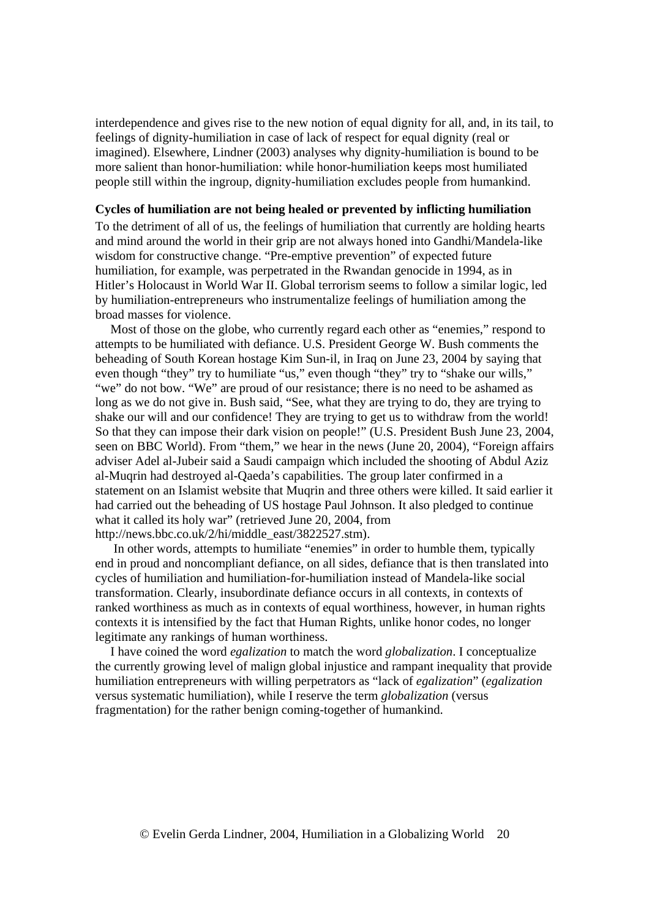interdependence and gives rise to the new notion of equal dignity for all, and, in its tail, to feelings of dignity-humiliation in case of lack of respect for equal dignity (real or imagined). Elsewhere, Lindner (2003) analyses why dignity-humiliation is bound to be more salient than honor-humiliation: while honor-humiliation keeps most humiliated people still within the ingroup, dignity-humiliation excludes people from humankind.

## **Cycles of humiliation are not being healed or prevented by inflicting humiliation**

To the detriment of all of us, the feelings of humiliation that currently are holding hearts and mind around the world in their grip are not always honed into Gandhi/Mandela-like wisdom for constructive change. "Pre-emptive prevention" of expected future humiliation, for example, was perpetrated in the Rwandan genocide in 1994, as in Hitler's Holocaust in World War II. Global terrorism seems to follow a similar logic, led by humiliation-entrepreneurs who instrumentalize feelings of humiliation among the broad masses for violence.

Most of those on the globe, who currently regard each other as "enemies," respond to attempts to be humiliated with defiance. U.S. President George W. Bush comments the beheading of South Korean hostage Kim Sun-il, in Iraq on June 23, 2004 by saying that even though "they" try to humiliate "us," even though "they" try to "shake our wills," "we" do not bow. "We" are proud of our resistance; there is no need to be ashamed as long as we do not give in. Bush said, "See, what they are trying to do, they are trying to shake our will and our confidence! They are trying to get us to withdraw from the world! So that they can impose their dark vision on people!" (U.S. President Bush June 23, 2004, seen on BBC World). From "them," we hear in the news (June 20, 2004), "Foreign affairs adviser Adel al-Jubeir said a Saudi campaign which included the shooting of Abdul Aziz al-Muqrin had destroyed al-Qaeda's capabilities. The group later confirmed in a statement on an Islamist website that Muqrin and three others were killed. It said earlier it had carried out the beheading of US hostage Paul Johnson. It also pledged to continue what it called its holy war" (retrieved June 20, 2004, from http://news.bbc.co.uk/2/hi/middle\_east/3822527.stm).

 In other words, attempts to humiliate "enemies" in order to humble them, typically end in proud and noncompliant defiance, on all sides, defiance that is then translated into cycles of humiliation and humiliation-for-humiliation instead of Mandela-like social transformation. Clearly, insubordinate defiance occurs in all contexts, in contexts of ranked worthiness as much as in contexts of equal worthiness, however, in human rights contexts it is intensified by the fact that Human Rights, unlike honor codes, no longer legitimate any rankings of human worthiness.

I have coined the word *egalization* to match the word *globalization*. I conceptualize the currently growing level of malign global injustice and rampant inequality that provide humiliation entrepreneurs with willing perpetrators as "lack of *egalization*" (*egalization* versus systematic humiliation), while I reserve the term *globalization* (versus fragmentation) for the rather benign coming-together of humankind.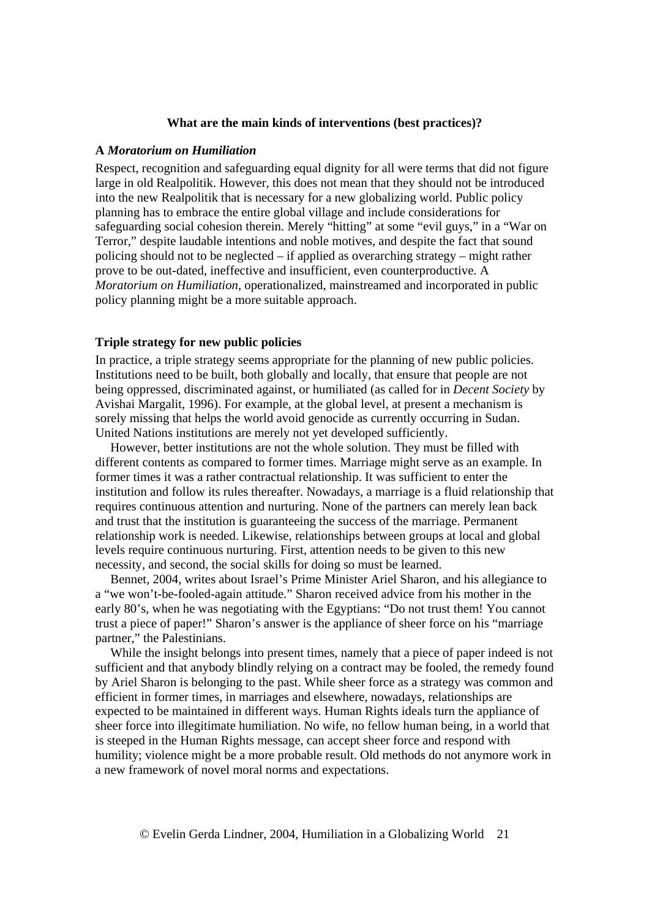## **What are the main kinds of interventions (best practices)?**

### **A** *Moratorium on Humiliation*

Respect, recognition and safeguarding equal dignity for all were terms that did not figure large in old Realpolitik. However, this does not mean that they should not be introduced into the new Realpolitik that is necessary for a new globalizing world. Public policy planning has to embrace the entire global village and include considerations for safeguarding social cohesion therein. Merely "hitting" at some "evil guys," in a "War on Terror," despite laudable intentions and noble motives, and despite the fact that sound policing should not to be neglected – if applied as overarching strategy – might rather prove to be out-dated, ineffective and insufficient, even counterproductive. A *Moratorium on Humiliation*, operationalized, mainstreamed and incorporated in public policy planning might be a more suitable approach.

## **Triple strategy for new public policies**

In practice, a triple strategy seems appropriate for the planning of new public policies. Institutions need to be built, both globally and locally, that ensure that people are not being oppressed, discriminated against, or humiliated (as called for in *Decent Society* by Avishai Margalit, 1996). For example, at the global level, at present a mechanism is sorely missing that helps the world avoid genocide as currently occurring in Sudan. United Nations institutions are merely not yet developed sufficiently.

However, better institutions are not the whole solution. They must be filled with different contents as compared to former times. Marriage might serve as an example. In former times it was a rather contractual relationship. It was sufficient to enter the institution and follow its rules thereafter. Nowadays, a marriage is a fluid relationship that requires continuous attention and nurturing. None of the partners can merely lean back and trust that the institution is guaranteeing the success of the marriage. Permanent relationship work is needed. Likewise, relationships between groups at local and global levels require continuous nurturing. First, attention needs to be given to this new necessity, and second, the social skills for doing so must be learned.

Bennet, 2004, writes about Israel's Prime Minister Ariel Sharon, and his allegiance to a "we won't-be-fooled-again attitude." Sharon received advice from his mother in the early 80's, when he was negotiating with the Egyptians: "Do not trust them! You cannot trust a piece of paper!" Sharon's answer is the appliance of sheer force on his "marriage partner," the Palestinians.

While the insight belongs into present times, namely that a piece of paper indeed is not sufficient and that anybody blindly relying on a contract may be fooled, the remedy found by Ariel Sharon is belonging to the past. While sheer force as a strategy was common and efficient in former times, in marriages and elsewhere, nowadays, relationships are expected to be maintained in different ways. Human Rights ideals turn the appliance of sheer force into illegitimate humiliation. No wife, no fellow human being, in a world that is steeped in the Human Rights message, can accept sheer force and respond with humility; violence might be a more probable result. Old methods do not anymore work in a new framework of novel moral norms and expectations.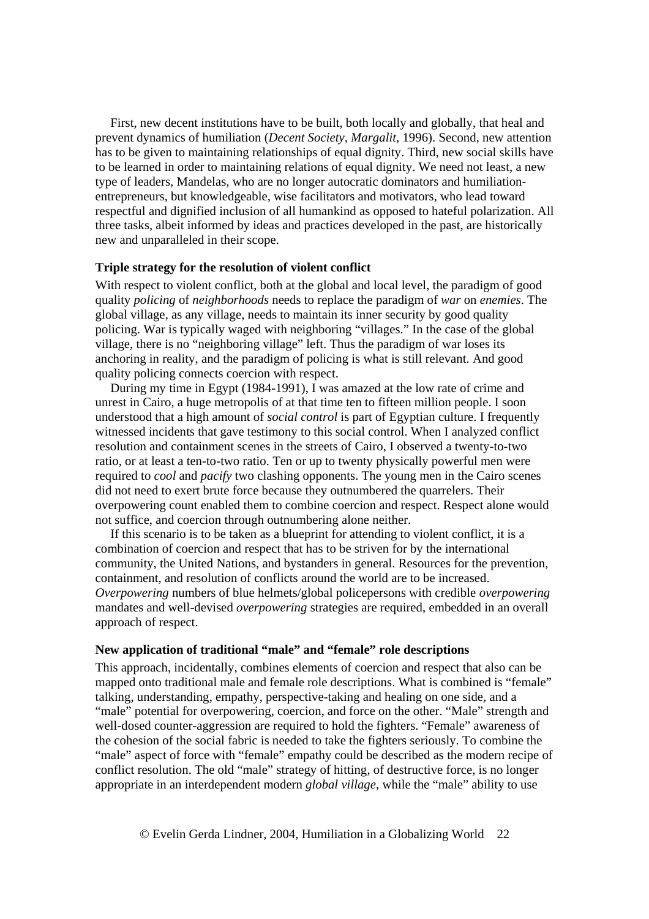First, new decent institutions have to be built, both locally and globally, that heal and prevent dynamics of humiliation (*Decent Society, Margalit*, 1996). Second, new attention has to be given to maintaining relationships of equal dignity. Third, new social skills have to be learned in order to maintaining relations of equal dignity. We need not least, a new type of leaders, Mandelas, who are no longer autocratic dominators and humiliationentrepreneurs, but knowledgeable, wise facilitators and motivators, who lead toward respectful and dignified inclusion of all humankind as opposed to hateful polarization. All three tasks, albeit informed by ideas and practices developed in the past, are historically new and unparalleled in their scope.

## **Triple strategy for the resolution of violent conflict**

With respect to violent conflict, both at the global and local level, the paradigm of good quality *policing* of *neighborhoods* needs to replace the paradigm of *war* on *enemies*. The global village, as any village, needs to maintain its inner security by good quality policing. War is typically waged with neighboring "villages." In the case of the global village, there is no "neighboring village" left. Thus the paradigm of war loses its anchoring in reality, and the paradigm of policing is what is still relevant. And good quality policing connects coercion with respect.

During my time in Egypt (1984-1991), I was amazed at the low rate of crime and unrest in Cairo, a huge metropolis of at that time ten to fifteen million people. I soon understood that a high amount of *social control* is part of Egyptian culture. I frequently witnessed incidents that gave testimony to this social control. When I analyzed conflict resolution and containment scenes in the streets of Cairo, I observed a twenty-to-two ratio, or at least a ten-to-two ratio. Ten or up to twenty physically powerful men were required to *cool* and *pacify* two clashing opponents. The young men in the Cairo scenes did not need to exert brute force because they outnumbered the quarrelers. Their overpowering count enabled them to combine coercion and respect. Respect alone would not suffice, and coercion through outnumbering alone neither.

If this scenario is to be taken as a blueprint for attending to violent conflict, it is a combination of coercion and respect that has to be striven for by the international community, the United Nations, and bystanders in general. Resources for the prevention, containment, and resolution of conflicts around the world are to be increased. *Overpowering* numbers of blue helmets/global policepersons with credible *overpowering* mandates and well-devised *overpowering* strategies are required, embedded in an overall approach of respect.

### **New application of traditional "male" and "female" role descriptions**

This approach, incidentally, combines elements of coercion and respect that also can be mapped onto traditional male and female role descriptions. What is combined is "female" talking, understanding, empathy, perspective-taking and healing on one side, and a "male" potential for overpowering, coercion, and force on the other. "Male" strength and well-dosed counter-aggression are required to hold the fighters. "Female" awareness of the cohesion of the social fabric is needed to take the fighters seriously. To combine the "male" aspect of force with "female" empathy could be described as the modern recipe of conflict resolution. The old "male" strategy of hitting, of destructive force, is no longer appropriate in an interdependent modern *global village*, while the "male" ability to use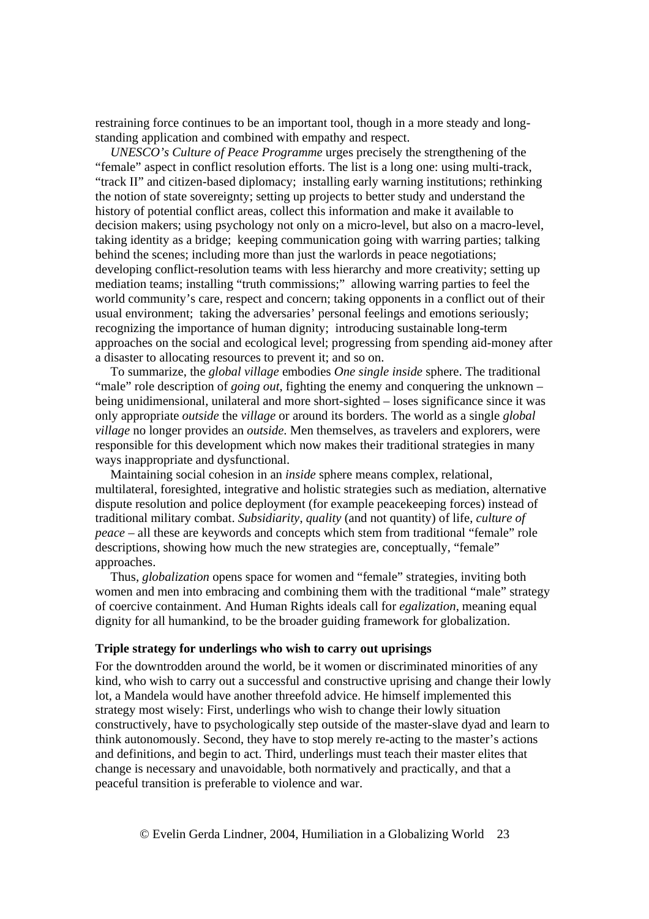restraining force continues to be an important tool, though in a more steady and longstanding application and combined with empathy and respect.

*UNESCO's Culture of Peace Programme* urges precisely the strengthening of the "female" aspect in conflict resolution efforts. The list is a long one: using multi-track, "track II" and citizen-based diplomacy; installing early warning institutions; rethinking the notion of state sovereignty; setting up projects to better study and understand the history of potential conflict areas, collect this information and make it available to decision makers; using psychology not only on a micro-level, but also on a macro-level, taking identity as a bridge; keeping communication going with warring parties; talking behind the scenes; including more than just the warlords in peace negotiations; developing conflict-resolution teams with less hierarchy and more creativity; setting up mediation teams; installing "truth commissions;" allowing warring parties to feel the world community's care, respect and concern; taking opponents in a conflict out of their usual environment; taking the adversaries' personal feelings and emotions seriously; recognizing the importance of human dignity; introducing sustainable long-term approaches on the social and ecological level; progressing from spending aid-money after a disaster to allocating resources to prevent it; and so on.

To summarize, the *global village* embodies *One single inside* sphere. The traditional "male" role description of *going out*, fighting the enemy and conquering the unknown – being unidimensional, unilateral and more short-sighted – loses significance since it was only appropriate *outside* the *village* or around its borders. The world as a single *global village* no longer provides an *outside*. Men themselves, as travelers and explorers, were responsible for this development which now makes their traditional strategies in many ways inappropriate and dysfunctional.

Maintaining social cohesion in an *inside* sphere means complex, relational, multilateral, foresighted, integrative and holistic strategies such as mediation, alternative dispute resolution and police deployment (for example peacekeeping forces) instead of traditional military combat. *Subsidiarity*, *quality* (and not quantity) of life, *culture of peace* – all these are keywords and concepts which stem from traditional "female" role descriptions, showing how much the new strategies are, conceptually, "female" approaches.

Thus, *globalization* opens space for women and "female" strategies, inviting both women and men into embracing and combining them with the traditional "male" strategy of coercive containment. And Human Rights ideals call for *egalization*, meaning equal dignity for all humankind, to be the broader guiding framework for globalization.

### **Triple strategy for underlings who wish to carry out uprisings**

For the downtrodden around the world, be it women or discriminated minorities of any kind, who wish to carry out a successful and constructive uprising and change their lowly lot, a Mandela would have another threefold advice. He himself implemented this strategy most wisely: First, underlings who wish to change their lowly situation constructively, have to psychologically step outside of the master-slave dyad and learn to think autonomously. Second, they have to stop merely re-acting to the master's actions and definitions, and begin to act. Third, underlings must teach their master elites that change is necessary and unavoidable, both normatively and practically, and that a peaceful transition is preferable to violence and war.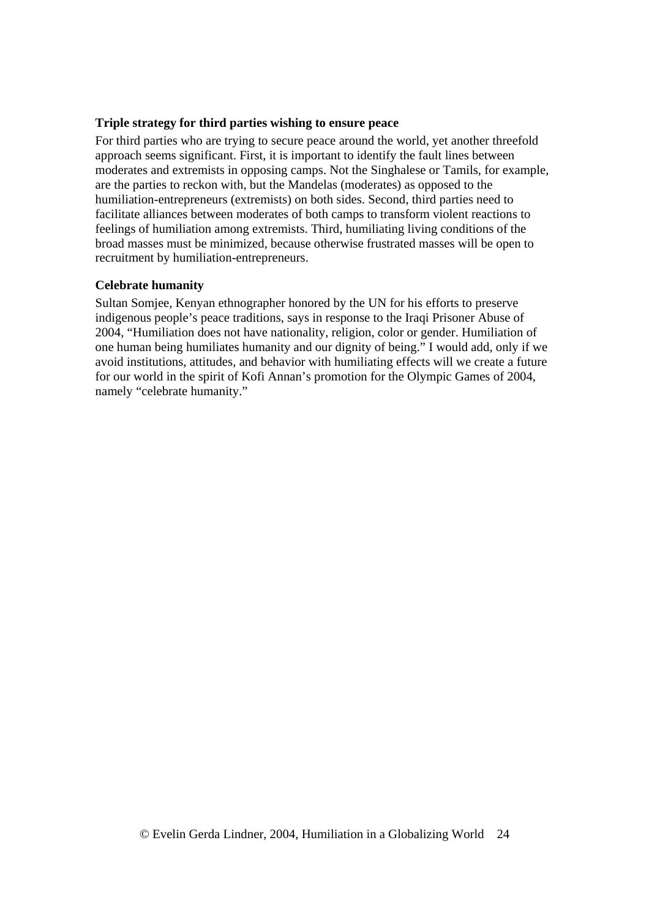# **Triple strategy for third parties wishing to ensure peace**

For third parties who are trying to secure peace around the world, yet another threefold approach seems significant. First, it is important to identify the fault lines between moderates and extremists in opposing camps. Not the Singhalese or Tamils, for example, are the parties to reckon with, but the Mandelas (moderates) as opposed to the humiliation-entrepreneurs (extremists) on both sides. Second, third parties need to facilitate alliances between moderates of both camps to transform violent reactions to feelings of humiliation among extremists. Third, humiliating living conditions of the broad masses must be minimized, because otherwise frustrated masses will be open to recruitment by humiliation-entrepreneurs.

# **Celebrate humanity**

Sultan Somjee, Kenyan ethnographer honored by the UN for his efforts to preserve indigenous people's peace traditions, says in response to the Iraqi Prisoner Abuse of 2004, "Humiliation does not have nationality, religion, color or gender. Humiliation of one human being humiliates humanity and our dignity of being." I would add, only if we avoid institutions, attitudes, and behavior with humiliating effects will we create a future for our world in the spirit of Kofi Annan's promotion for the Olympic Games of 2004, namely "celebrate humanity."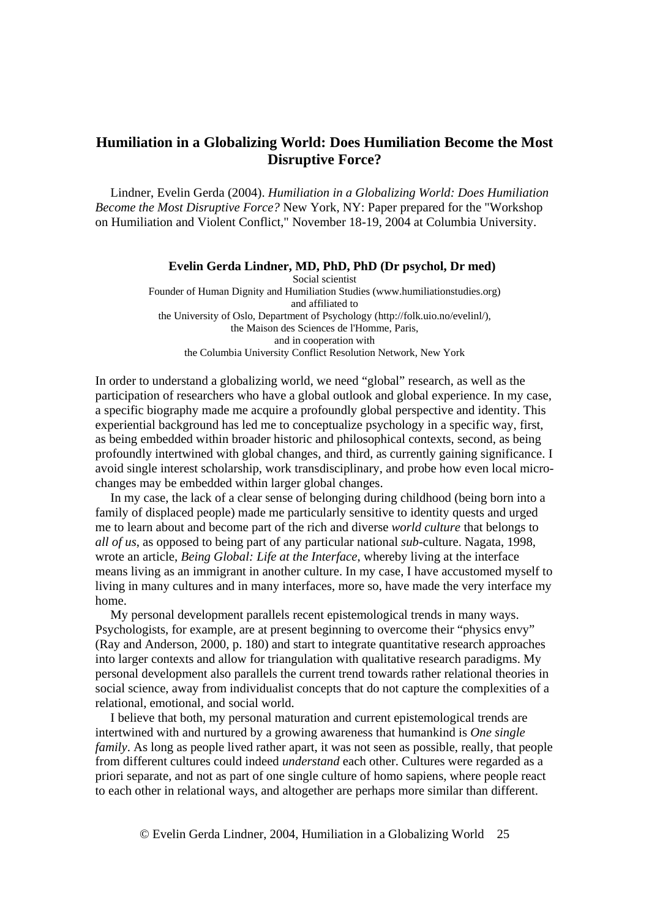# **Humiliation in a Globalizing World: Does Humiliation Become the Most Disruptive Force?**

Lindner, Evelin Gerda (2004). *Humiliation in a Globalizing World: Does Humiliation Become the Most Disruptive Force?* New York, NY: Paper prepared for the "Workshop on Humiliation and Violent Conflict," November 18-19, 2004 at Columbia University.

#### **Evelin Gerda Lindner, MD, PhD, PhD (Dr psychol, Dr med)**  Social scientist

Founder of Human Dignity and Humiliation Studies (www.humiliationstudies.org) and affiliated to the University of Oslo, Department of Psychology (http://folk.uio.no/evelinl/), the Maison des Sciences de l'Homme, Paris, and in cooperation with the Columbia University Conflict Resolution Network, New York

In order to understand a globalizing world, we need "global" research, as well as the participation of researchers who have a global outlook and global experience. In my case, a specific biography made me acquire a profoundly global perspective and identity. This experiential background has led me to conceptualize psychology in a specific way, first, as being embedded within broader historic and philosophical contexts, second, as being profoundly intertwined with global changes, and third, as currently gaining significance. I avoid single interest scholarship, work transdisciplinary, and probe how even local microchanges may be embedded within larger global changes.

In my case, the lack of a clear sense of belonging during childhood (being born into a family of displaced people) made me particularly sensitive to identity quests and urged me to learn about and become part of the rich and diverse *world culture* that belongs to *all of us*, as opposed to being part of any particular national *sub*-culture. Nagata, 1998, wrote an article, *Being Global: Life at the Interface*, whereby living at the interface means living as an immigrant in another culture. In my case, I have accustomed myself to living in many cultures and in many interfaces, more so, have made the very interface my home.

My personal development parallels recent epistemological trends in many ways. Psychologists, for example, are at present beginning to overcome their "physics envy" (Ray and Anderson, 2000, p. 180) and start to integrate quantitative research approaches into larger contexts and allow for triangulation with qualitative research paradigms. My personal development also parallels the current trend towards rather relational theories in social science, away from individualist concepts that do not capture the complexities of a relational, emotional, and social world.

I believe that both, my personal maturation and current epistemological trends are intertwined with and nurtured by a growing awareness that humankind is *One single family*. As long as people lived rather apart, it was not seen as possible, really, that people from different cultures could indeed *understand* each other. Cultures were regarded as a priori separate, and not as part of one single culture of homo sapiens, where people react to each other in relational ways, and altogether are perhaps more similar than different.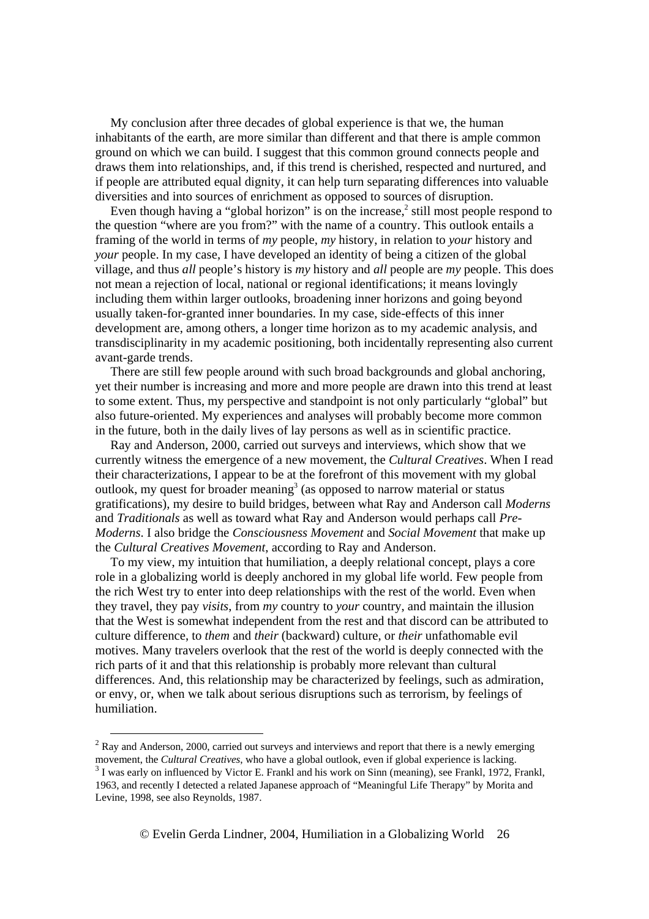My conclusion after three decades of global experience is that we, the human inhabitants of the earth, are more similar than different and that there is ample common ground on which we can build. I suggest that this common ground connects people and draws them into relationships, and, if this trend is cherished, respected and nurtured, and if people are attributed equal dignity, it can help turn separating differences into valuable diversities and into sources of enrichment as opposed to sources of disruption.

Even though having a "global horizon" is on the increase, $\frac{2}{3}$  still most people respond to the question "where are you from?" with the name of a country. This outlook entails a framing of the world in terms of *my* people, *my* history, in relation to *your* history and *your* people. In my case, I have developed an identity of being a citizen of the global village, and thus *all* people's history is *my* history and *all* people are *my* people. This does not mean a rejection of local, national or regional identifications; it means lovingly including them within larger outlooks, broadening inner horizons and going beyond usually taken-for-granted inner boundaries. In my case, side-effects of this inner development are, among others, a longer time horizon as to my academic analysis, and transdisciplinarity in my academic positioning, both incidentally representing also current avant-garde trends.

There are still few people around with such broad backgrounds and global anchoring, yet their number is increasing and more and more people are drawn into this trend at least to some extent. Thus, my perspective and standpoint is not only particularly "global" but also future-oriented. My experiences and analyses will probably become more common in the future, both in the daily lives of lay persons as well as in scientific practice.

Ray and Anderson, 2000, carried out surveys and interviews, which show that we currently witness the emergence of a new movement, the *Cultural Creatives*. When I read their characterizations, I appear to be at the forefront of this movement with my global outlook, my quest for broader meaning<sup>3</sup> (as opposed to narrow material or status gratifications), my desire to build bridges, between what Ray and Anderson call *Moderns* and *Traditionals* as well as toward what Ray and Anderson would perhaps call *Pre-Moderns*. I also bridge the *Consciousness Movement* and *Social Movement* that make up the *Cultural Creatives Movement*, according to Ray and Anderson.

To my view, my intuition that humiliation, a deeply relational concept, plays a core role in a globalizing world is deeply anchored in my global life world. Few people from the rich West try to enter into deep relationships with the rest of the world. Even when they travel, they pay *visits*, from *my* country to *your* country, and maintain the illusion that the West is somewhat independent from the rest and that discord can be attributed to culture difference, to *them* and *their* (backward) culture, or *their* unfathomable evil motives. Many travelers overlook that the rest of the world is deeply connected with the rich parts of it and that this relationship is probably more relevant than cultural differences. And, this relationship may be characterized by feelings, such as admiration, or envy, or, when we talk about serious disruptions such as terrorism, by feelings of humiliation.

<sup>&</sup>lt;sup>2</sup> Ray and Anderson, 2000, carried out surveys and interviews and report that there is a newly emerging movement, the *Cultural Creatives*, who have a global outlook, even if global experience is lacking.  $3$  I was early on influenced by Victor E. Frankl and his work on Sinn (meaning), see Frankl, 1972, Frankl,

<sup>1963,</sup> and recently I detected a related Japanese approach of "Meaningful Life Therapy" by Morita and Levine, 1998, see also Reynolds, 1987.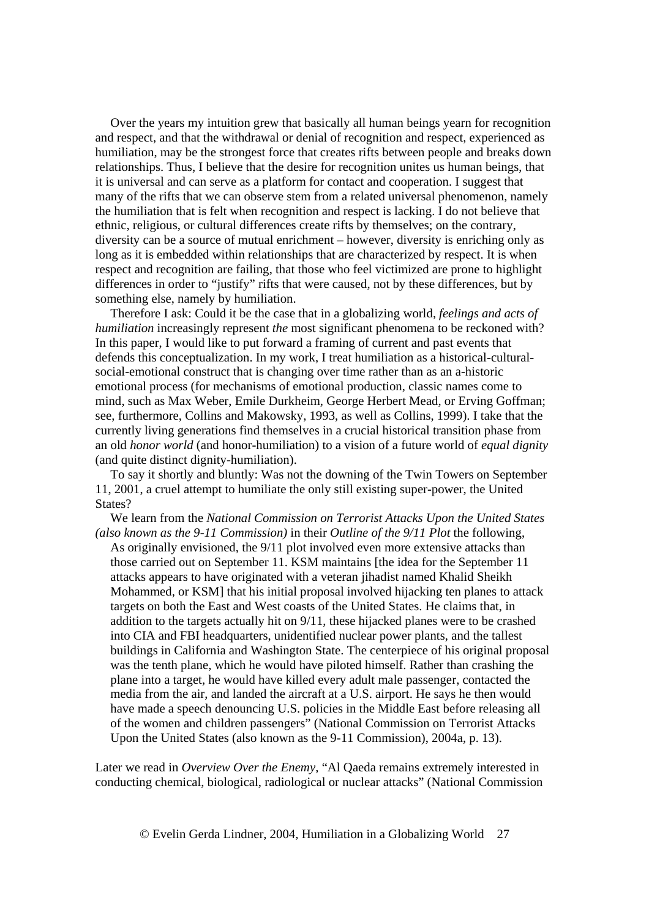Over the years my intuition grew that basically all human beings yearn for recognition and respect, and that the withdrawal or denial of recognition and respect, experienced as humiliation, may be the strongest force that creates rifts between people and breaks down relationships. Thus, I believe that the desire for recognition unites us human beings, that it is universal and can serve as a platform for contact and cooperation. I suggest that many of the rifts that we can observe stem from a related universal phenomenon, namely the humiliation that is felt when recognition and respect is lacking. I do not believe that ethnic, religious, or cultural differences create rifts by themselves; on the contrary, diversity can be a source of mutual enrichment – however, diversity is enriching only as long as it is embedded within relationships that are characterized by respect. It is when respect and recognition are failing, that those who feel victimized are prone to highlight differences in order to "justify" rifts that were caused, not by these differences, but by something else, namely by humiliation.

Therefore I ask: Could it be the case that in a globalizing world, *feelings and acts of humiliation* increasingly represent *the* most significant phenomena to be reckoned with? In this paper, I would like to put forward a framing of current and past events that defends this conceptualization. In my work, I treat humiliation as a historical-culturalsocial-emotional construct that is changing over time rather than as an a-historic emotional process (for mechanisms of emotional production, classic names come to mind, such as Max Weber, Emile Durkheim, George Herbert Mead, or Erving Goffman; see, furthermore, Collins and Makowsky, 1993, as well as Collins, 1999). I take that the currently living generations find themselves in a crucial historical transition phase from an old *honor world* (and honor-humiliation) to a vision of a future world of *equal dignity* (and quite distinct dignity-humiliation).

To say it shortly and bluntly: Was not the downing of the Twin Towers on September 11, 2001, a cruel attempt to humiliate the only still existing super-power, the United States?

We learn from the *National Commission on Terrorist Attacks Upon the United States (also known as the 9-11 Commission)* in their *Outline of the 9/11 Plot* the following, As originally envisioned, the 9/11 plot involved even more extensive attacks than those carried out on September 11. KSM maintains [the idea for the September 11 attacks appears to have originated with a veteran jihadist named Khalid Sheikh Mohammed, or KSM] that his initial proposal involved hijacking ten planes to attack targets on both the East and West coasts of the United States. He claims that, in addition to the targets actually hit on 9/11, these hijacked planes were to be crashed into CIA and FBI headquarters, unidentified nuclear power plants, and the tallest buildings in California and Washington State. The centerpiece of his original proposal was the tenth plane, which he would have piloted himself. Rather than crashing the plane into a target, he would have killed every adult male passenger, contacted the media from the air, and landed the aircraft at a U.S. airport. He says he then would have made a speech denouncing U.S. policies in the Middle East before releasing all of the women and children passengers" (National Commission on Terrorist Attacks Upon the United States (also known as the 9-11 Commission), 2004a, p. 13).

Later we read in *Overview Over the Enemy*, "Al Qaeda remains extremely interested in conducting chemical, biological, radiological or nuclear attacks" (National Commission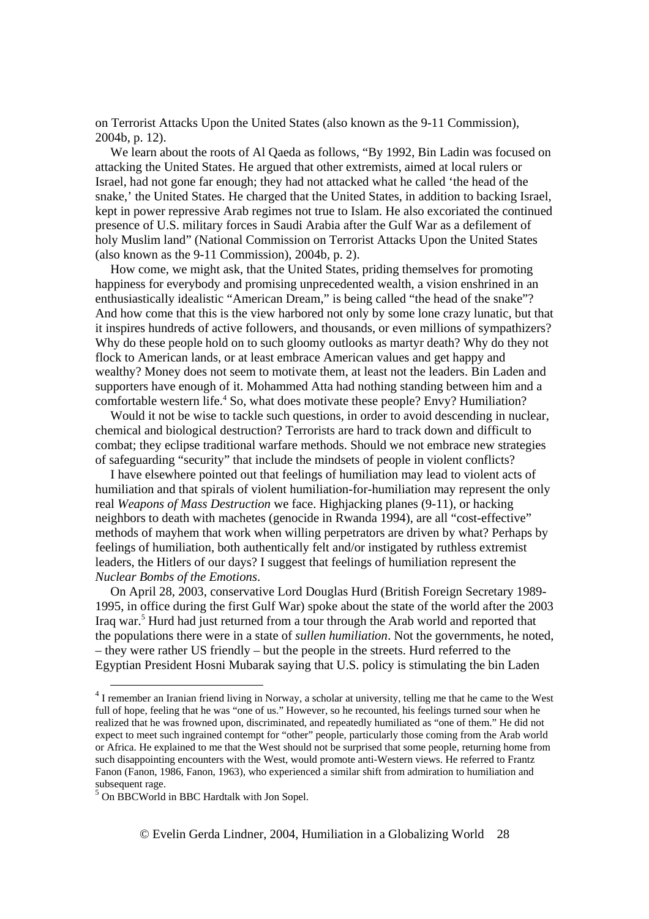on Terrorist Attacks Upon the United States (also known as the 9-11 Commission), 2004b, p. 12).

We learn about the roots of Al Qaeda as follows, "By 1992, Bin Ladin was focused on attacking the United States. He argued that other extremists, aimed at local rulers or Israel, had not gone far enough; they had not attacked what he called 'the head of the snake,' the United States. He charged that the United States, in addition to backing Israel, kept in power repressive Arab regimes not true to Islam. He also excoriated the continued presence of U.S. military forces in Saudi Arabia after the Gulf War as a defilement of holy Muslim land" (National Commission on Terrorist Attacks Upon the United States (also known as the 9-11 Commission), 2004b, p. 2).

How come, we might ask, that the United States, priding themselves for promoting happiness for everybody and promising unprecedented wealth, a vision enshrined in an enthusiastically idealistic "American Dream," is being called "the head of the snake"? And how come that this is the view harbored not only by some lone crazy lunatic, but that it inspires hundreds of active followers, and thousands, or even millions of sympathizers? Why do these people hold on to such gloomy outlooks as martyr death? Why do they not flock to American lands, or at least embrace American values and get happy and wealthy? Money does not seem to motivate them, at least not the leaders. Bin Laden and supporters have enough of it. Mohammed Atta had nothing standing between him and a comfortable western life.<sup>4</sup> So, what does motivate these people? Envy? Humiliation?

Would it not be wise to tackle such questions, in order to avoid descending in nuclear, chemical and biological destruction? Terrorists are hard to track down and difficult to combat; they eclipse traditional warfare methods. Should we not embrace new strategies of safeguarding "security" that include the mindsets of people in violent conflicts?

I have elsewhere pointed out that feelings of humiliation may lead to violent acts of humiliation and that spirals of violent humiliation-for-humiliation may represent the only real *Weapons of Mass Destruction* we face. Highjacking planes (9-11), or hacking neighbors to death with machetes (genocide in Rwanda 1994), are all "cost-effective" methods of mayhem that work when willing perpetrators are driven by what? Perhaps by feelings of humiliation, both authentically felt and/or instigated by ruthless extremist leaders, the Hitlers of our days? I suggest that feelings of humiliation represent the *Nuclear Bombs of the Emotions*.

On April 28, 2003, conservative Lord Douglas Hurd (British Foreign Secretary 1989- 1995, in office during the first Gulf War) spoke about the state of the world after the 2003 Iraq war.<sup>5</sup> Hurd had just returned from a tour through the Arab world and reported that the populations there were in a state of *sullen humiliation*. Not the governments, he noted, – they were rather US friendly – but the people in the streets. Hurd referred to the Egyptian President Hosni Mubarak saying that U.S. policy is stimulating the bin Laden

<sup>&</sup>lt;sup>4</sup> I remember an Iranian friend living in Norway, a scholar at university, telling me that he came to the West full of hope, feeling that he was "one of us." However, so he recounted, his feelings turned sour when he realized that he was frowned upon, discriminated, and repeatedly humiliated as "one of them." He did not expect to meet such ingrained contempt for "other" people, particularly those coming from the Arab world or Africa. He explained to me that the West should not be surprised that some people, returning home from such disappointing encounters with the West, would promote anti-Western views. He referred to Frantz Fanon (Fanon, 1986, Fanon, 1963), who experienced a similar shift from admiration to humiliation and subsequent rage.

<sup>&</sup>lt;sup>5</sup> On BBCWorld in BBC Hardtalk with Jon Sopel.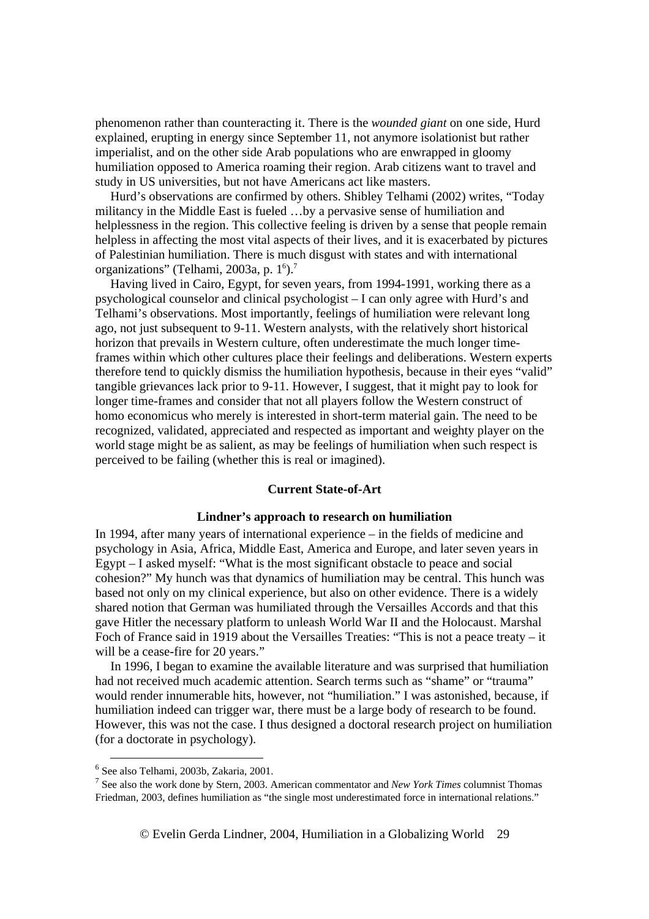phenomenon rather than counteracting it. There is the *wounded giant* on one side, Hurd explained, erupting in energy since September 11, not anymore isolationist but rather imperialist, and on the other side Arab populations who are enwrapped in gloomy humiliation opposed to America roaming their region. Arab citizens want to travel and study in US universities, but not have Americans act like masters.

Hurd's observations are confirmed by others. Shibley Telhami (2002) writes, "Today militancy in the Middle East is fueled …by a pervasive sense of humiliation and helplessness in the region. This collective feeling is driven by a sense that people remain helpless in affecting the most vital aspects of their lives, and it is exacerbated by pictures of Palestinian humiliation. There is much disgust with states and with international organizations" (Telhami, 2003a, p.  $1^6$ ).<sup>7</sup>

Having lived in Cairo, Egypt, for seven years, from 1994-1991, working there as a psychological counselor and clinical psychologist – I can only agree with Hurd's and Telhami's observations. Most importantly, feelings of humiliation were relevant long ago, not just subsequent to 9-11. Western analysts, with the relatively short historical horizon that prevails in Western culture, often underestimate the much longer timeframes within which other cultures place their feelings and deliberations. Western experts therefore tend to quickly dismiss the humiliation hypothesis, because in their eyes "valid" tangible grievances lack prior to 9-11. However, I suggest, that it might pay to look for longer time-frames and consider that not all players follow the Western construct of homo economicus who merely is interested in short-term material gain. The need to be recognized, validated, appreciated and respected as important and weighty player on the world stage might be as salient, as may be feelings of humiliation when such respect is perceived to be failing (whether this is real or imagined).

### **Current State-of-Art**

#### **Lindner's approach to research on humiliation**

In 1994, after many years of international experience – in the fields of medicine and psychology in Asia, Africa, Middle East, America and Europe, and later seven years in Egypt – I asked myself: "What is the most significant obstacle to peace and social cohesion?" My hunch was that dynamics of humiliation may be central. This hunch was based not only on my clinical experience, but also on other evidence. There is a widely shared notion that German was humiliated through the Versailles Accords and that this gave Hitler the necessary platform to unleash World War II and the Holocaust. Marshal Foch of France said in 1919 about the Versailles Treaties: "This is not a peace treaty – it will be a cease-fire for 20 years."

In 1996, I began to examine the available literature and was surprised that humiliation had not received much academic attention. Search terms such as "shame" or "trauma" would render innumerable hits, however, not "humiliation." I was astonished, because, if humiliation indeed can trigger war, there must be a large body of research to be found. However, this was not the case. I thus designed a doctoral research project on humiliation (for a doctorate in psychology).

 <sup>6</sup> See also Telhami, 2003b, Zakaria, 2001.

<sup>7</sup> See also the work done by Stern, 2003. American commentator and *New York Times* columnist Thomas Friedman, 2003, defines humiliation as "the single most underestimated force in international relations."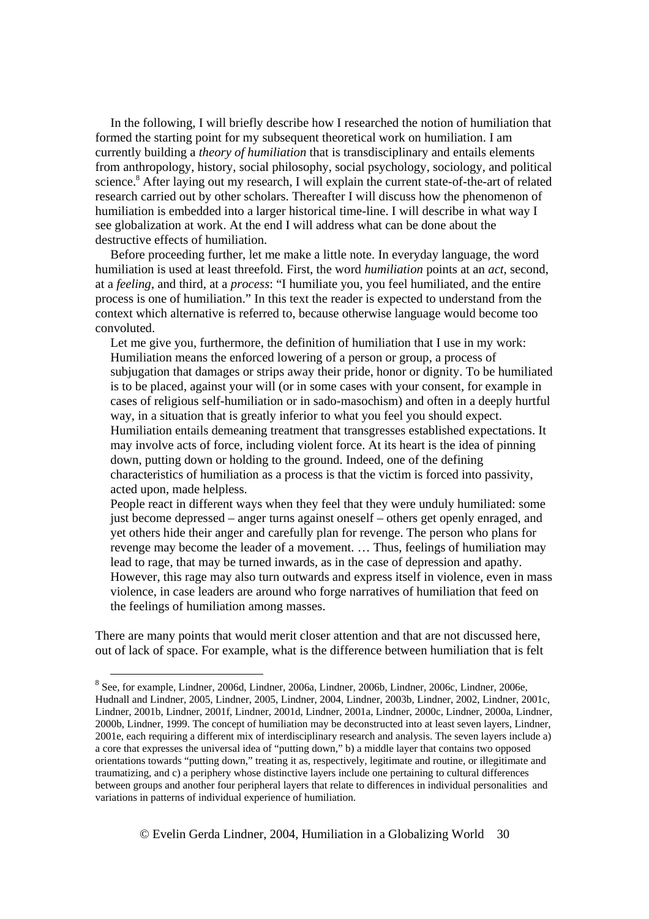In the following, I will briefly describe how I researched the notion of humiliation that formed the starting point for my subsequent theoretical work on humiliation. I am currently building a *theory of humiliation* that is transdisciplinary and entails elements from anthropology, history, social philosophy, social psychology, sociology, and political science.<sup>8</sup> After laying out my research, I will explain the current state-of-the-art of related research carried out by other scholars. Thereafter I will discuss how the phenomenon of humiliation is embedded into a larger historical time-line. I will describe in what way I see globalization at work. At the end I will address what can be done about the destructive effects of humiliation.

Before proceeding further, let me make a little note. In everyday language, the word humiliation is used at least threefold. First, the word *humiliation* points at an *act*, second, at a *feeling*, and third, at a *process*: "I humiliate you, you feel humiliated, and the entire process is one of humiliation." In this text the reader is expected to understand from the context which alternative is referred to, because otherwise language would become too convoluted.

Let me give you, furthermore, the definition of humiliation that I use in my work: Humiliation means the enforced lowering of a person or group, a process of subjugation that damages or strips away their pride, honor or dignity. To be humiliated is to be placed, against your will (or in some cases with your consent, for example in cases of religious self-humiliation or in sado-masochism) and often in a deeply hurtful way, in a situation that is greatly inferior to what you feel you should expect. Humiliation entails demeaning treatment that transgresses established expectations. It may involve acts of force, including violent force. At its heart is the idea of pinning down, putting down or holding to the ground. Indeed, one of the defining characteristics of humiliation as a process is that the victim is forced into passivity, acted upon, made helpless.

People react in different ways when they feel that they were unduly humiliated: some just become depressed – anger turns against oneself – others get openly enraged, and yet others hide their anger and carefully plan for revenge. The person who plans for revenge may become the leader of a movement. … Thus, feelings of humiliation may lead to rage, that may be turned inwards, as in the case of depression and apathy. However, this rage may also turn outwards and express itself in violence, even in mass violence, in case leaders are around who forge narratives of humiliation that feed on the feelings of humiliation among masses.

There are many points that would merit closer attention and that are not discussed here, out of lack of space. For example, what is the difference between humiliation that is felt

 <sup>8</sup> See, for example, Lindner, 2006d, Lindner, 2006a, Lindner, 2006b, Lindner, 2006c, Lindner, 2006e, Hudnall and Lindner, 2005, Lindner, 2005, Lindner, 2004, Lindner, 2003b, Lindner, 2002, Lindner, 2001c, Lindner, 2001b, Lindner, 2001f, Lindner, 2001d, Lindner, 2001a, Lindner, 2000c, Lindner, 2000a, Lindner, 2000b, Lindner, 1999. The concept of humiliation may be deconstructed into at least seven layers, Lindner, 2001e, each requiring a different mix of interdisciplinary research and analysis. The seven layers include a) a core that expresses the universal idea of "putting down," b) a middle layer that contains two opposed orientations towards "putting down," treating it as, respectively, legitimate and routine, or illegitimate and traumatizing, and c) a periphery whose distinctive layers include one pertaining to cultural differences between groups and another four peripheral layers that relate to differences in individual personalities and variations in patterns of individual experience of humiliation.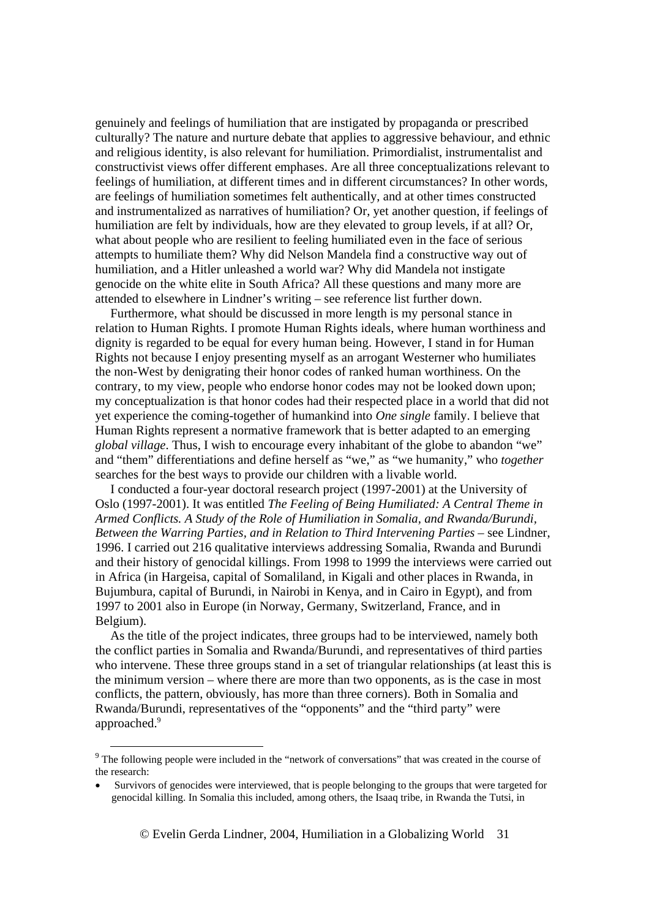genuinely and feelings of humiliation that are instigated by propaganda or prescribed culturally? The nature and nurture debate that applies to aggressive behaviour, and ethnic and religious identity, is also relevant for humiliation. Primordialist, instrumentalist and constructivist views offer different emphases. Are all three conceptualizations relevant to feelings of humiliation, at different times and in different circumstances? In other words, are feelings of humiliation sometimes felt authentically, and at other times constructed and instrumentalized as narratives of humiliation? Or, yet another question, if feelings of humiliation are felt by individuals, how are they elevated to group levels, if at all? Or, what about people who are resilient to feeling humiliated even in the face of serious attempts to humiliate them? Why did Nelson Mandela find a constructive way out of humiliation, and a Hitler unleashed a world war? Why did Mandela not instigate genocide on the white elite in South Africa? All these questions and many more are attended to elsewhere in Lindner's writing – see reference list further down.

Furthermore, what should be discussed in more length is my personal stance in relation to Human Rights. I promote Human Rights ideals, where human worthiness and dignity is regarded to be equal for every human being. However, I stand in for Human Rights not because I enjoy presenting myself as an arrogant Westerner who humiliates the non-West by denigrating their honor codes of ranked human worthiness. On the contrary, to my view, people who endorse honor codes may not be looked down upon; my conceptualization is that honor codes had their respected place in a world that did not yet experience the coming-together of humankind into *One single* family. I believe that Human Rights represent a normative framework that is better adapted to an emerging *global village*. Thus, I wish to encourage every inhabitant of the globe to abandon "we" and "them" differentiations and define herself as "we," as "we humanity," who *together* searches for the best ways to provide our children with a livable world.

I conducted a four-year doctoral research project (1997-2001) at the University of Oslo (1997-2001). It was entitled *The Feeling of Being Humiliated: A Central Theme in Armed Conflicts. A Study of the Role of Humiliation in Somalia, and Rwanda/Burundi, Between the Warring Parties, and in Relation to Third Intervening Parties* – see Lindner, 1996. I carried out 216 qualitative interviews addressing Somalia, Rwanda and Burundi and their history of genocidal killings. From 1998 to 1999 the interviews were carried out in Africa (in Hargeisa, capital of Somaliland, in Kigali and other places in Rwanda, in Bujumbura, capital of Burundi, in Nairobi in Kenya, and in Cairo in Egypt), and from 1997 to 2001 also in Europe (in Norway, Germany, Switzerland, France, and in Belgium).

As the title of the project indicates, three groups had to be interviewed, namely both the conflict parties in Somalia and Rwanda/Burundi, and representatives of third parties who intervene. These three groups stand in a set of triangular relationships (at least this is the minimum version – where there are more than two opponents, as is the case in most conflicts, the pattern, obviously, has more than three corners). Both in Somalia and Rwanda/Burundi, representatives of the "opponents" and the "third party" were approached.<sup>9</sup>

<sup>&</sup>lt;sup>9</sup> The following people were included in the "network of conversations" that was created in the course of the research:

<sup>•</sup> Survivors of genocides were interviewed, that is people belonging to the groups that were targeted for genocidal killing. In Somalia this included, among others, the Isaaq tribe, in Rwanda the Tutsi, in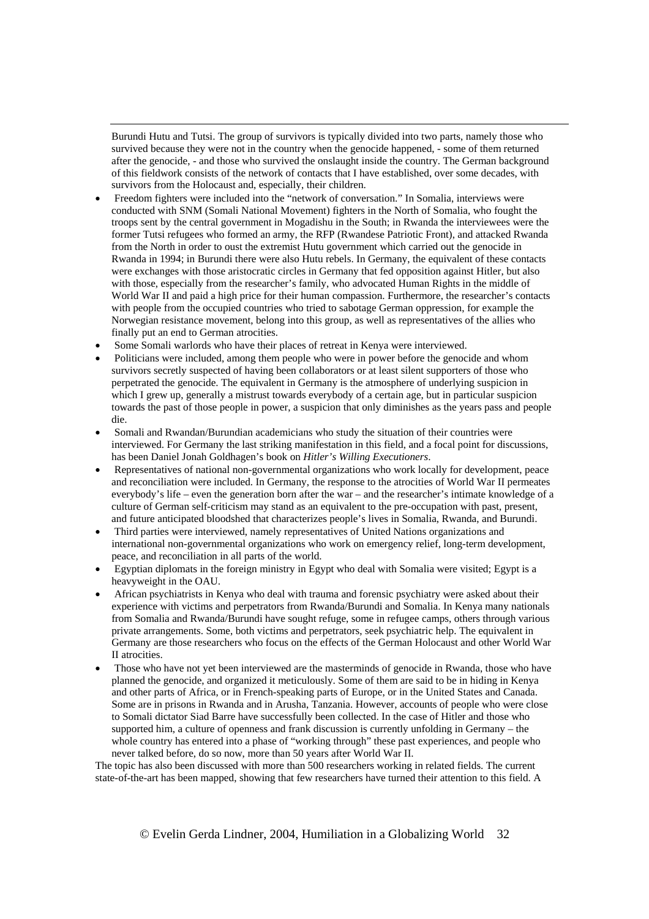Burundi Hutu and Tutsi. The group of survivors is typically divided into two parts, namely those who survived because they were not in the country when the genocide happened, - some of them returned after the genocide, - and those who survived the onslaught inside the country. The German background of this fieldwork consists of the network of contacts that I have established, over some decades, with survivors from the Holocaust and, especially, their children.

- Freedom fighters were included into the "network of conversation." In Somalia, interviews were conducted with SNM (Somali National Movement) fighters in the North of Somalia, who fought the troops sent by the central government in Mogadishu in the South; in Rwanda the interviewees were the former Tutsi refugees who formed an army, the RFP (Rwandese Patriotic Front), and attacked Rwanda from the North in order to oust the extremist Hutu government which carried out the genocide in Rwanda in 1994; in Burundi there were also Hutu rebels. In Germany, the equivalent of these contacts were exchanges with those aristocratic circles in Germany that fed opposition against Hitler, but also with those, especially from the researcher's family, who advocated Human Rights in the middle of World War II and paid a high price for their human compassion. Furthermore, the researcher's contacts with people from the occupied countries who tried to sabotage German oppression, for example the Norwegian resistance movement, belong into this group, as well as representatives of the allies who finally put an end to German atrocities.
- Some Somali warlords who have their places of retreat in Kenya were interviewed.
- Politicians were included, among them people who were in power before the genocide and whom survivors secretly suspected of having been collaborators or at least silent supporters of those who perpetrated the genocide. The equivalent in Germany is the atmosphere of underlying suspicion in which I grew up, generally a mistrust towards everybody of a certain age, but in particular suspicion towards the past of those people in power, a suspicion that only diminishes as the years pass and people die.
- Somali and Rwandan/Burundian academicians who study the situation of their countries were interviewed. For Germany the last striking manifestation in this field, and a focal point for discussions, has been Daniel Jonah Goldhagen's book on *Hitler's Willing Executioners*.
- Representatives of national non-governmental organizations who work locally for development, peace and reconciliation were included. In Germany, the response to the atrocities of World War II permeates everybody's life – even the generation born after the war – and the researcher's intimate knowledge of a culture of German self-criticism may stand as an equivalent to the pre-occupation with past, present, and future anticipated bloodshed that characterizes people's lives in Somalia, Rwanda, and Burundi.
- Third parties were interviewed, namely representatives of United Nations organizations and international non-governmental organizations who work on emergency relief, long-term development, peace, and reconciliation in all parts of the world.
- Egyptian diplomats in the foreign ministry in Egypt who deal with Somalia were visited; Egypt is a heavyweight in the OAU.
- African psychiatrists in Kenya who deal with trauma and forensic psychiatry were asked about their experience with victims and perpetrators from Rwanda/Burundi and Somalia. In Kenya many nationals from Somalia and Rwanda/Burundi have sought refuge, some in refugee camps, others through various private arrangements. Some, both victims and perpetrators, seek psychiatric help. The equivalent in Germany are those researchers who focus on the effects of the German Holocaust and other World War II atrocities.
- Those who have not yet been interviewed are the masterminds of genocide in Rwanda, those who have planned the genocide, and organized it meticulously. Some of them are said to be in hiding in Kenya and other parts of Africa, or in French-speaking parts of Europe, or in the United States and Canada. Some are in prisons in Rwanda and in Arusha, Tanzania. However, accounts of people who were close to Somali dictator Siad Barre have successfully been collected. In the case of Hitler and those who supported him, a culture of openness and frank discussion is currently unfolding in Germany – the whole country has entered into a phase of "working through" these past experiences, and people who never talked before, do so now, more than 50 years after World War II.

The topic has also been discussed with more than 500 researchers working in related fields. The current state-of-the-art has been mapped, showing that few researchers have turned their attention to this field. A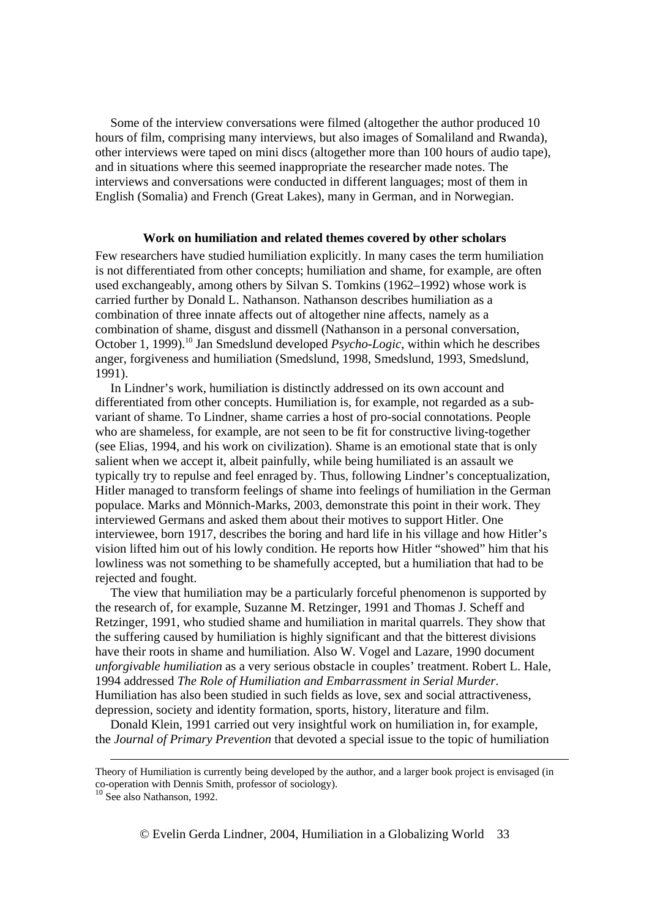Some of the interview conversations were filmed (altogether the author produced 10 hours of film, comprising many interviews, but also images of Somaliland and Rwanda), other interviews were taped on mini discs (altogether more than 100 hours of audio tape), and in situations where this seemed inappropriate the researcher made notes. The interviews and conversations were conducted in different languages; most of them in English (Somalia) and French (Great Lakes), many in German, and in Norwegian.

#### **Work on humiliation and related themes covered by other scholars**

Few researchers have studied humiliation explicitly. In many cases the term humiliation is not differentiated from other concepts; humiliation and shame, for example, are often used exchangeably, among others by Silvan S. Tomkins (1962–1992) whose work is carried further by Donald L. Nathanson. Nathanson describes humiliation as a combination of three innate affects out of altogether nine affects, namely as a combination of shame, disgust and dissmell (Nathanson in a personal conversation, October 1, 1999).<sup>10</sup> Jan Smedslund developed *Psycho-Logic*, within which he describes anger, forgiveness and humiliation (Smedslund, 1998, Smedslund, 1993, Smedslund, 1991).

In Lindner's work, humiliation is distinctly addressed on its own account and differentiated from other concepts. Humiliation is, for example, not regarded as a subvariant of shame. To Lindner, shame carries a host of pro-social connotations. People who are shameless, for example, are not seen to be fit for constructive living-together (see Elias, 1994, and his work on civilization). Shame is an emotional state that is only salient when we accept it, albeit painfully, while being humiliated is an assault we typically try to repulse and feel enraged by. Thus, following Lindner's conceptualization, Hitler managed to transform feelings of shame into feelings of humiliation in the German populace. Marks and Mönnich-Marks, 2003, demonstrate this point in their work. They interviewed Germans and asked them about their motives to support Hitler. One interviewee, born 1917, describes the boring and hard life in his village and how Hitler's vision lifted him out of his lowly condition. He reports how Hitler "showed" him that his lowliness was not something to be shamefully accepted, but a humiliation that had to be rejected and fought.

The view that humiliation may be a particularly forceful phenomenon is supported by the research of, for example, Suzanne M. Retzinger, 1991 and Thomas J. Scheff and Retzinger, 1991, who studied shame and humiliation in marital quarrels. They show that the suffering caused by humiliation is highly significant and that the bitterest divisions have their roots in shame and humiliation. Also W. Vogel and Lazare, 1990 document *unforgivable humiliation* as a very serious obstacle in couples' treatment. Robert L. Hale, 1994 addressed *The Role of Humiliation and Embarrassment in Serial Murder*. Humiliation has also been studied in such fields as love, sex and social attractiveness, depression, society and identity formation, sports, history, literature and film.

Donald Klein, 1991 carried out very insightful work on humiliation in, for example, the *Journal of Primary Prevention* that devoted a special issue to the topic of humiliation

Theory of Humiliation is currently being developed by the author, and a larger book project is envisaged (in co-operation with Dennis Smith, professor of sociology).

<sup>&</sup>lt;sup>10</sup> See also Nathanson, 1992.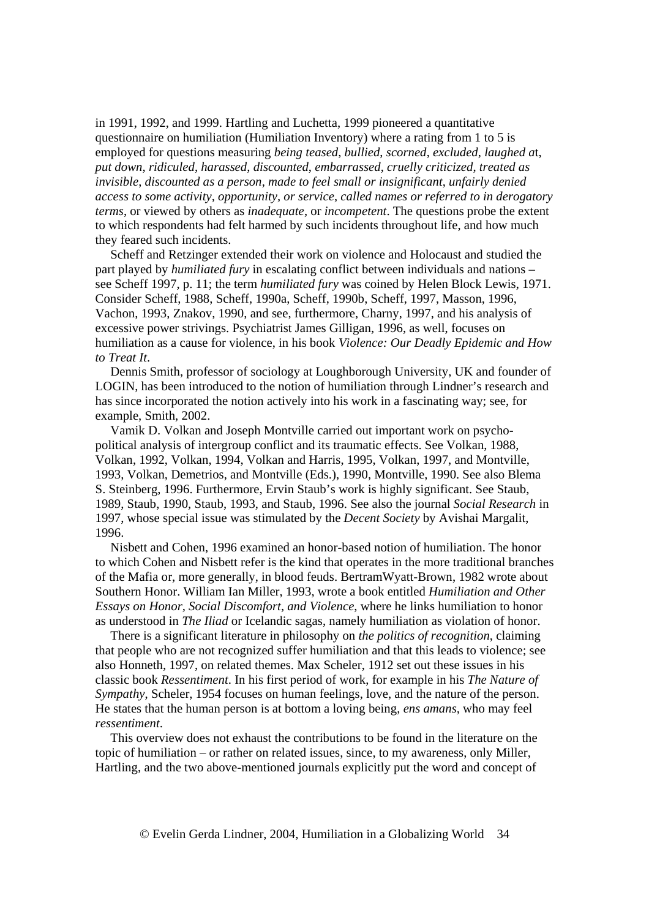in 1991, 1992, and 1999. Hartling and Luchetta, 1999 pioneered a quantitative questionnaire on humiliation (Humiliation Inventory) where a rating from 1 to 5 is employed for questions measuring *being teased*, *bullied*, *scorned*, *excluded*, *laughed a*t, *put down*, *ridiculed*, *harassed*, *discounted*, *embarrassed*, *cruelly criticized*, *treated as invisible*, *discounted as a person*, *made to feel small or insignificant*, *unfairly denied access to some activity, opportunity, or service*, *called names or referred to in derogatory terms*, or viewed by others as *inadequate*, or *incompetent*. The questions probe the extent to which respondents had felt harmed by such incidents throughout life, and how much they feared such incidents.

Scheff and Retzinger extended their work on violence and Holocaust and studied the part played by *humiliated fury* in escalating conflict between individuals and nations – see Scheff 1997, p. 11; the term *humiliated fury* was coined by Helen Block Lewis, 1971. Consider Scheff, 1988, Scheff, 1990a, Scheff, 1990b, Scheff, 1997, Masson, 1996, Vachon, 1993, Znakov, 1990, and see, furthermore, Charny, 1997, and his analysis of excessive power strivings. Psychiatrist James Gilligan, 1996, as well, focuses on humiliation as a cause for violence, in his book *Violence: Our Deadly Epidemic and How to Treat It*.

Dennis Smith, professor of sociology at Loughborough University, UK and founder of LOGIN, has been introduced to the notion of humiliation through Lindner's research and has since incorporated the notion actively into his work in a fascinating way; see, for example, Smith, 2002.

Vamik D. Volkan and Joseph Montville carried out important work on psychopolitical analysis of intergroup conflict and its traumatic effects. See Volkan, 1988, Volkan, 1992, Volkan, 1994, Volkan and Harris, 1995, Volkan, 1997, and Montville, 1993, Volkan, Demetrios, and Montville (Eds.), 1990, Montville, 1990. See also Blema S. Steinberg, 1996. Furthermore, Ervin Staub's work is highly significant. See Staub, 1989, Staub, 1990, Staub, 1993, and Staub, 1996. See also the journal *Social Research* in 1997, whose special issue was stimulated by the *Decent Society* by Avishai Margalit, 1996.

Nisbett and Cohen, 1996 examined an honor-based notion of humiliation. The honor to which Cohen and Nisbett refer is the kind that operates in the more traditional branches of the Mafia or, more generally, in blood feuds. BertramWyatt-Brown, 1982 wrote about Southern Honor. William Ian Miller, 1993, wrote a book entitled *Humiliation and Other Essays on Honor, Social Discomfort, and Violence*, where he links humiliation to honor as understood in *The Iliad* or Icelandic sagas, namely humiliation as violation of honor.

There is a significant literature in philosophy on *the politics of recognition*, claiming that people who are not recognized suffer humiliation and that this leads to violence; see also Honneth, 1997, on related themes. Max Scheler, 1912 set out these issues in his classic book *Ressentiment*. In his first period of work, for example in his *The Nature of Sympathy*, Scheler, 1954 focuses on human feelings, love, and the nature of the person. He states that the human person is at bottom a loving being, *ens amans,* who may feel *ressentiment*.

This overview does not exhaust the contributions to be found in the literature on the topic of humiliation – or rather on related issues, since, to my awareness, only Miller, Hartling, and the two above-mentioned journals explicitly put the word and concept of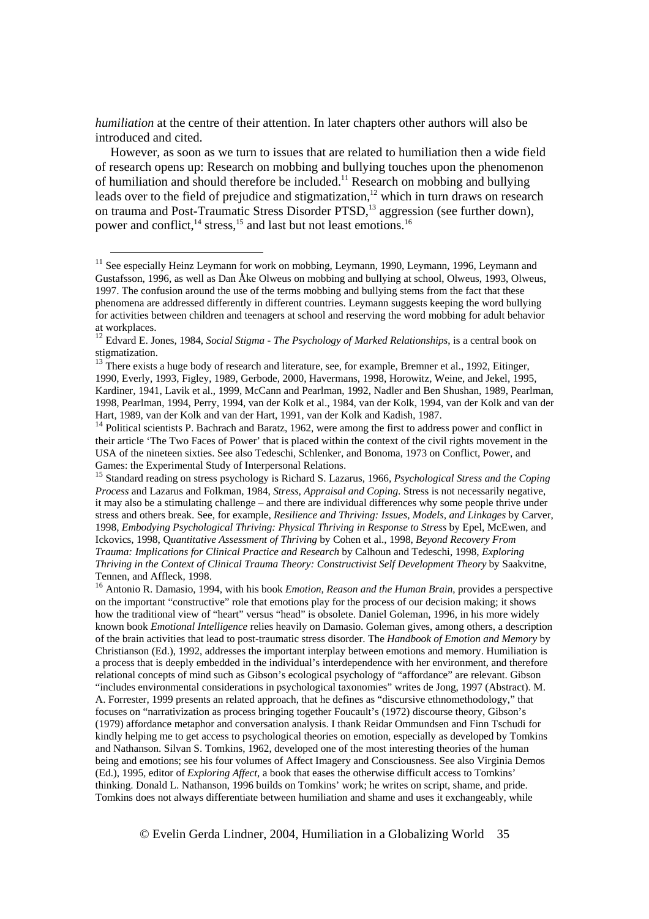*humiliation* at the centre of their attention. In later chapters other authors will also be introduced and cited.

However, as soon as we turn to issues that are related to humiliation then a wide field of research opens up: Research on mobbing and bullying touches upon the phenomenon of humiliation and should therefore be included.11 Research on mobbing and bullying leads over to the field of prejudice and stigmatization,<sup>12</sup> which in turn draws on research on trauma and Post-Traumatic Stress Disorder PTSD,<sup>13</sup> aggression (see further down), power and conflict,<sup>14</sup> stress,<sup>15</sup> and last but not least emotions.<sup>16</sup>

<sup>14</sup> Political scientists P. Bachrach and Baratz, 1962, were among the first to address power and conflict in their article 'The Two Faces of Power' that is placed within the context of the civil rights movement in the USA of the nineteen sixties. See also Tedeschi, Schlenker, and Bonoma, 1973 on Conflict, Power, and Games: the Experimental Study of Interpersonal Relations.

<sup>15</sup> Standard reading on stress psychology is Richard S. Lazarus, 1966, *Psychological Stress and the Coping Process* and Lazarus and Folkman, 1984, *Stress, Appraisal and Coping*. Stress is not necessarily negative, it may also be a stimulating challenge – and there are individual differences why some people thrive under stress and others break. See, for example, *Resilience and Thriving: Issues, Models, and Linkages* by Carver, 1998, *Embodying Psychological Thriving: Physical Thriving in Response to Stress* by Epel, McEwen, and Ickovics, 1998, Q*uantitative Assessment of Thriving* by Cohen et al., 1998, *Beyond Recovery From Trauma: Implications for Clinical Practice and Research* by Calhoun and Tedeschi, 1998, *Exploring Thriving in the Context of Clinical Trauma Theory: Constructivist Self Development Theory* by Saakvitne, Tennen, and Affleck, 1998.

<sup>16</sup> Antonio R. Damasio, 1994, with his book *Emotion, Reason and the Human Brain*, provides a perspective on the important "constructive" role that emotions play for the process of our decision making; it shows how the traditional view of "heart" versus "head" is obsolete. Daniel Goleman, 1996, in his more widely known book *Emotional Intelligence* relies heavily on Damasio. Goleman gives, among others, a description of the brain activities that lead to post-traumatic stress disorder. The *Handbook of Emotion and Memory* by Christianson (Ed.), 1992, addresses the important interplay between emotions and memory. Humiliation is a process that is deeply embedded in the individual's interdependence with her environment, and therefore relational concepts of mind such as Gibson's ecological psychology of "affordance" are relevant. Gibson "includes environmental considerations in psychological taxonomies" writes de Jong, 1997 (Abstract). M. A. Forrester, 1999 presents an related approach, that he defines as "discursive ethnomethodology," that focuses on "narrativization as process bringing together Foucault's (1972) discourse theory, Gibson's (1979) affordance metaphor and conversation analysis. I thank Reidar Ommundsen and Finn Tschudi for kindly helping me to get access to psychological theories on emotion, especially as developed by Tomkins and Nathanson. Silvan S. Tomkins, 1962, developed one of the most interesting theories of the human being and emotions; see his four volumes of Affect Imagery and Consciousness. See also Virginia Demos (Ed.), 1995, editor of *Exploring Affect*, a book that eases the otherwise difficult access to Tomkins' thinking. Donald L. Nathanson, 1996 builds on Tomkins' work; he writes on script, shame, and pride. Tomkins does not always differentiate between humiliation and shame and uses it exchangeably, while

<sup>&</sup>lt;sup>11</sup> See especially Heinz Leymann for work on mobbing, Leymann, 1990, Leymann, 1996, Leymann and Gustafsson, 1996, as well as Dan Åke Olweus on mobbing and bullying at school, Olweus, 1993, Olweus, 1997. The confusion around the use of the terms mobbing and bullying stems from the fact that these phenomena are addressed differently in different countries. Leymann suggests keeping the word bullying for activities between children and teenagers at school and reserving the word mobbing for adult behavior at workplaces.

<sup>&</sup>lt;sup>12</sup> Edvard E. Jones, 1984, *Social Stigma - The Psychology of Marked Relationships*, is a central book on stigmatization.

<sup>&</sup>lt;sup>13</sup> There exists a huge body of research and literature, see, for example, Bremner et al., 1992, Eitinger, 1990, Everly, 1993, Figley, 1989, Gerbode, 2000, Havermans, 1998, Horowitz, Weine, and Jekel, 1995, Kardiner, 1941, Lavik et al., 1999, McCann and Pearlman, 1992, Nadler and Ben Shushan, 1989, Pearlman, 1998, Pearlman, 1994, Perry, 1994, van der Kolk et al., 1984, van der Kolk, 1994, van der Kolk and van der Hart, 1989, van der Kolk and van der Hart, 1991, van der Kolk and Kadish, 1987.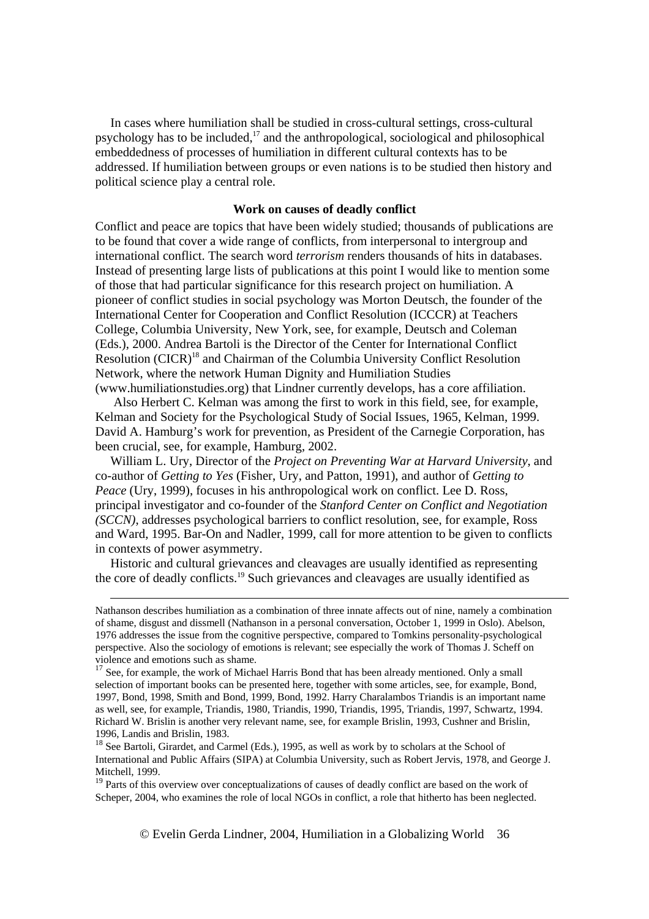In cases where humiliation shall be studied in cross-cultural settings, cross-cultural psychology has to be included, $17$  and the anthropological, sociological and philosophical embeddedness of processes of humiliation in different cultural contexts has to be addressed. If humiliation between groups or even nations is to be studied then history and political science play a central role.

### **Work on causes of deadly conflict**

Conflict and peace are topics that have been widely studied; thousands of publications are to be found that cover a wide range of conflicts, from interpersonal to intergroup and international conflict. The search word *terrorism* renders thousands of hits in databases. Instead of presenting large lists of publications at this point I would like to mention some of those that had particular significance for this research project on humiliation. A pioneer of conflict studies in social psychology was Morton Deutsch, the founder of the International Center for Cooperation and Conflict Resolution (ICCCR) at Teachers College, Columbia University, New York, see, for example, Deutsch and Coleman (Eds.), 2000. Andrea Bartoli is the Director of the Center for International Conflict Resolution (CICR)18 and Chairman of the Columbia University Conflict Resolution Network, where the network Human Dignity and Humiliation Studies (www.humiliationstudies.org) that Lindner currently develops, has a core affiliation.

 Also Herbert C. Kelman was among the first to work in this field, see, for example, Kelman and Society for the Psychological Study of Social Issues, 1965, Kelman, 1999. David A. Hamburg's work for prevention, as President of the Carnegie Corporation, has been crucial, see, for example, Hamburg, 2002.

William L. Ury, Director of the *Project on Preventing War at Harvard University*, and co-author of *Getting to Yes* (Fisher, Ury, and Patton, 1991), and author of *Getting to Peace* (Ury, 1999), focuses in his anthropological work on conflict. Lee D. Ross, principal investigator and co-founder of the *Stanford Center on Conflict and Negotiation (SCCN)*, addresses psychological barriers to conflict resolution, see, for example, Ross and Ward, 1995. Bar-On and Nadler, 1999, call for more attention to be given to conflicts in contexts of power asymmetry.

Historic and cultural grievances and cleavages are usually identified as representing the core of deadly conflicts.19 Such grievances and cleavages are usually identified as

<sup>19</sup> Parts of this overview over conceptualizations of causes of deadly conflict are based on the work of Scheper, 2004, who examines the role of local NGOs in conflict, a role that hitherto has been neglected.

Nathanson describes humiliation as a combination of three innate affects out of nine, namely a combination of shame, disgust and dissmell (Nathanson in a personal conversation, October 1, 1999 in Oslo). Abelson, 1976 addresses the issue from the cognitive perspective, compared to Tomkins personality-psychological perspective. Also the sociology of emotions is relevant; see especially the work of Thomas J. Scheff on violence and emotions such as shame.

<sup>&</sup>lt;sup>17</sup> See, for example, the work of Michael Harris Bond that has been already mentioned. Only a small selection of important books can be presented here, together with some articles, see, for example, Bond, 1997, Bond, 1998, Smith and Bond, 1999, Bond, 1992. Harry Charalambos Triandis is an important name as well, see, for example, Triandis, 1980, Triandis, 1990, Triandis, 1995, Triandis, 1997, Schwartz, 1994. Richard W. Brislin is another very relevant name, see, for example Brislin, 1993, Cushner and Brislin, 1996, Landis and Brislin, 1983.

<sup>&</sup>lt;sup>18</sup> See Bartoli, Girardet, and Carmel (Eds.), 1995, as well as work by to scholars at the School of International and Public Affairs (SIPA) at Columbia University, such as Robert Jervis, 1978, and George J. Mitchell, 1999.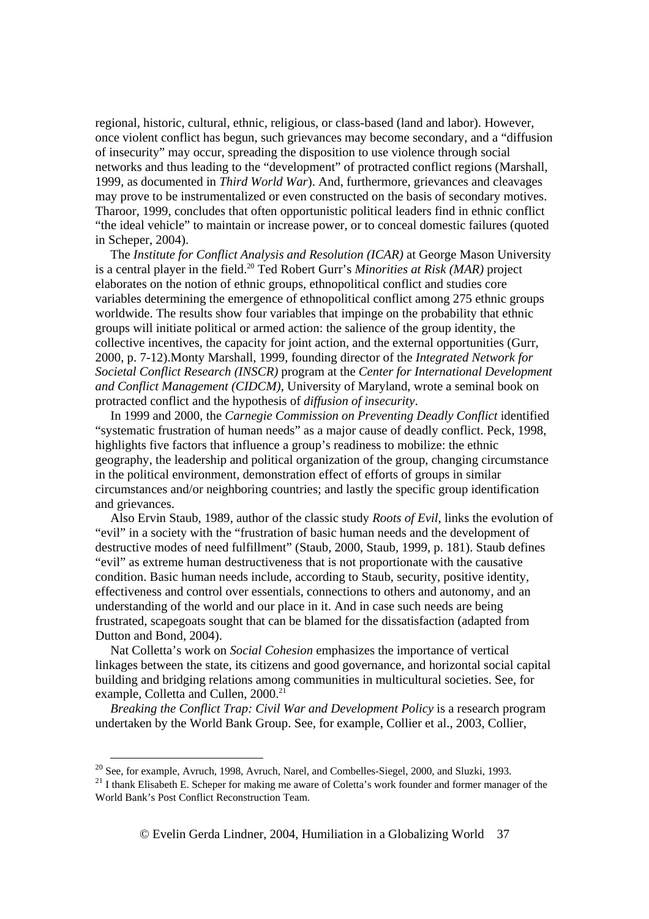regional, historic, cultural, ethnic, religious, or class-based (land and labor). However, once violent conflict has begun, such grievances may become secondary, and a "diffusion of insecurity" may occur, spreading the disposition to use violence through social networks and thus leading to the "development" of protracted conflict regions (Marshall, 1999, as documented in *Third World War*). And, furthermore, grievances and cleavages may prove to be instrumentalized or even constructed on the basis of secondary motives. Tharoor, 1999, concludes that often opportunistic political leaders find in ethnic conflict "the ideal vehicle" to maintain or increase power, or to conceal domestic failures (quoted in Scheper, 2004).

The *Institute for Conflict Analysis and Resolution (ICAR)* at George Mason University is a central player in the field.20 Ted Robert Gurr's *Minorities at Risk (MAR)* project elaborates on the notion of ethnic groups, ethnopolitical conflict and studies core variables determining the emergence of ethnopolitical conflict among 275 ethnic groups worldwide. The results show four variables that impinge on the probability that ethnic groups will initiate political or armed action: the salience of the group identity, the collective incentives, the capacity for joint action, and the external opportunities (Gurr, 2000, p. 7-12).Monty Marshall, 1999, founding director of the *Integrated Network for Societal Conflict Research (INSCR)* program at the *Center for International Development and Conflict Management (CIDCM),* University of Maryland, wrote a seminal book on protracted conflict and the hypothesis of *diffusion of insecurity*.

In 1999 and 2000, the *Carnegie Commission on Preventing Deadly Conflict* identified "systematic frustration of human needs" as a major cause of deadly conflict. Peck, 1998, highlights five factors that influence a group's readiness to mobilize: the ethnic geography, the leadership and political organization of the group, changing circumstance in the political environment, demonstration effect of efforts of groups in similar circumstances and/or neighboring countries; and lastly the specific group identification and grievances.

Also Ervin Staub, 1989, author of the classic study *Roots of Evil*, links the evolution of "evil" in a society with the "frustration of basic human needs and the development of destructive modes of need fulfillment" (Staub, 2000, Staub, 1999, p. 181). Staub defines "evil" as extreme human destructiveness that is not proportionate with the causative condition. Basic human needs include, according to Staub, security, positive identity, effectiveness and control over essentials, connections to others and autonomy, and an understanding of the world and our place in it. And in case such needs are being frustrated, scapegoats sought that can be blamed for the dissatisfaction (adapted from Dutton and Bond, 2004).

Nat Colletta's work on *Social Cohesion* emphasizes the importance of vertical linkages between the state, its citizens and good governance, and horizontal social capital building and bridging relations among communities in multicultural societies. See, for example, Colletta and Cullen, 2000.<sup>21</sup>

*Breaking the Conflict Trap: Civil War and Development Policy* is a research program undertaken by the World Bank Group. See, for example, Collier et al., 2003, Collier,

<sup>&</sup>lt;sup>20</sup> See, for example, Avruch, 1998, Avruch, Narel, and Combelles-Siegel, 2000, and Sluzki, 1993.

<sup>&</sup>lt;sup>21</sup> I thank Elisabeth E. Scheper for making me aware of Coletta's work founder and former manager of the World Bank's Post Conflict Reconstruction Team.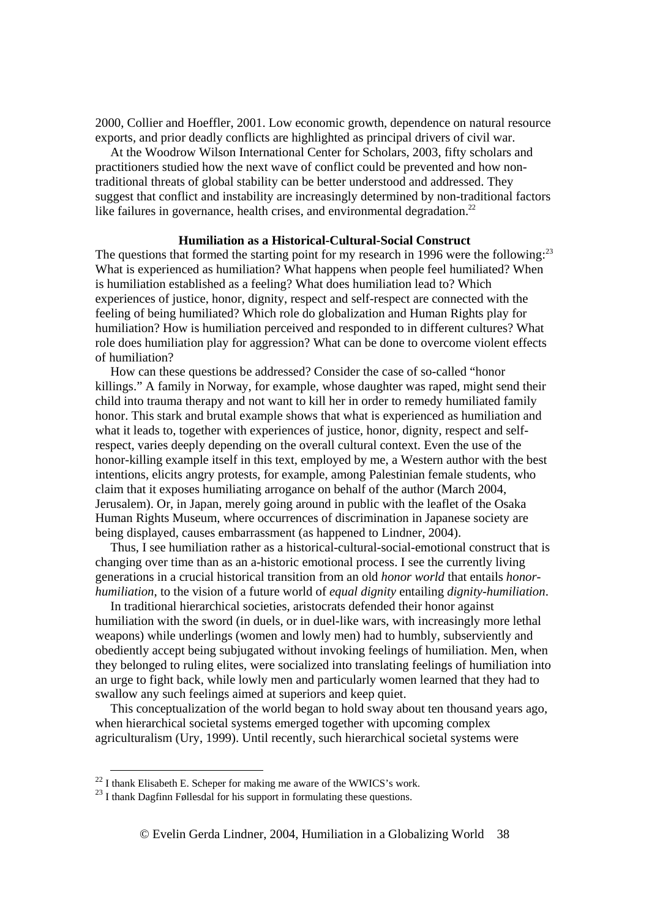2000, Collier and Hoeffler, 2001. Low economic growth, dependence on natural resource exports, and prior deadly conflicts are highlighted as principal drivers of civil war.

At the Woodrow Wilson International Center for Scholars, 2003, fifty scholars and practitioners studied how the next wave of conflict could be prevented and how nontraditional threats of global stability can be better understood and addressed. They suggest that conflict and instability are increasingly determined by non-traditional factors like failures in governance, health crises, and environmental degradation.<sup>22</sup>

### **Humiliation as a Historical-Cultural-Social Construct**

The questions that formed the starting point for my research in 1996 were the following:<sup>23</sup> What is experienced as humiliation? What happens when people feel humiliated? When is humiliation established as a feeling? What does humiliation lead to? Which experiences of justice, honor, dignity, respect and self-respect are connected with the feeling of being humiliated? Which role do globalization and Human Rights play for humiliation? How is humiliation perceived and responded to in different cultures? What role does humiliation play for aggression? What can be done to overcome violent effects of humiliation?

How can these questions be addressed? Consider the case of so-called "honor killings." A family in Norway, for example, whose daughter was raped, might send their child into trauma therapy and not want to kill her in order to remedy humiliated family honor. This stark and brutal example shows that what is experienced as humiliation and what it leads to, together with experiences of justice, honor, dignity, respect and selfrespect, varies deeply depending on the overall cultural context. Even the use of the honor-killing example itself in this text, employed by me, a Western author with the best intentions, elicits angry protests, for example, among Palestinian female students, who claim that it exposes humiliating arrogance on behalf of the author (March 2004, Jerusalem). Or, in Japan, merely going around in public with the leaflet of the Osaka Human Rights Museum, where occurrences of discrimination in Japanese society are being displayed, causes embarrassment (as happened to Lindner, 2004).

Thus, I see humiliation rather as a historical-cultural-social-emotional construct that is changing over time than as an a-historic emotional process. I see the currently living generations in a crucial historical transition from an old *honor world* that entails *honorhumiliation*, to the vision of a future world of *equal dignity* entailing *dignity-humiliation*.

In traditional hierarchical societies, aristocrats defended their honor against humiliation with the sword (in duels, or in duel-like wars, with increasingly more lethal weapons) while underlings (women and lowly men) had to humbly, subserviently and obediently accept being subjugated without invoking feelings of humiliation. Men, when they belonged to ruling elites, were socialized into translating feelings of humiliation into an urge to fight back, while lowly men and particularly women learned that they had to swallow any such feelings aimed at superiors and keep quiet.

This conceptualization of the world began to hold sway about ten thousand years ago, when hierarchical societal systems emerged together with upcoming complex agriculturalism (Ury, 1999). Until recently, such hierarchical societal systems were

 $^{22}$  I thank Elisabeth E. Scheper for making me aware of the WWICS's work.

<sup>&</sup>lt;sup>23</sup> I thank Dagfinn Føllesdal for his support in formulating these questions.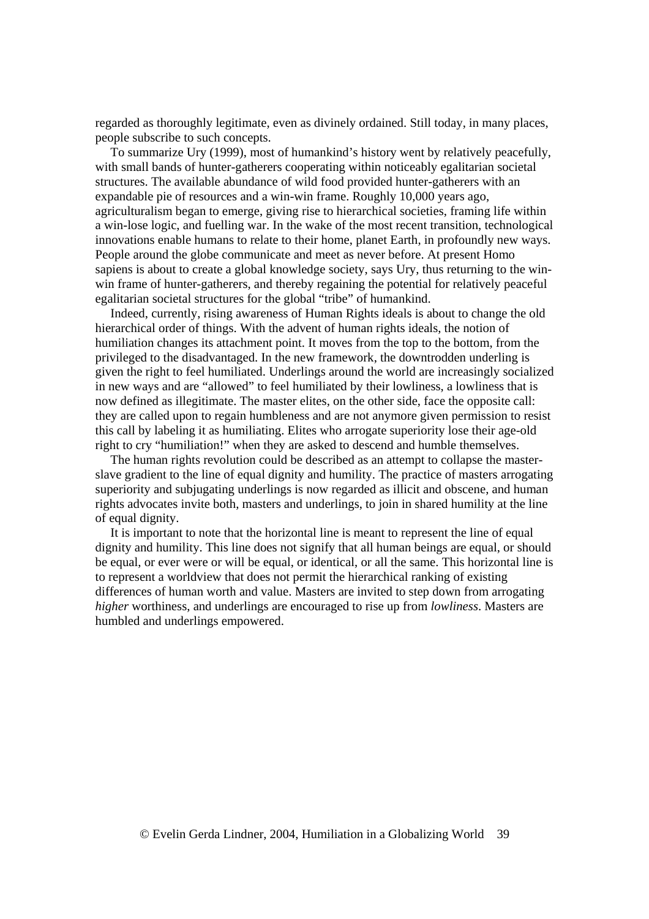regarded as thoroughly legitimate, even as divinely ordained. Still today, in many places, people subscribe to such concepts.

To summarize Ury (1999), most of humankind's history went by relatively peacefully, with small bands of hunter-gatherers cooperating within noticeably egalitarian societal structures. The available abundance of wild food provided hunter-gatherers with an expandable pie of resources and a win-win frame. Roughly 10,000 years ago, agriculturalism began to emerge, giving rise to hierarchical societies, framing life within a win-lose logic, and fuelling war. In the wake of the most recent transition, technological innovations enable humans to relate to their home, planet Earth, in profoundly new ways. People around the globe communicate and meet as never before. At present Homo sapiens is about to create a global knowledge society, says Ury, thus returning to the winwin frame of hunter-gatherers, and thereby regaining the potential for relatively peaceful egalitarian societal structures for the global "tribe" of humankind.

Indeed, currently, rising awareness of Human Rights ideals is about to change the old hierarchical order of things. With the advent of human rights ideals, the notion of humiliation changes its attachment point. It moves from the top to the bottom, from the privileged to the disadvantaged. In the new framework, the downtrodden underling is given the right to feel humiliated. Underlings around the world are increasingly socialized in new ways and are "allowed" to feel humiliated by their lowliness, a lowliness that is now defined as illegitimate. The master elites, on the other side, face the opposite call: they are called upon to regain humbleness and are not anymore given permission to resist this call by labeling it as humiliating. Elites who arrogate superiority lose their age-old right to cry "humiliation!" when they are asked to descend and humble themselves.

The human rights revolution could be described as an attempt to collapse the masterslave gradient to the line of equal dignity and humility. The practice of masters arrogating superiority and subjugating underlings is now regarded as illicit and obscene, and human rights advocates invite both, masters and underlings, to join in shared humility at the line of equal dignity.

It is important to note that the horizontal line is meant to represent the line of equal dignity and humility. This line does not signify that all human beings are equal, or should be equal, or ever were or will be equal, or identical, or all the same. This horizontal line is to represent a worldview that does not permit the hierarchical ranking of existing differences of human worth and value. Masters are invited to step down from arrogating *higher* worthiness, and underlings are encouraged to rise up from *lowliness*. Masters are humbled and underlings empowered.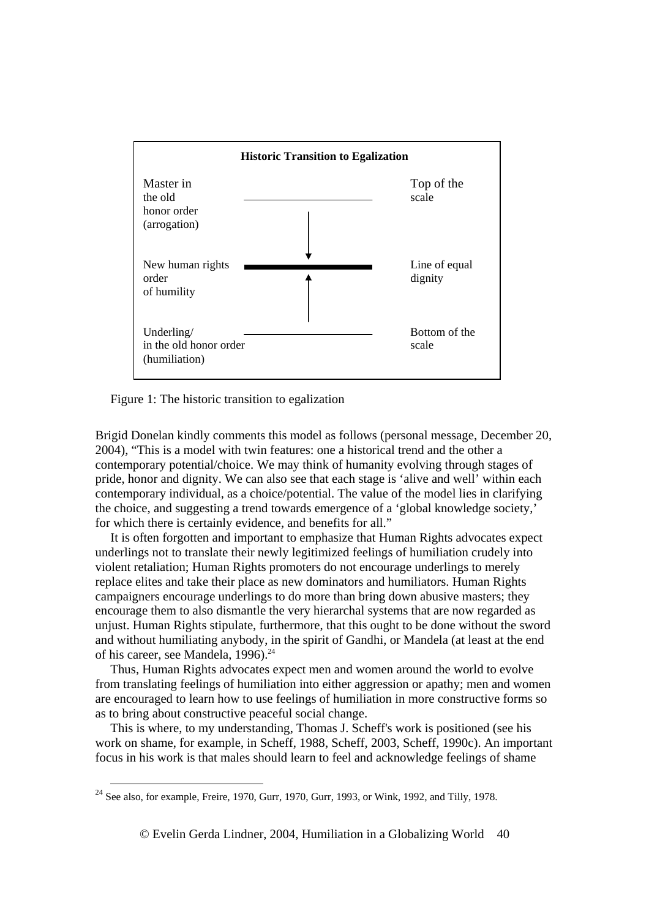

Figure 1: The historic transition to egalization

Brigid Donelan kindly comments this model as follows (personal message, December 20, 2004), "This is a model with twin features: one a historical trend and the other a contemporary potential/choice. We may think of humanity evolving through stages of pride, honor and dignity. We can also see that each stage is 'alive and well' within each contemporary individual, as a choice/potential. The value of the model lies in clarifying the choice, and suggesting a trend towards emergence of a 'global knowledge society,' for which there is certainly evidence, and benefits for all."

It is often forgotten and important to emphasize that Human Rights advocates expect underlings not to translate their newly legitimized feelings of humiliation crudely into violent retaliation; Human Rights promoters do not encourage underlings to merely replace elites and take their place as new dominators and humiliators. Human Rights campaigners encourage underlings to do more than bring down abusive masters; they encourage them to also dismantle the very hierarchal systems that are now regarded as unjust. Human Rights stipulate, furthermore, that this ought to be done without the sword and without humiliating anybody, in the spirit of Gandhi, or Mandela (at least at the end of his career, see Mandela, 1996).<sup>24</sup>

Thus, Human Rights advocates expect men and women around the world to evolve from translating feelings of humiliation into either aggression or apathy; men and women are encouraged to learn how to use feelings of humiliation in more constructive forms so as to bring about constructive peaceful social change.

This is where, to my understanding, Thomas J. Scheff's work is positioned (see his work on shame, for example, in Scheff, 1988, Scheff, 2003, Scheff, 1990c). An important focus in his work is that males should learn to feel and acknowledge feelings of shame

 $^{24}$  See also, for example, Freire, 1970, Gurr, 1970, Gurr, 1993, or Wink, 1992, and Tilly, 1978.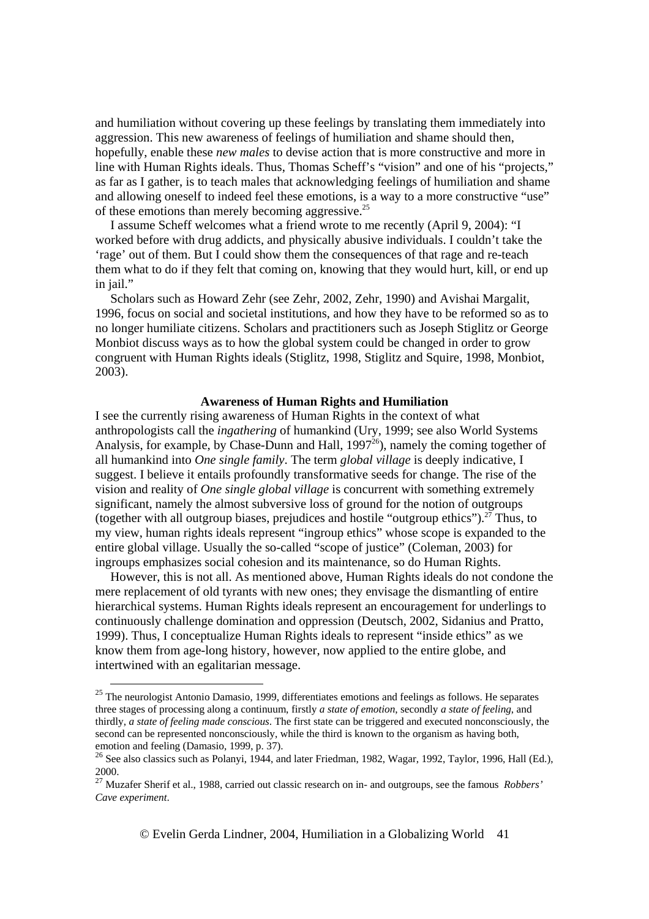and humiliation without covering up these feelings by translating them immediately into aggression. This new awareness of feelings of humiliation and shame should then, hopefully, enable these *new males* to devise action that is more constructive and more in line with Human Rights ideals. Thus, Thomas Scheff's "vision" and one of his "projects," as far as I gather, is to teach males that acknowledging feelings of humiliation and shame and allowing oneself to indeed feel these emotions, is a way to a more constructive "use" of these emotions than merely becoming aggressive.25

I assume Scheff welcomes what a friend wrote to me recently (April 9, 2004): "I worked before with drug addicts, and physically abusive individuals. I couldn't take the 'rage' out of them. But I could show them the consequences of that rage and re-teach them what to do if they felt that coming on, knowing that they would hurt, kill, or end up in jail."

Scholars such as Howard Zehr (see Zehr, 2002, Zehr, 1990) and Avishai Margalit, 1996, focus on social and societal institutions, and how they have to be reformed so as to no longer humiliate citizens. Scholars and practitioners such as Joseph Stiglitz or George Monbiot discuss ways as to how the global system could be changed in order to grow congruent with Human Rights ideals (Stiglitz, 1998, Stiglitz and Squire, 1998, Monbiot, 2003).

### **Awareness of Human Rights and Humiliation**

I see the currently rising awareness of Human Rights in the context of what anthropologists call the *ingathering* of humankind (Ury, 1999; see also World Systems Analysis, for example, by Chase-Dunn and Hall,  $1997<sup>26</sup>$ ), namely the coming together of all humankind into *One single family*. The term *global village* is deeply indicative, I suggest. I believe it entails profoundly transformative seeds for change. The rise of the vision and reality of *One single global village* is concurrent with something extremely significant, namely the almost subversive loss of ground for the notion of outgroups (together with all outgroup biases, prejudices and hostile "outgroup ethics").<sup>27</sup> Thus, to my view, human rights ideals represent "ingroup ethics" whose scope is expanded to the entire global village. Usually the so-called "scope of justice" (Coleman, 2003) for ingroups emphasizes social cohesion and its maintenance, so do Human Rights.

However, this is not all. As mentioned above, Human Rights ideals do not condone the mere replacement of old tyrants with new ones; they envisage the dismantling of entire hierarchical systems. Human Rights ideals represent an encouragement for underlings to continuously challenge domination and oppression (Deutsch, 2002, Sidanius and Pratto, 1999). Thus, I conceptualize Human Rights ideals to represent "inside ethics" as we know them from age-long history, however, now applied to the entire globe, and intertwined with an egalitarian message.

<sup>&</sup>lt;sup>25</sup> The neurologist Antonio Damasio, 1999, differentiates emotions and feelings as follows. He separates three stages of processing along a continuum, firstly *a state of emotion*, secondly *a state of feeling*, and thirdly, *a state of feeling made conscious*. The first state can be triggered and executed nonconsciously, the second can be represented nonconsciously, while the third is known to the organism as having both, emotion and feeling (Damasio, 1999, p. 37).

<sup>&</sup>lt;sup>26</sup> See also classics such as Polanyi, 1944, and later Friedman, 1982, Wagar, 1992, Taylor, 1996, Hall (Ed.), 2000.

<sup>27</sup> Muzafer Sherif et al., 1988, carried out classic research on in- and outgroups, see the famous *Robbers' Cave experiment*.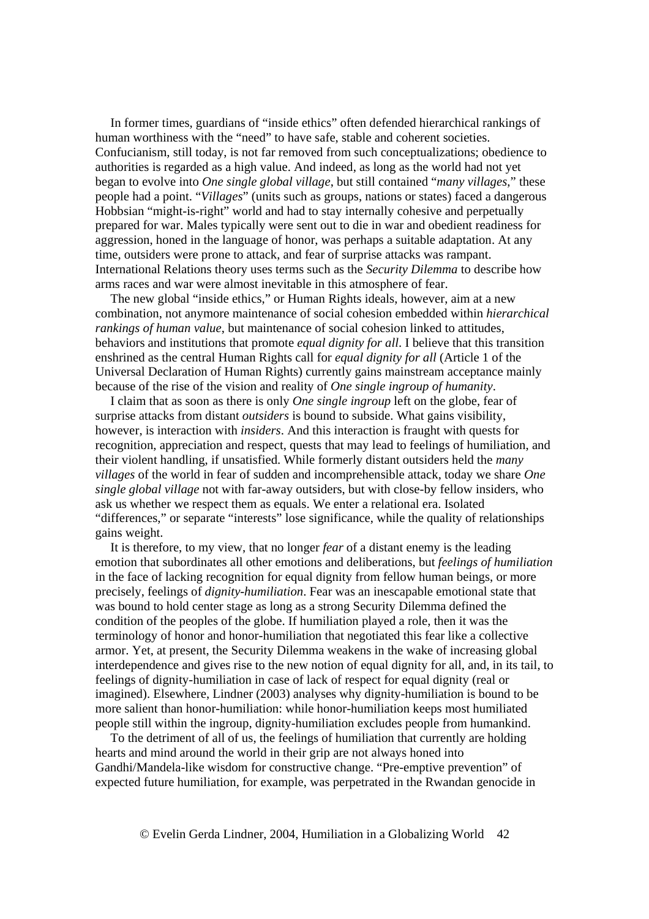In former times, guardians of "inside ethics" often defended hierarchical rankings of human worthiness with the "need" to have safe, stable and coherent societies. Confucianism, still today, is not far removed from such conceptualizations; obedience to authorities is regarded as a high value. And indeed, as long as the world had not yet began to evolve into *One single global village*, but still contained "*many villages*," these people had a point. "*Villages*" (units such as groups, nations or states) faced a dangerous Hobbsian "might-is-right" world and had to stay internally cohesive and perpetually prepared for war. Males typically were sent out to die in war and obedient readiness for aggression, honed in the language of honor, was perhaps a suitable adaptation. At any time, outsiders were prone to attack, and fear of surprise attacks was rampant. International Relations theory uses terms such as the *Security Dilemma* to describe how arms races and war were almost inevitable in this atmosphere of fear.

The new global "inside ethics," or Human Rights ideals, however, aim at a new combination, not anymore maintenance of social cohesion embedded within *hierarchical rankings of human value*, but maintenance of social cohesion linked to attitudes, behaviors and institutions that promote *equal dignity for all*. I believe that this transition enshrined as the central Human Rights call for *equal dignity for all* (Article 1 of the Universal Declaration of Human Rights) currently gains mainstream acceptance mainly because of the rise of the vision and reality of *One single ingroup of humanity*.

I claim that as soon as there is only *One single ingroup* left on the globe, fear of surprise attacks from distant *outsiders* is bound to subside. What gains visibility, however, is interaction with *insiders*. And this interaction is fraught with quests for recognition, appreciation and respect, quests that may lead to feelings of humiliation, and their violent handling, if unsatisfied. While formerly distant outsiders held the *many villages* of the world in fear of sudden and incomprehensible attack, today we share *One single global village* not with far-away outsiders, but with close-by fellow insiders, who ask us whether we respect them as equals. We enter a relational era. Isolated "differences," or separate "interests" lose significance, while the quality of relationships gains weight.

It is therefore, to my view, that no longer *fear* of a distant enemy is the leading emotion that subordinates all other emotions and deliberations, but *feelings of humiliation* in the face of lacking recognition for equal dignity from fellow human beings, or more precisely, feelings of *dignity-humiliation*. Fear was an inescapable emotional state that was bound to hold center stage as long as a strong Security Dilemma defined the condition of the peoples of the globe. If humiliation played a role, then it was the terminology of honor and honor-humiliation that negotiated this fear like a collective armor. Yet, at present, the Security Dilemma weakens in the wake of increasing global interdependence and gives rise to the new notion of equal dignity for all, and, in its tail, to feelings of dignity-humiliation in case of lack of respect for equal dignity (real or imagined). Elsewhere, Lindner (2003) analyses why dignity-humiliation is bound to be more salient than honor-humiliation: while honor-humiliation keeps most humiliated people still within the ingroup, dignity-humiliation excludes people from humankind.

To the detriment of all of us, the feelings of humiliation that currently are holding hearts and mind around the world in their grip are not always honed into Gandhi/Mandela-like wisdom for constructive change. "Pre-emptive prevention" of expected future humiliation, for example, was perpetrated in the Rwandan genocide in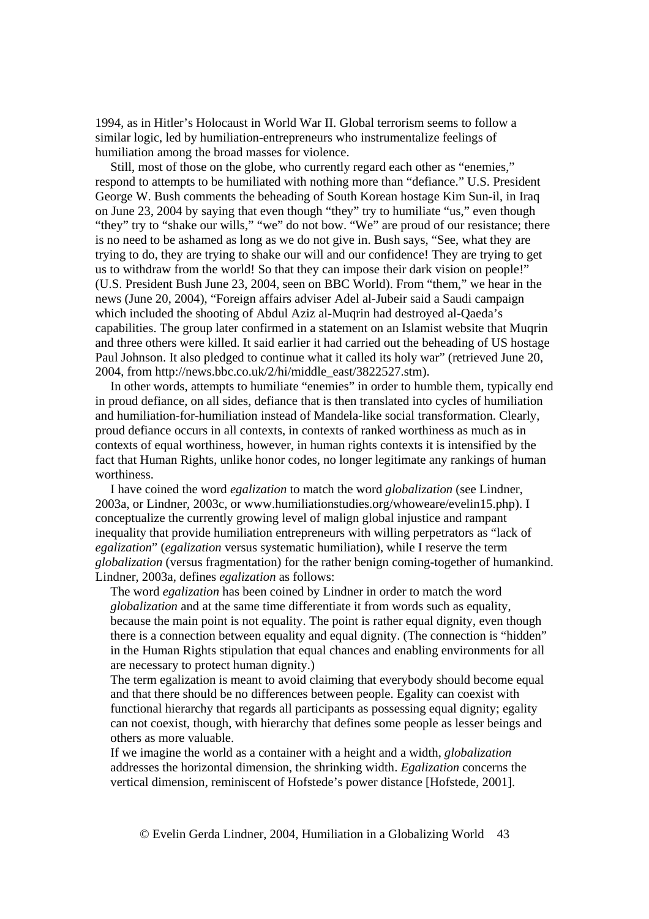1994, as in Hitler's Holocaust in World War II. Global terrorism seems to follow a similar logic, led by humiliation-entrepreneurs who instrumentalize feelings of humiliation among the broad masses for violence.

Still, most of those on the globe, who currently regard each other as "enemies," respond to attempts to be humiliated with nothing more than "defiance." U.S. President George W. Bush comments the beheading of South Korean hostage Kim Sun-il, in Iraq on June 23, 2004 by saying that even though "they" try to humiliate "us," even though "they" try to "shake our wills," "we" do not bow. "We" are proud of our resistance; there is no need to be ashamed as long as we do not give in. Bush says, "See, what they are trying to do, they are trying to shake our will and our confidence! They are trying to get us to withdraw from the world! So that they can impose their dark vision on people!" (U.S. President Bush June 23, 2004, seen on BBC World). From "them," we hear in the news (June 20, 2004), "Foreign affairs adviser Adel al-Jubeir said a Saudi campaign which included the shooting of Abdul Aziz al-Muqrin had destroyed al-Qaeda's capabilities. The group later confirmed in a statement on an Islamist website that Muqrin and three others were killed. It said earlier it had carried out the beheading of US hostage Paul Johnson. It also pledged to continue what it called its holy war" (retrieved June 20, 2004, from http://news.bbc.co.uk/2/hi/middle\_east/3822527.stm).

In other words, attempts to humiliate "enemies" in order to humble them, typically end in proud defiance, on all sides, defiance that is then translated into cycles of humiliation and humiliation-for-humiliation instead of Mandela-like social transformation. Clearly, proud defiance occurs in all contexts, in contexts of ranked worthiness as much as in contexts of equal worthiness, however, in human rights contexts it is intensified by the fact that Human Rights, unlike honor codes, no longer legitimate any rankings of human worthiness.

I have coined the word *egalization* to match the word *globalization* (see Lindner, 2003a, or Lindner, 2003c, or www.humiliationstudies.org/whoweare/evelin15.php). I conceptualize the currently growing level of malign global injustice and rampant inequality that provide humiliation entrepreneurs with willing perpetrators as "lack of *egalization*" (*egalization* versus systematic humiliation), while I reserve the term *globalization* (versus fragmentation) for the rather benign coming-together of humankind. Lindner, 2003a, defines *egalization* as follows:

The word *egalization* has been coined by Lindner in order to match the word *globalization* and at the same time differentiate it from words such as equality, because the main point is not equality. The point is rather equal dignity, even though there is a connection between equality and equal dignity. (The connection is "hidden" in the Human Rights stipulation that equal chances and enabling environments for all are necessary to protect human dignity.)

The term egalization is meant to avoid claiming that everybody should become equal and that there should be no differences between people. Egality can coexist with functional hierarchy that regards all participants as possessing equal dignity; egality can not coexist, though, with hierarchy that defines some people as lesser beings and others as more valuable.

If we imagine the world as a container with a height and a width, *globalization* addresses the horizontal dimension, the shrinking width. *Egalization* concerns the vertical dimension, reminiscent of Hofstede's power distance [Hofstede, 2001].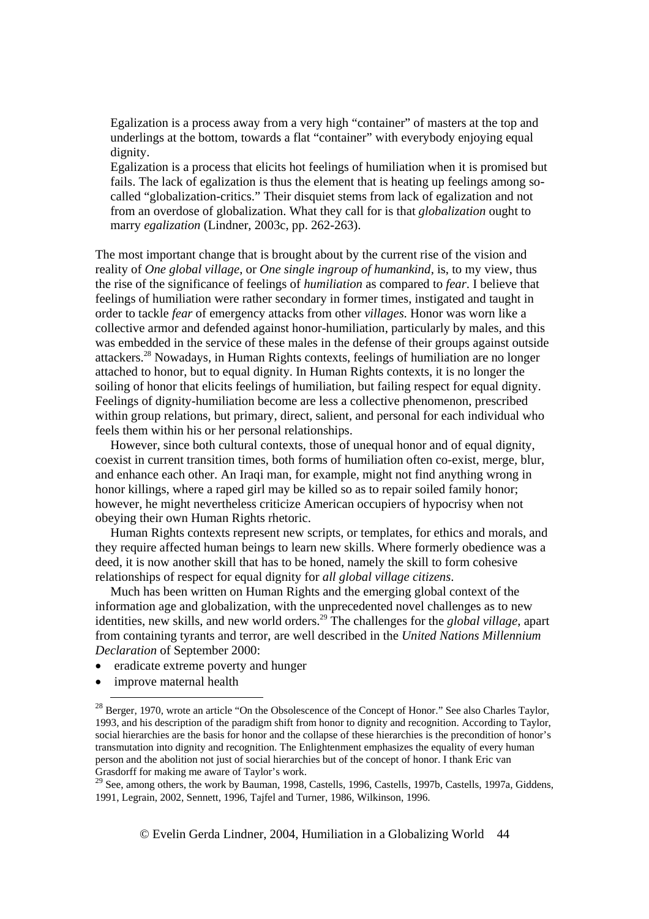Egalization is a process away from a very high "container" of masters at the top and underlings at the bottom, towards a flat "container" with everybody enjoying equal dignity.

Egalization is a process that elicits hot feelings of humiliation when it is promised but fails. The lack of egalization is thus the element that is heating up feelings among socalled "globalization-critics." Their disquiet stems from lack of egalization and not from an overdose of globalization. What they call for is that *globalization* ought to marry *egalization* (Lindner, 2003c, pp. 262-263).

The most important change that is brought about by the current rise of the vision and reality of *One global village*, or *One single ingroup of humankind*, is, to my view, thus the rise of the significance of feelings of *humiliation* as compared to *fear*. I believe that feelings of humiliation were rather secondary in former times, instigated and taught in order to tackle *fear* of emergency attacks from other *villages*. Honor was worn like a collective armor and defended against honor-humiliation, particularly by males, and this was embedded in the service of these males in the defense of their groups against outside attackers.28 Nowadays, in Human Rights contexts, feelings of humiliation are no longer attached to honor, but to equal dignity. In Human Rights contexts, it is no longer the soiling of honor that elicits feelings of humiliation, but failing respect for equal dignity. Feelings of dignity-humiliation become are less a collective phenomenon, prescribed within group relations, but primary, direct, salient, and personal for each individual who feels them within his or her personal relationships.

However, since both cultural contexts, those of unequal honor and of equal dignity, coexist in current transition times, both forms of humiliation often co-exist, merge, blur, and enhance each other. An Iraqi man, for example, might not find anything wrong in honor killings, where a raped girl may be killed so as to repair soiled family honor; however, he might nevertheless criticize American occupiers of hypocrisy when not obeying their own Human Rights rhetoric.

Human Rights contexts represent new scripts, or templates, for ethics and morals, and they require affected human beings to learn new skills. Where formerly obedience was a deed, it is now another skill that has to be honed, namely the skill to form cohesive relationships of respect for equal dignity for *all global village citizens*.

Much has been written on Human Rights and the emerging global context of the information age and globalization, with the unprecedented novel challenges as to new identities, new skills, and new world orders.29 The challenges for the *global village*, apart from containing tyrants and terror, are well described in the *United Nations Millennium Declaration* of September 2000:

- eradicate extreme poverty and hunger
- improve maternal health

<sup>&</sup>lt;sup>28</sup> Berger, 1970, wrote an article "On the Obsolescence of the Concept of Honor." See also Charles Taylor, 1993, and his description of the paradigm shift from honor to dignity and recognition. According to Taylor, social hierarchies are the basis for honor and the collapse of these hierarchies is the precondition of honor's transmutation into dignity and recognition. The Enlightenment emphasizes the equality of every human person and the abolition not just of social hierarchies but of the concept of honor. I thank Eric van Grasdorff for making me aware of Taylor's work.

<sup>&</sup>lt;sup>29</sup> See, among others, the work by Bauman, 1998, Castells, 1996, Castells, 1997b, Castells, 1997a, Giddens, 1991, Legrain, 2002, Sennett, 1996, Tajfel and Turner, 1986, Wilkinson, 1996.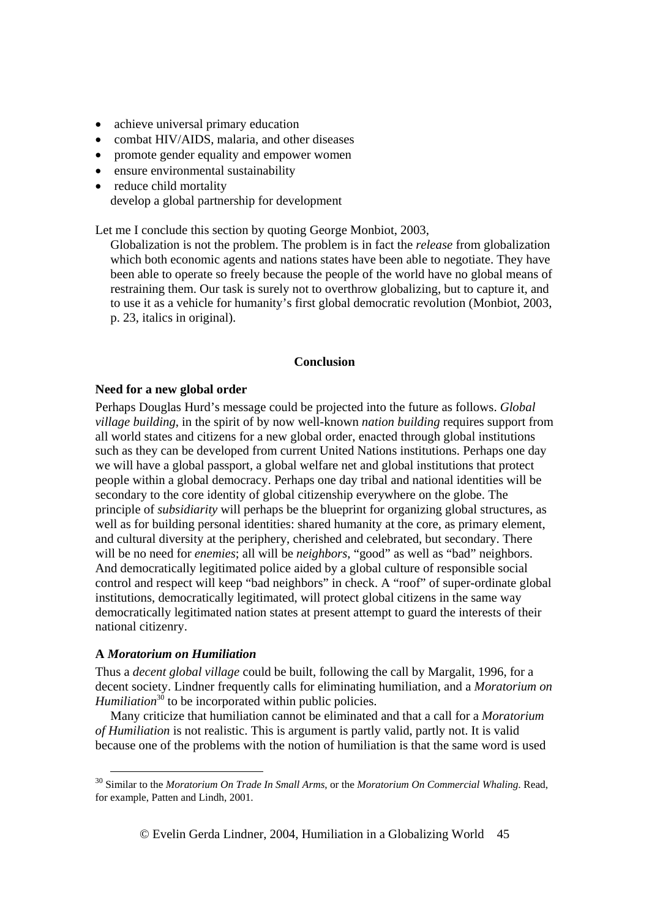- achieve universal primary education
- combat HIV/AIDS, malaria, and other diseases
- promote gender equality and empower women
- ensure environmental sustainability
- reduce child mortality develop a global partnership for development

Let me I conclude this section by quoting George Monbiot, 2003,

Globalization is not the problem. The problem is in fact the *release* from globalization which both economic agents and nations states have been able to negotiate. They have been able to operate so freely because the people of the world have no global means of restraining them. Our task is surely not to overthrow globalizing, but to capture it, and to use it as a vehicle for humanity's first global democratic revolution (Monbiot, 2003, p. 23, italics in original).

# **Conclusion**

# **Need for a new global order**

Perhaps Douglas Hurd's message could be projected into the future as follows. *Global village building*, in the spirit of by now well-known *nation building* requires support from all world states and citizens for a new global order, enacted through global institutions such as they can be developed from current United Nations institutions. Perhaps one day we will have a global passport, a global welfare net and global institutions that protect people within a global democracy. Perhaps one day tribal and national identities will be secondary to the core identity of global citizenship everywhere on the globe. The principle of *subsidiarity* will perhaps be the blueprint for organizing global structures, as well as for building personal identities: shared humanity at the core, as primary element, and cultural diversity at the periphery, cherished and celebrated, but secondary. There will be no need for *enemies*; all will be *neighbors*, "good" as well as "bad" neighbors. And democratically legitimated police aided by a global culture of responsible social control and respect will keep "bad neighbors" in check. A "roof" of super-ordinate global institutions, democratically legitimated, will protect global citizens in the same way democratically legitimated nation states at present attempt to guard the interests of their national citizenry.

## **A** *Moratorium on Humiliation*

Thus a *decent global village* could be built, following the call by Margalit, 1996, for a decent society. Lindner frequently calls for eliminating humiliation, and a *Moratorium on Humiliation*<sup>30</sup> to be incorporated within public policies.

Many criticize that humiliation cannot be eliminated and that a call for a *Moratorium of Humiliation* is not realistic. This is argument is partly valid, partly not. It is valid because one of the problems with the notion of humiliation is that the same word is used

 <sup>30</sup> Similar to the *Moratorium On Trade In Small Arms*, or the *Moratorium On Commercial Whaling*. Read, for example, Patten and Lindh, 2001.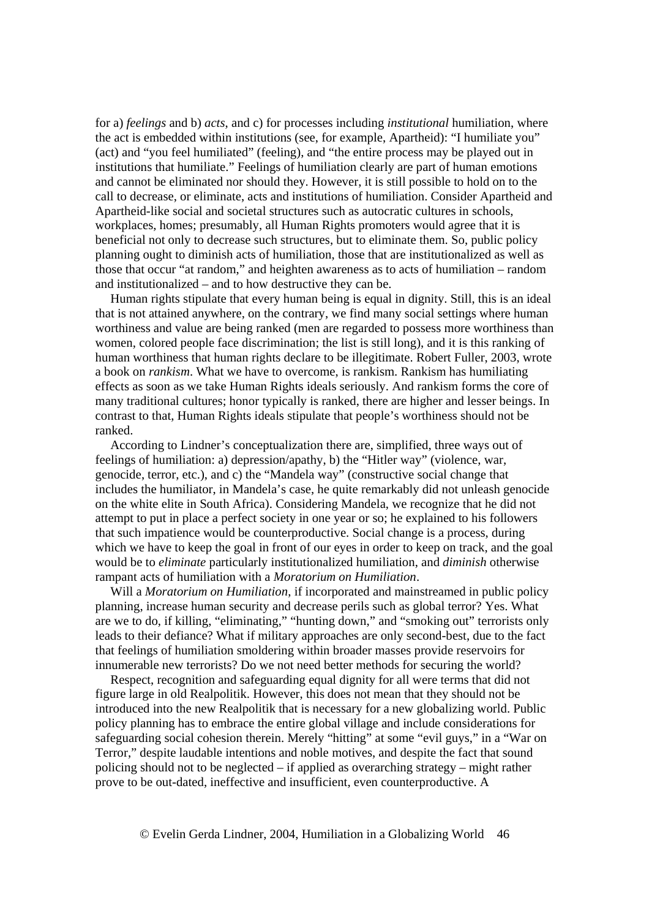for a) *feelings* and b) *acts*, and c) for processes including *institutional* humiliation, where the act is embedded within institutions (see, for example, Apartheid): "I humiliate you" (act) and "you feel humiliated" (feeling), and "the entire process may be played out in institutions that humiliate." Feelings of humiliation clearly are part of human emotions and cannot be eliminated nor should they. However, it is still possible to hold on to the call to decrease, or eliminate, acts and institutions of humiliation. Consider Apartheid and Apartheid-like social and societal structures such as autocratic cultures in schools, workplaces, homes; presumably, all Human Rights promoters would agree that it is beneficial not only to decrease such structures, but to eliminate them. So, public policy planning ought to diminish acts of humiliation, those that are institutionalized as well as those that occur "at random," and heighten awareness as to acts of humiliation – random and institutionalized – and to how destructive they can be.

Human rights stipulate that every human being is equal in dignity. Still, this is an ideal that is not attained anywhere, on the contrary, we find many social settings where human worthiness and value are being ranked (men are regarded to possess more worthiness than women, colored people face discrimination; the list is still long), and it is this ranking of human worthiness that human rights declare to be illegitimate. Robert Fuller, 2003, wrote a book on *rankism*. What we have to overcome, is rankism. Rankism has humiliating effects as soon as we take Human Rights ideals seriously. And rankism forms the core of many traditional cultures; honor typically is ranked, there are higher and lesser beings. In contrast to that, Human Rights ideals stipulate that people's worthiness should not be ranked.

According to Lindner's conceptualization there are, simplified, three ways out of feelings of humiliation: a) depression/apathy, b) the "Hitler way" (violence, war, genocide, terror, etc.), and c) the "Mandela way" (constructive social change that includes the humiliator, in Mandela's case, he quite remarkably did not unleash genocide on the white elite in South Africa). Considering Mandela, we recognize that he did not attempt to put in place a perfect society in one year or so; he explained to his followers that such impatience would be counterproductive. Social change is a process, during which we have to keep the goal in front of our eyes in order to keep on track, and the goal would be to *eliminate* particularly institutionalized humiliation, and *diminish* otherwise rampant acts of humiliation with a *Moratorium on Humiliation*.

Will a *Moratorium on Humiliation*, if incorporated and mainstreamed in public policy planning, increase human security and decrease perils such as global terror? Yes. What are we to do, if killing, "eliminating," "hunting down," and "smoking out" terrorists only leads to their defiance? What if military approaches are only second-best, due to the fact that feelings of humiliation smoldering within broader masses provide reservoirs for innumerable new terrorists? Do we not need better methods for securing the world?

Respect, recognition and safeguarding equal dignity for all were terms that did not figure large in old Realpolitik. However, this does not mean that they should not be introduced into the new Realpolitik that is necessary for a new globalizing world. Public policy planning has to embrace the entire global village and include considerations for safeguarding social cohesion therein. Merely "hitting" at some "evil guys," in a "War on Terror," despite laudable intentions and noble motives, and despite the fact that sound policing should not to be neglected – if applied as overarching strategy – might rather prove to be out-dated, ineffective and insufficient, even counterproductive. A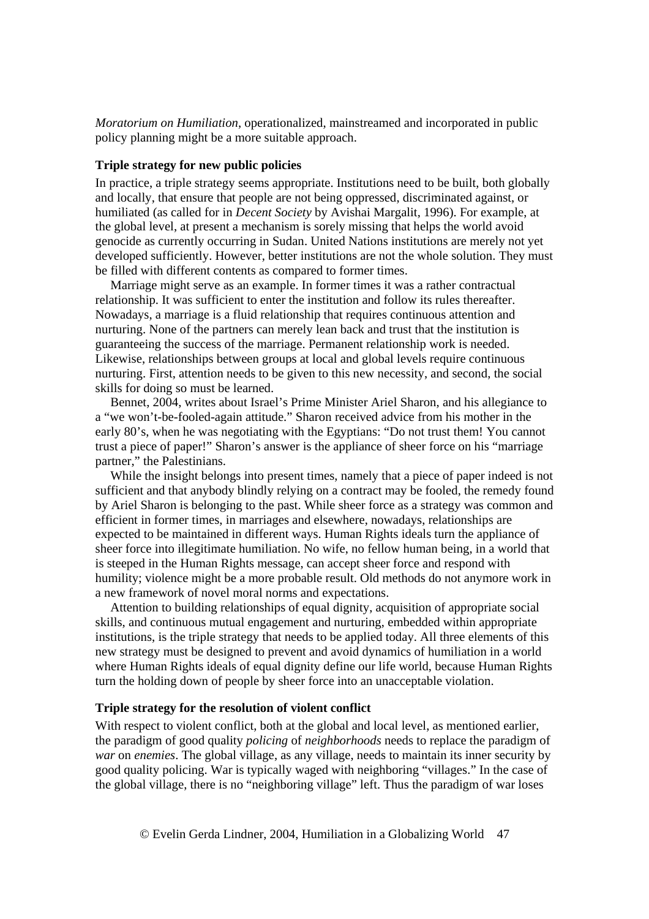*Moratorium on Humiliation*, operationalized, mainstreamed and incorporated in public policy planning might be a more suitable approach.

# **Triple strategy for new public policies**

In practice, a triple strategy seems appropriate. Institutions need to be built, both globally and locally, that ensure that people are not being oppressed, discriminated against, or humiliated (as called for in *Decent Society* by Avishai Margalit, 1996). For example, at the global level, at present a mechanism is sorely missing that helps the world avoid genocide as currently occurring in Sudan. United Nations institutions are merely not yet developed sufficiently. However, better institutions are not the whole solution. They must be filled with different contents as compared to former times.

Marriage might serve as an example. In former times it was a rather contractual relationship. It was sufficient to enter the institution and follow its rules thereafter. Nowadays, a marriage is a fluid relationship that requires continuous attention and nurturing. None of the partners can merely lean back and trust that the institution is guaranteeing the success of the marriage. Permanent relationship work is needed. Likewise, relationships between groups at local and global levels require continuous nurturing. First, attention needs to be given to this new necessity, and second, the social skills for doing so must be learned.

Bennet, 2004, writes about Israel's Prime Minister Ariel Sharon, and his allegiance to a "we won't-be-fooled-again attitude." Sharon received advice from his mother in the early 80's, when he was negotiating with the Egyptians: "Do not trust them! You cannot trust a piece of paper!" Sharon's answer is the appliance of sheer force on his "marriage partner," the Palestinians.

While the insight belongs into present times, namely that a piece of paper indeed is not sufficient and that anybody blindly relying on a contract may be fooled, the remedy found by Ariel Sharon is belonging to the past. While sheer force as a strategy was common and efficient in former times, in marriages and elsewhere, nowadays, relationships are expected to be maintained in different ways. Human Rights ideals turn the appliance of sheer force into illegitimate humiliation. No wife, no fellow human being, in a world that is steeped in the Human Rights message, can accept sheer force and respond with humility; violence might be a more probable result. Old methods do not anymore work in a new framework of novel moral norms and expectations.

Attention to building relationships of equal dignity, acquisition of appropriate social skills, and continuous mutual engagement and nurturing, embedded within appropriate institutions, is the triple strategy that needs to be applied today. All three elements of this new strategy must be designed to prevent and avoid dynamics of humiliation in a world where Human Rights ideals of equal dignity define our life world, because Human Rights turn the holding down of people by sheer force into an unacceptable violation.

### **Triple strategy for the resolution of violent conflict**

With respect to violent conflict, both at the global and local level, as mentioned earlier, the paradigm of good quality *policing* of *neighborhoods* needs to replace the paradigm of *war* on *enemies*. The global village, as any village, needs to maintain its inner security by good quality policing. War is typically waged with neighboring "villages." In the case of the global village, there is no "neighboring village" left. Thus the paradigm of war loses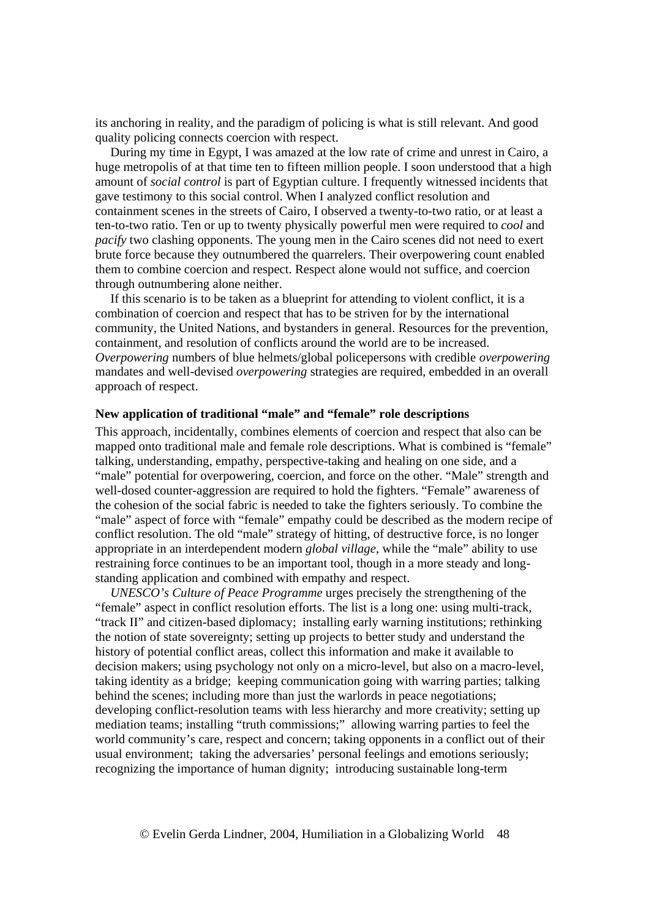its anchoring in reality, and the paradigm of policing is what is still relevant. And good quality policing connects coercion with respect.

During my time in Egypt, I was amazed at the low rate of crime and unrest in Cairo, a huge metropolis of at that time ten to fifteen million people. I soon understood that a high amount of *social control* is part of Egyptian culture. I frequently witnessed incidents that gave testimony to this social control. When I analyzed conflict resolution and containment scenes in the streets of Cairo, I observed a twenty-to-two ratio, or at least a ten-to-two ratio. Ten or up to twenty physically powerful men were required to *cool* and *pacify* two clashing opponents. The young men in the Cairo scenes did not need to exert brute force because they outnumbered the quarrelers. Their overpowering count enabled them to combine coercion and respect. Respect alone would not suffice, and coercion through outnumbering alone neither.

If this scenario is to be taken as a blueprint for attending to violent conflict, it is a combination of coercion and respect that has to be striven for by the international community, the United Nations, and bystanders in general. Resources for the prevention, containment, and resolution of conflicts around the world are to be increased. *Overpowering* numbers of blue helmets/global policepersons with credible *overpowering* mandates and well-devised *overpowering* strategies are required, embedded in an overall approach of respect.

# **New application of traditional "male" and "female" role descriptions**

This approach, incidentally, combines elements of coercion and respect that also can be mapped onto traditional male and female role descriptions. What is combined is "female" talking, understanding, empathy, perspective-taking and healing on one side, and a "male" potential for overpowering, coercion, and force on the other. "Male" strength and well-dosed counter-aggression are required to hold the fighters. "Female" awareness of the cohesion of the social fabric is needed to take the fighters seriously. To combine the "male" aspect of force with "female" empathy could be described as the modern recipe of conflict resolution. The old "male" strategy of hitting, of destructive force, is no longer appropriate in an interdependent modern *global village*, while the "male" ability to use restraining force continues to be an important tool, though in a more steady and longstanding application and combined with empathy and respect.

*UNESCO's Culture of Peace Programme* urges precisely the strengthening of the "female" aspect in conflict resolution efforts. The list is a long one: using multi-track, "track II" and citizen-based diplomacy; installing early warning institutions; rethinking the notion of state sovereignty; setting up projects to better study and understand the history of potential conflict areas, collect this information and make it available to decision makers; using psychology not only on a micro-level, but also on a macro-level, taking identity as a bridge; keeping communication going with warring parties; talking behind the scenes; including more than just the warlords in peace negotiations; developing conflict-resolution teams with less hierarchy and more creativity; setting up mediation teams; installing "truth commissions;" allowing warring parties to feel the world community's care, respect and concern; taking opponents in a conflict out of their usual environment; taking the adversaries' personal feelings and emotions seriously; recognizing the importance of human dignity; introducing sustainable long-term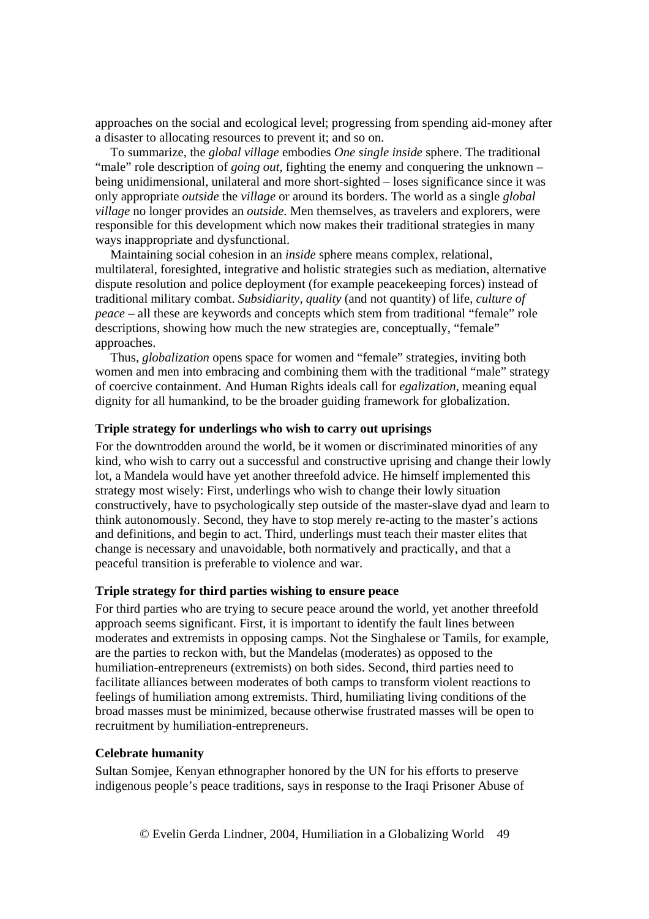approaches on the social and ecological level; progressing from spending aid-money after a disaster to allocating resources to prevent it; and so on.

To summarize, the *global village* embodies *One single inside* sphere. The traditional "male" role description of *going out*, fighting the enemy and conquering the unknown – being unidimensional, unilateral and more short-sighted – loses significance since it was only appropriate *outside* the *village* or around its borders. The world as a single *global village* no longer provides an *outside*. Men themselves, as travelers and explorers, were responsible for this development which now makes their traditional strategies in many ways inappropriate and dysfunctional.

Maintaining social cohesion in an *inside* sphere means complex, relational, multilateral, foresighted, integrative and holistic strategies such as mediation, alternative dispute resolution and police deployment (for example peacekeeping forces) instead of traditional military combat. *Subsidiarity*, *quality* (and not quantity) of life, *culture of peace* – all these are keywords and concepts which stem from traditional "female" role descriptions, showing how much the new strategies are, conceptually, "female" approaches.

Thus, *globalization* opens space for women and "female" strategies, inviting both women and men into embracing and combining them with the traditional "male" strategy of coercive containment. And Human Rights ideals call for *egalization*, meaning equal dignity for all humankind, to be the broader guiding framework for globalization.

### **Triple strategy for underlings who wish to carry out uprisings**

For the downtrodden around the world, be it women or discriminated minorities of any kind, who wish to carry out a successful and constructive uprising and change their lowly lot, a Mandela would have yet another threefold advice. He himself implemented this strategy most wisely: First, underlings who wish to change their lowly situation constructively, have to psychologically step outside of the master-slave dyad and learn to think autonomously. Second, they have to stop merely re-acting to the master's actions and definitions, and begin to act. Third, underlings must teach their master elites that change is necessary and unavoidable, both normatively and practically, and that a peaceful transition is preferable to violence and war.

## **Triple strategy for third parties wishing to ensure peace**

For third parties who are trying to secure peace around the world, yet another threefold approach seems significant. First, it is important to identify the fault lines between moderates and extremists in opposing camps. Not the Singhalese or Tamils, for example, are the parties to reckon with, but the Mandelas (moderates) as opposed to the humiliation-entrepreneurs (extremists) on both sides. Second, third parties need to facilitate alliances between moderates of both camps to transform violent reactions to feelings of humiliation among extremists. Third, humiliating living conditions of the broad masses must be minimized, because otherwise frustrated masses will be open to recruitment by humiliation-entrepreneurs.

### **Celebrate humanity**

Sultan Somjee, Kenyan ethnographer honored by the UN for his efforts to preserve indigenous people's peace traditions, says in response to the Iraqi Prisoner Abuse of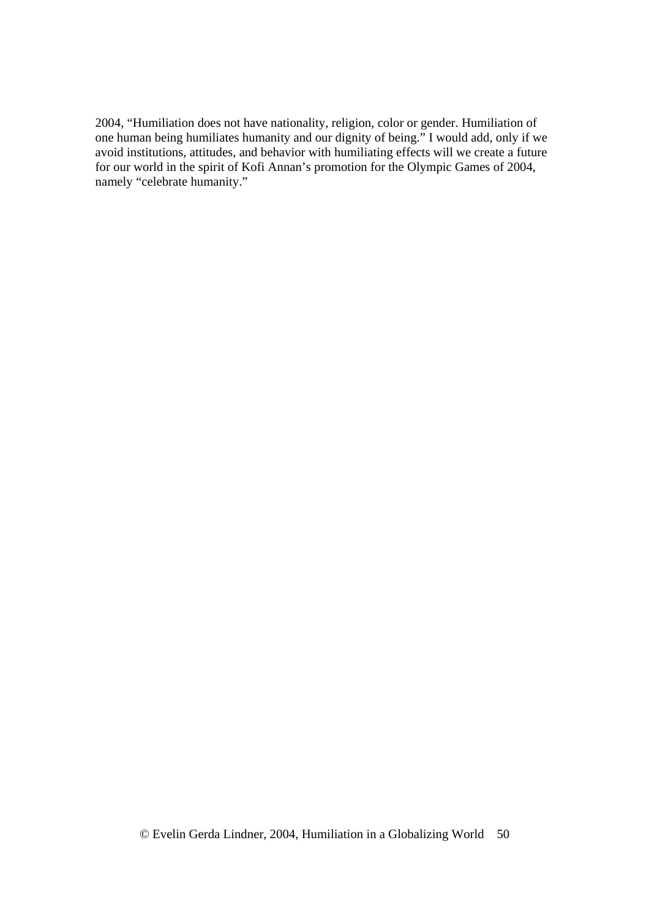2004, "Humiliation does not have nationality, religion, color or gender. Humiliation of one human being humiliates humanity and our dignity of being." I would add, only if we avoid institutions, attitudes, and behavior with humiliating effects will we create a future for our world in the spirit of Kofi Annan's promotion for the Olympic Games of 2004, namely "celebrate humanity."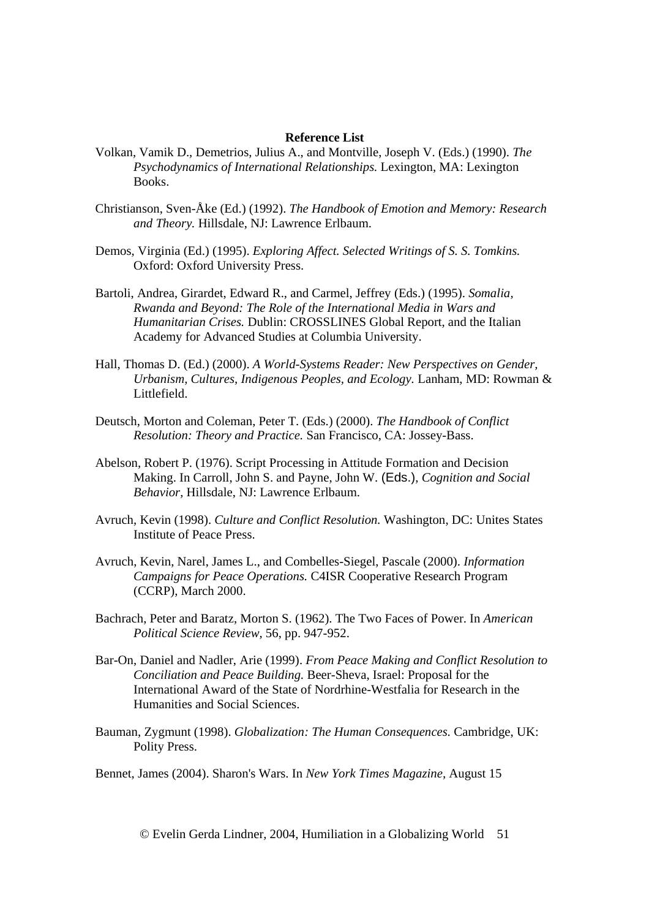### **Reference List**

- Volkan, Vamik D., Demetrios, Julius A., and Montville, Joseph V. (Eds.) (1990). *The Psychodynamics of International Relationships.* Lexington, MA: Lexington Books.
- Christianson, Sven-Åke (Ed.) (1992). *The Handbook of Emotion and Memory: Research and Theory.* Hillsdale, NJ: Lawrence Erlbaum.
- Demos, Virginia (Ed.) (1995). *Exploring Affect. Selected Writings of S. S. Tomkins.*  Oxford: Oxford University Press.
- Bartoli, Andrea, Girardet, Edward R., and Carmel, Jeffrey (Eds.) (1995). *Somalia, Rwanda and Beyond: The Role of the International Media in Wars and Humanitarian Crises.* Dublin: CROSSLINES Global Report, and the Italian Academy for Advanced Studies at Columbia University.
- Hall, Thomas D. (Ed.) (2000). *A World-Systems Reader: New Perspectives on Gender, Urbanism, Cultures, Indigenous Peoples, and Ecology.* Lanham, MD: Rowman & Littlefield.
- Deutsch, Morton and Coleman, Peter T. (Eds.) (2000). *The Handbook of Conflict Resolution: Theory and Practice.* San Francisco, CA: Jossey-Bass.
- Abelson, Robert P. (1976). Script Processing in Attitude Formation and Decision Making. In Carroll, John S. and Payne, John W. (Eds.), *Cognition and Social Behavior*, Hillsdale, NJ: Lawrence Erlbaum.
- Avruch, Kevin (1998). *Culture and Conflict Resolution.* Washington, DC: Unites States Institute of Peace Press.
- Avruch, Kevin, Narel, James L., and Combelles-Siegel, Pascale (2000). *Information Campaigns for Peace Operations.* C4ISR Cooperative Research Program (CCRP), March 2000.
- Bachrach, Peter and Baratz, Morton S. (1962). The Two Faces of Power. In *American Political Science Review,* 56, pp. 947-952.
- Bar-On, Daniel and Nadler, Arie (1999). *From Peace Making and Conflict Resolution to Conciliation and Peace Building.* Beer-Sheva, Israel: Proposal for the International Award of the State of Nordrhine-Westfalia for Research in the Humanities and Social Sciences.
- Bauman, Zygmunt (1998). *Globalization: The Human Consequences.* Cambridge, UK: Polity Press.

Bennet, James (2004). Sharon's Wars. In *New York Times Magazine,* August 15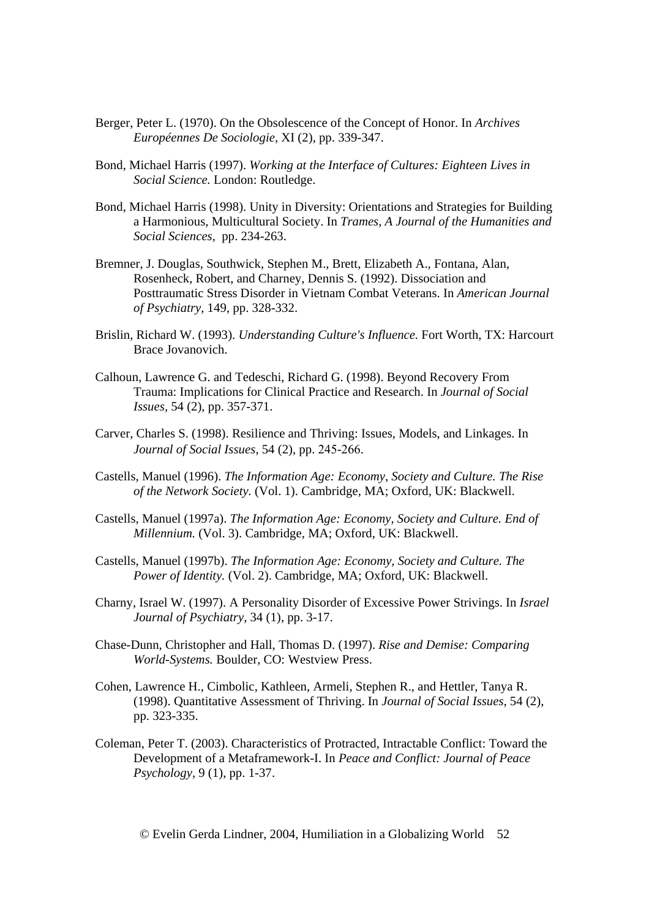- Berger, Peter L. (1970). On the Obsolescence of the Concept of Honor. In *Archives Européennes De Sociologie,* XI (2), pp. 339-347.
- Bond, Michael Harris (1997). *Working at the Interface of Cultures: Eighteen Lives in Social Science.* London: Routledge.
- Bond, Michael Harris (1998). Unity in Diversity: Orientations and Strategies for Building a Harmonious, Multicultural Society. In *Trames, A Journal of the Humanities and Social Sciences,* pp. 234-263.
- Bremner, J. Douglas, Southwick, Stephen M., Brett, Elizabeth A., Fontana, Alan, Rosenheck, Robert, and Charney, Dennis S. (1992). Dissociation and Posttraumatic Stress Disorder in Vietnam Combat Veterans. In *American Journal of Psychiatry,* 149, pp. 328-332.
- Brislin, Richard W. (1993). *Understanding Culture's Influence.* Fort Worth, TX: Harcourt Brace Jovanovich.
- Calhoun, Lawrence G. and Tedeschi, Richard G. (1998). Beyond Recovery From Trauma: Implications for Clinical Practice and Research. In *Journal of Social Issues,* 54 (2), pp. 357-371.
- Carver, Charles S. (1998). Resilience and Thriving: Issues, Models, and Linkages. In *Journal of Social Issues,* 54 (2), pp. 245-266.
- Castells, Manuel (1996). *The Information Age: Economy, Society and Culture. The Rise of the Network Society.* (Vol. 1). Cambridge, MA; Oxford, UK: Blackwell.
- Castells, Manuel (1997a). *The Information Age: Economy, Society and Culture. End of Millennium.* (Vol. 3). Cambridge, MA; Oxford, UK: Blackwell.
- Castells, Manuel (1997b). *The Information Age: Economy, Society and Culture. The Power of Identity.* (Vol. 2). Cambridge, MA; Oxford, UK: Blackwell.
- Charny, Israel W. (1997). A Personality Disorder of Excessive Power Strivings. In *Israel Journal of Psychiatry,* 34 (1), pp. 3-17.
- Chase-Dunn, Christopher and Hall, Thomas D. (1997). *Rise and Demise: Comparing World-Systems.* Boulder, CO: Westview Press.
- Cohen, Lawrence H., Cimbolic, Kathleen, Armeli, Stephen R., and Hettler, Tanya R. (1998). Quantitative Assessment of Thriving. In *Journal of Social Issues,* 54 (2), pp. 323-335.
- Coleman, Peter T. (2003). Characteristics of Protracted, Intractable Conflict: Toward the Development of a Metaframework-I. In *Peace and Conflict: Journal of Peace Psychology,* 9 (1), pp. 1-37.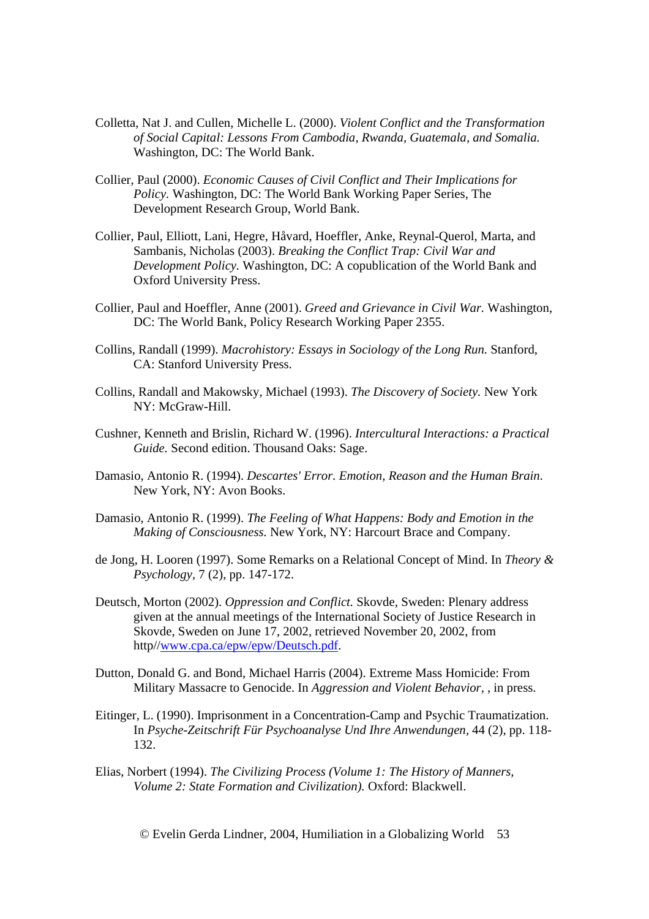- Colletta, Nat J. and Cullen, Michelle L. (2000). *Violent Conflict and the Transformation of Social Capital: Lessons From Cambodia, Rwanda, Guatemala, and Somalia.*  Washington, DC: The World Bank.
- Collier, Paul (2000). *Economic Causes of Civil Conflict and Their Implications for Policy.* Washington, DC: The World Bank Working Paper Series, The Development Research Group, World Bank.
- Collier, Paul, Elliott, Lani, Hegre, Håvard, Hoeffler, Anke, Reynal-Querol, Marta, and Sambanis, Nicholas (2003). *Breaking the Conflict Trap: Civil War and Development Policy.* Washington, DC: A copublication of the World Bank and Oxford University Press.
- Collier, Paul and Hoeffler, Anne (2001). *Greed and Grievance in Civil War.* Washington, DC: The World Bank, Policy Research Working Paper 2355.
- Collins, Randall (1999). *Macrohistory: Essays in Sociology of the Long Run.* Stanford, CA: Stanford University Press.
- Collins, Randall and Makowsky, Michael (1993). *The Discovery of Society.* New York NY: McGraw-Hill.
- Cushner, Kenneth and Brislin, Richard W. (1996). *Intercultural Interactions: a Practical Guide.* Second edition. Thousand Oaks: Sage.
- Damasio, Antonio R. (1994). *Descartes' Error. Emotion, Reason and the Human Brain.*  New York, NY: Avon Books.
- Damasio, Antonio R. (1999). *The Feeling of What Happens: Body and Emotion in the Making of Consciousness.* New York, NY: Harcourt Brace and Company.
- de Jong, H. Looren (1997). Some Remarks on a Relational Concept of Mind. In *Theory & Psychology,* 7 (2), pp. 147-172.
- Deutsch, Morton (2002). *Oppression and Conflict.* Skovde, Sweden: Plenary address given at the annual meetings of the International Society of Justice Research in Skovde, Sweden on June 17, 2002, retrieved November 20, 2002, from http//www.cpa.ca/epw/epw/Deutsch.pdf.
- Dutton, Donald G. and Bond, Michael Harris (2004). Extreme Mass Homicide: From Military Massacre to Genocide. In *Aggression and Violent Behavior,* , in press.
- Eitinger, L. (1990). Imprisonment in a Concentration-Camp and Psychic Traumatization. In *Psyche-Zeitschrift Für Psychoanalyse Und Ihre Anwendungen,* 44 (2), pp. 118- 132.
- Elias, Norbert (1994). *The Civilizing Process (Volume 1: The History of Manners, Volume 2: State Formation and Civilization).* Oxford: Blackwell.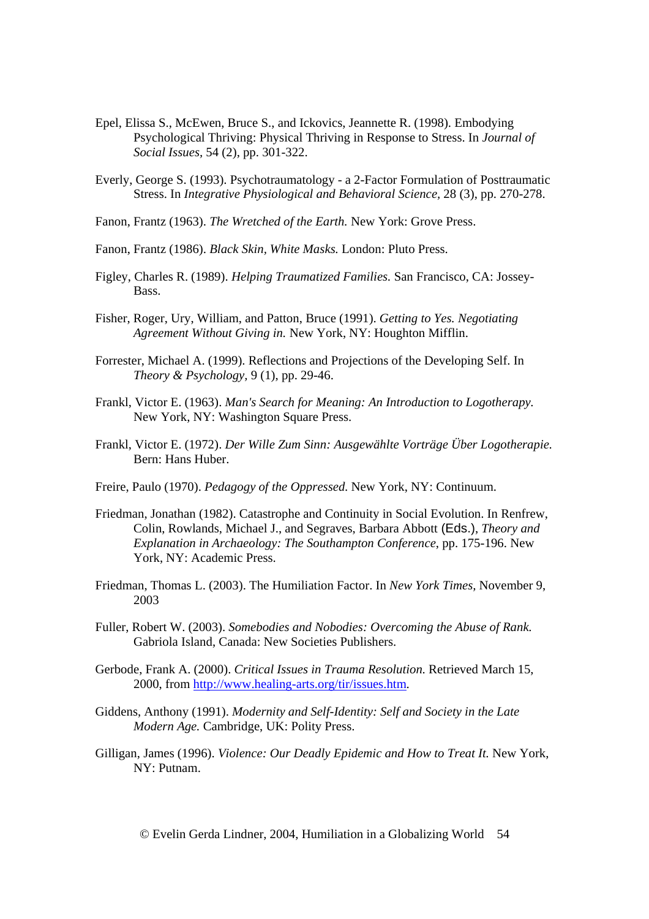- Epel, Elissa S., McEwen, Bruce S., and Ickovics, Jeannette R. (1998). Embodying Psychological Thriving: Physical Thriving in Response to Stress. In *Journal of Social Issues,* 54 (2), pp. 301-322.
- Everly, George S. (1993). Psychotraumatology a 2-Factor Formulation of Posttraumatic Stress. In *Integrative Physiological and Behavioral Science,* 28 (3), pp. 270-278.
- Fanon, Frantz (1963). *The Wretched of the Earth.* New York: Grove Press.
- Fanon, Frantz (1986). *Black Skin, White Masks.* London: Pluto Press.
- Figley, Charles R. (1989). *Helping Traumatized Families.* San Francisco, CA: Jossey-Bass.
- Fisher, Roger, Ury, William, and Patton, Bruce (1991). *Getting to Yes. Negotiating Agreement Without Giving in.* New York, NY: Houghton Mifflin.
- Forrester, Michael A. (1999). Reflections and Projections of the Developing Self. In *Theory & Psychology,* 9 (1), pp. 29-46.
- Frankl, Victor E. (1963). *Man's Search for Meaning: An Introduction to Logotherapy.*  New York, NY: Washington Square Press.
- Frankl, Victor E. (1972). *Der Wille Zum Sinn: Ausgewählte Vorträge Über Logotherapie.*  Bern: Hans Huber.
- Freire, Paulo (1970). *Pedagogy of the Oppressed.* New York, NY: Continuum.
- Friedman, Jonathan (1982). Catastrophe and Continuity in Social Evolution. In Renfrew, Colin, Rowlands, Michael J., and Segraves, Barbara Abbott (Eds.), *Theory and Explanation in Archaeology: The Southampton Conference*, pp. 175-196. New York, NY: Academic Press.
- Friedman, Thomas L. (2003). The Humiliation Factor. In *New York Times,* November 9, 2003
- Fuller, Robert W. (2003). *Somebodies and Nobodies: Overcoming the Abuse of Rank.*  Gabriola Island, Canada: New Societies Publishers.
- Gerbode, Frank A. (2000). *Critical Issues in Trauma Resolution.* Retrieved March 15, 2000, from http://www.healing-arts.org/tir/issues.htm.
- Giddens, Anthony (1991). *Modernity and Self-Identity: Self and Society in the Late Modern Age.* Cambridge, UK: Polity Press.
- Gilligan, James (1996). *Violence: Our Deadly Epidemic and How to Treat It.* New York, NY: Putnam.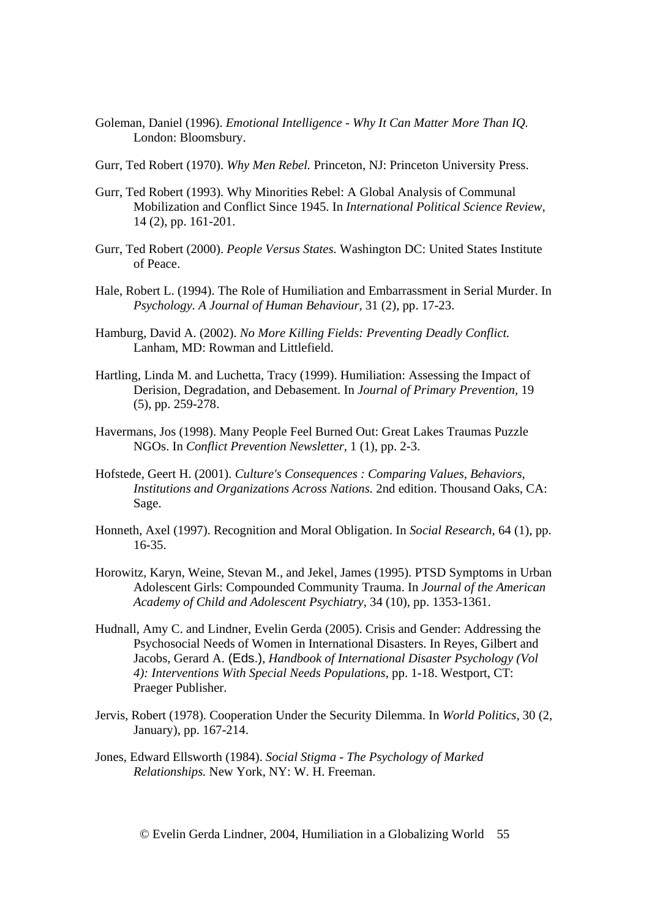- Goleman, Daniel (1996). *Emotional Intelligence Why It Can Matter More Than IQ.*  London: Bloomsbury.
- Gurr, Ted Robert (1970). *Why Men Rebel.* Princeton, NJ: Princeton University Press.
- Gurr, Ted Robert (1993). Why Minorities Rebel: A Global Analysis of Communal Mobilization and Conflict Since 1945. In *International Political Science Review,*  14 (2), pp. 161-201.
- Gurr, Ted Robert (2000). *People Versus States.* Washington DC: United States Institute of Peace.
- Hale, Robert L. (1994). The Role of Humiliation and Embarrassment in Serial Murder. In *Psychology. A Journal of Human Behaviour,* 31 (2), pp. 17-23.
- Hamburg, David A. (2002). *No More Killing Fields: Preventing Deadly Conflict.*  Lanham, MD: Rowman and Littlefield.
- Hartling, Linda M. and Luchetta, Tracy (1999). Humiliation: Assessing the Impact of Derision, Degradation, and Debasement. In *Journal of Primary Prevention,* 19 (5), pp. 259-278.
- Havermans, Jos (1998). Many People Feel Burned Out: Great Lakes Traumas Puzzle NGOs. In *Conflict Prevention Newsletter,* 1 (1), pp. 2-3.
- Hofstede, Geert H. (2001). *Culture's Consequences : Comparing Values, Behaviors, Institutions and Organizations Across Nations.* 2nd edition. Thousand Oaks, CA: Sage.
- Honneth, Axel (1997). Recognition and Moral Obligation. In *Social Research,* 64 (1), pp. 16-35.
- Horowitz, Karyn, Weine, Stevan M., and Jekel, James (1995). PTSD Symptoms in Urban Adolescent Girls: Compounded Community Trauma. In *Journal of the American Academy of Child and Adolescent Psychiatry,* 34 (10), pp. 1353-1361.
- Hudnall, Amy C. and Lindner, Evelin Gerda (2005). Crisis and Gender: Addressing the Psychosocial Needs of Women in International Disasters. In Reyes, Gilbert and Jacobs, Gerard A. (Eds.), *Handbook of International Disaster Psychology (Vol 4): Interventions With Special Needs Populations*, pp. 1-18. Westport, CT: Praeger Publisher.
- Jervis, Robert (1978). Cooperation Under the Security Dilemma. In *World Politics,* 30 (2, January), pp. 167-214.
- Jones, Edward Ellsworth (1984). *Social Stigma The Psychology of Marked Relationships.* New York, NY: W. H. Freeman.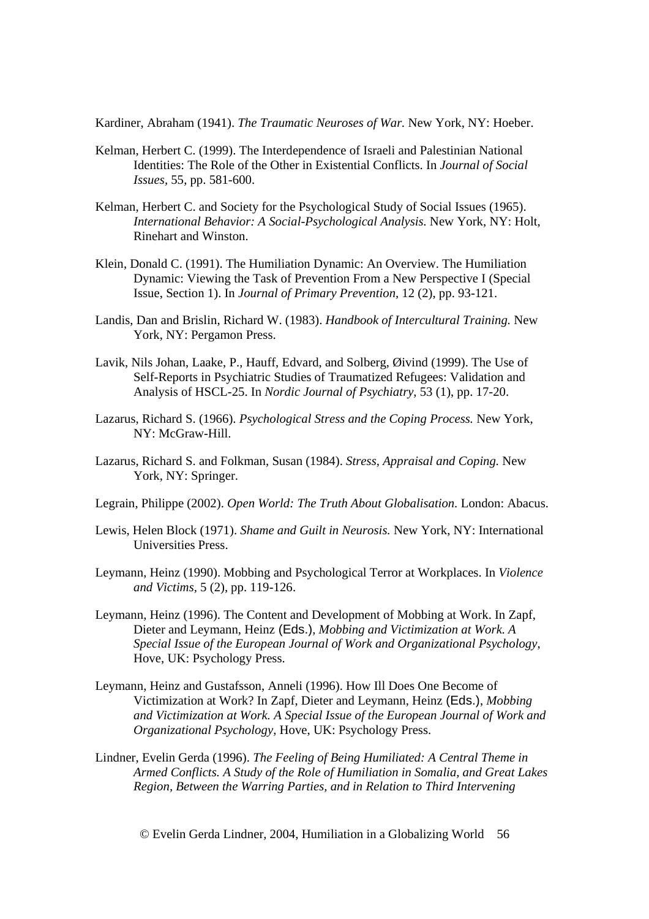Kardiner, Abraham (1941). *The Traumatic Neuroses of War.* New York, NY: Hoeber.

- Kelman, Herbert C. (1999). The Interdependence of Israeli and Palestinian National Identities: The Role of the Other in Existential Conflicts. In *Journal of Social Issues,* 55, pp. 581-600.
- Kelman, Herbert C. and Society for the Psychological Study of Social Issues (1965). *International Behavior: A Social-Psychological Analysis.* New York, NY: Holt, Rinehart and Winston.
- Klein, Donald C. (1991). The Humiliation Dynamic: An Overview. The Humiliation Dynamic: Viewing the Task of Prevention From a New Perspective I (Special Issue, Section 1). In *Journal of Primary Prevention,* 12 (2), pp. 93-121.
- Landis, Dan and Brislin, Richard W. (1983). *Handbook of Intercultural Training.* New York, NY: Pergamon Press.
- Lavik, Nils Johan, Laake, P., Hauff, Edvard, and Solberg, Øivind (1999). The Use of Self-Reports in Psychiatric Studies of Traumatized Refugees: Validation and Analysis of HSCL-25. In *Nordic Journal of Psychiatry,* 53 (1), pp. 17-20.
- Lazarus, Richard S. (1966). *Psychological Stress and the Coping Process.* New York, NY: McGraw-Hill.
- Lazarus, Richard S. and Folkman, Susan (1984). *Stress, Appraisal and Coping.* New York, NY: Springer.
- Legrain, Philippe (2002). *Open World: The Truth About Globalisation.* London: Abacus.
- Lewis, Helen Block (1971). *Shame and Guilt in Neurosis.* New York, NY: International Universities Press.
- Leymann, Heinz (1990). Mobbing and Psychological Terror at Workplaces. In *Violence and Victims,* 5 (2), pp. 119-126.
- Leymann, Heinz (1996). The Content and Development of Mobbing at Work. In Zapf, Dieter and Leymann, Heinz (Eds.), *Mobbing and Victimization at Work. A Special Issue of the European Journal of Work and Organizational Psychology*, Hove, UK: Psychology Press.
- Leymann, Heinz and Gustafsson, Anneli (1996). How Ill Does One Become of Victimization at Work? In Zapf, Dieter and Leymann, Heinz (Eds.), *Mobbing and Victimization at Work. A Special Issue of the European Journal of Work and Organizational Psychology*, Hove, UK: Psychology Press.
- Lindner, Evelin Gerda (1996). *The Feeling of Being Humiliated: A Central Theme in Armed Conflicts. A Study of the Role of Humiliation in Somalia, and Great Lakes Region, Between the Warring Parties, and in Relation to Third Intervening*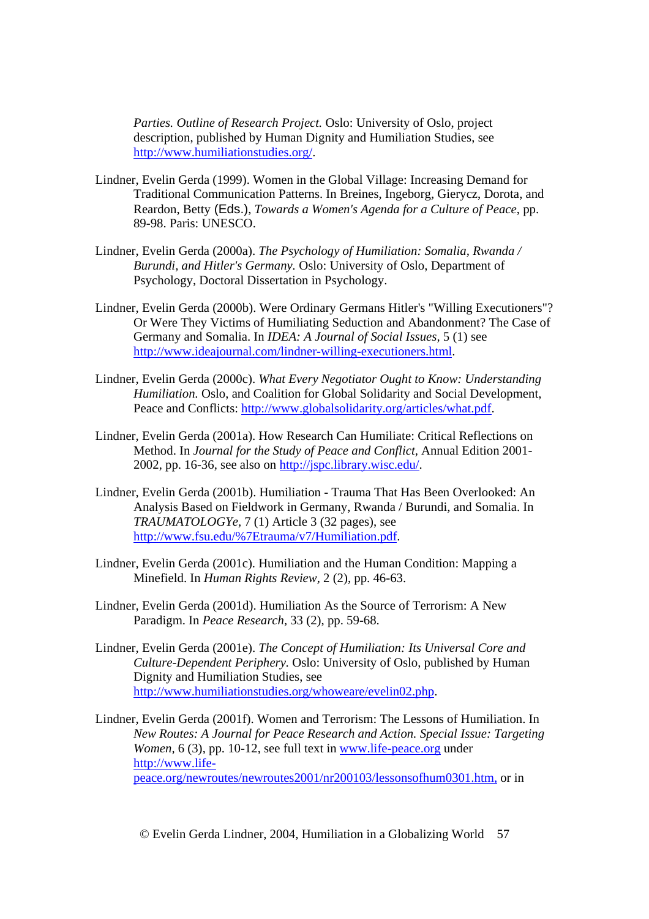*Parties. Outline of Research Project.* Oslo: University of Oslo, project description, published by Human Dignity and Humiliation Studies, see http://www.humiliationstudies.org/.

- Lindner, Evelin Gerda (1999). Women in the Global Village: Increasing Demand for Traditional Communication Patterns. In Breines, Ingeborg, Gierycz, Dorota, and Reardon, Betty (Eds.), *Towards a Women's Agenda for a Culture of Peace*, pp. 89-98. Paris: UNESCO.
- Lindner, Evelin Gerda (2000a). *The Psychology of Humiliation: Somalia, Rwanda / Burundi, and Hitler's Germany.* Oslo: University of Oslo, Department of Psychology, Doctoral Dissertation in Psychology.
- Lindner, Evelin Gerda (2000b). Were Ordinary Germans Hitler's "Willing Executioners"? Or Were They Victims of Humiliating Seduction and Abandonment? The Case of Germany and Somalia. In *IDEA: A Journal of Social Issues,* 5 (1) see http://www.ideajournal.com/lindner-willing-executioners.html.
- Lindner, Evelin Gerda (2000c). *What Every Negotiator Ought to Know: Understanding Humiliation.* Oslo, and Coalition for Global Solidarity and Social Development, Peace and Conflicts: http://www.globalsolidarity.org/articles/what.pdf.
- Lindner, Evelin Gerda (2001a). How Research Can Humiliate: Critical Reflections on Method. In *Journal for the Study of Peace and Conflict,* Annual Edition 2001- 2002, pp. 16-36, see also on http://jspc.library.wisc.edu/.
- Lindner, Evelin Gerda (2001b). Humiliation Trauma That Has Been Overlooked: An Analysis Based on Fieldwork in Germany, Rwanda / Burundi, and Somalia. In *TRAUMATOLOGYe,* 7 (1) Article 3 (32 pages), see http://www.fsu.edu/%7Etrauma/v7/Humiliation.pdf.
- Lindner, Evelin Gerda (2001c). Humiliation and the Human Condition: Mapping a Minefield. In *Human Rights Review,* 2 (2), pp. 46-63.
- Lindner, Evelin Gerda (2001d). Humiliation As the Source of Terrorism: A New Paradigm. In *Peace Research,* 33 (2), pp. 59-68.
- Lindner, Evelin Gerda (2001e). *The Concept of Humiliation: Its Universal Core and Culture-Dependent Periphery.* Oslo: University of Oslo, published by Human Dignity and Humiliation Studies, see http://www.humiliationstudies.org/whoweare/evelin02.php.
- Lindner, Evelin Gerda (2001f). Women and Terrorism: The Lessons of Humiliation. In *New Routes: A Journal for Peace Research and Action. Special Issue: Targeting Women,* 6 (3), pp. 10-12, see full text in www.life-peace.org under http://www.lifepeace.org/newroutes/newroutes2001/nr200103/lessonsofhum0301.htm, or in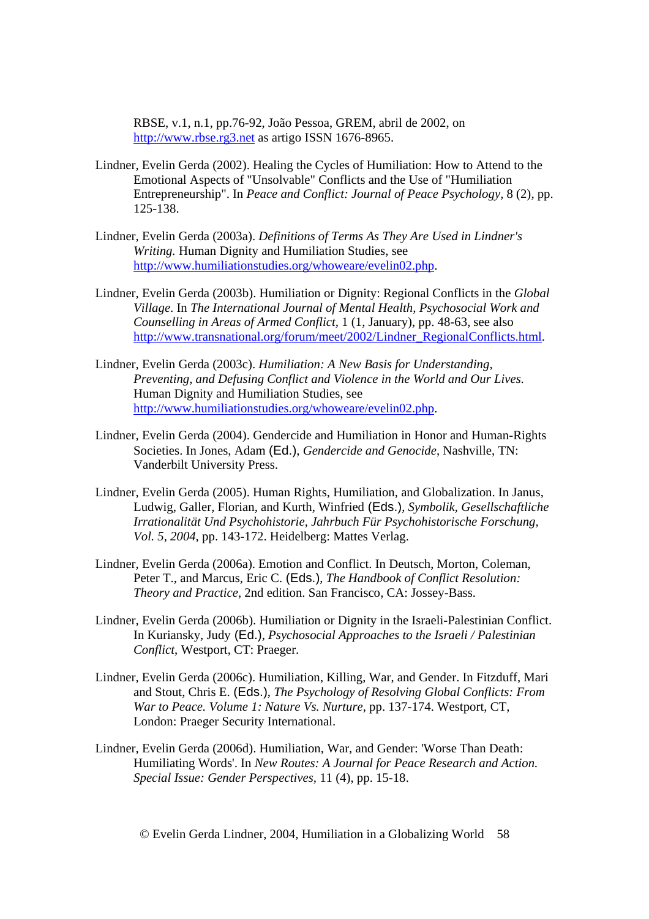RBSE, v.1, n.1, pp.76-92, João Pessoa, GREM, abril de 2002, on http://www.rbse.rg3.net as artigo ISSN 1676-8965.

- Lindner, Evelin Gerda (2002). Healing the Cycles of Humiliation: How to Attend to the Emotional Aspects of "Unsolvable" Conflicts and the Use of "Humiliation Entrepreneurship". In *Peace and Conflict: Journal of Peace Psychology,* 8 (2), pp. 125-138.
- Lindner, Evelin Gerda (2003a). *Definitions of Terms As They Are Used in Lindner's Writing.* Human Dignity and Humiliation Studies, see http://www.humiliationstudies.org/whoweare/evelin02.php.
- Lindner, Evelin Gerda (2003b). Humiliation or Dignity: Regional Conflicts in the *Global Village*. In *The International Journal of Mental Health, Psychosocial Work and Counselling in Areas of Armed Conflict,* 1 (1, January), pp. 48-63, see also http://www.transnational.org/forum/meet/2002/Lindner\_RegionalConflicts.html.
- Lindner, Evelin Gerda (2003c). *Humiliation: A New Basis for Understanding, Preventing, and Defusing Conflict and Violence in the World and Our Lives.*  Human Dignity and Humiliation Studies, see http://www.humiliationstudies.org/whoweare/evelin02.php.
- Lindner, Evelin Gerda (2004). Gendercide and Humiliation in Honor and Human-Rights Societies. In Jones, Adam (Ed.), *Gendercide and Genocide*, Nashville, TN: Vanderbilt University Press.
- Lindner, Evelin Gerda (2005). Human Rights, Humiliation, and Globalization. In Janus, Ludwig, Galler, Florian, and Kurth, Winfried (Eds.), *Symbolik, Gesellschaftliche Irrationalität Und Psychohistorie, Jahrbuch Für Psychohistorische Forschung, Vol. 5, 2004*, pp. 143-172. Heidelberg: Mattes Verlag.
- Lindner, Evelin Gerda (2006a). Emotion and Conflict. In Deutsch, Morton, Coleman, Peter T., and Marcus, Eric C. (Eds.), *The Handbook of Conflict Resolution: Theory and Practice*, 2nd edition. San Francisco, CA: Jossey-Bass.
- Lindner, Evelin Gerda (2006b). Humiliation or Dignity in the Israeli-Palestinian Conflict. In Kuriansky, Judy (Ed.), *Psychosocial Approaches to the Israeli / Palestinian Conflict*, Westport, CT: Praeger.
- Lindner, Evelin Gerda (2006c). Humiliation, Killing, War, and Gender. In Fitzduff, Mari and Stout, Chris E. (Eds.), *The Psychology of Resolving Global Conflicts: From War to Peace. Volume 1: Nature Vs. Nurture*, pp. 137-174. Westport, CT, London: Praeger Security International.
- Lindner, Evelin Gerda (2006d). Humiliation, War, and Gender: 'Worse Than Death: Humiliating Words'. In *New Routes: A Journal for Peace Research and Action. Special Issue: Gender Perspectives,* 11 (4), pp. 15-18.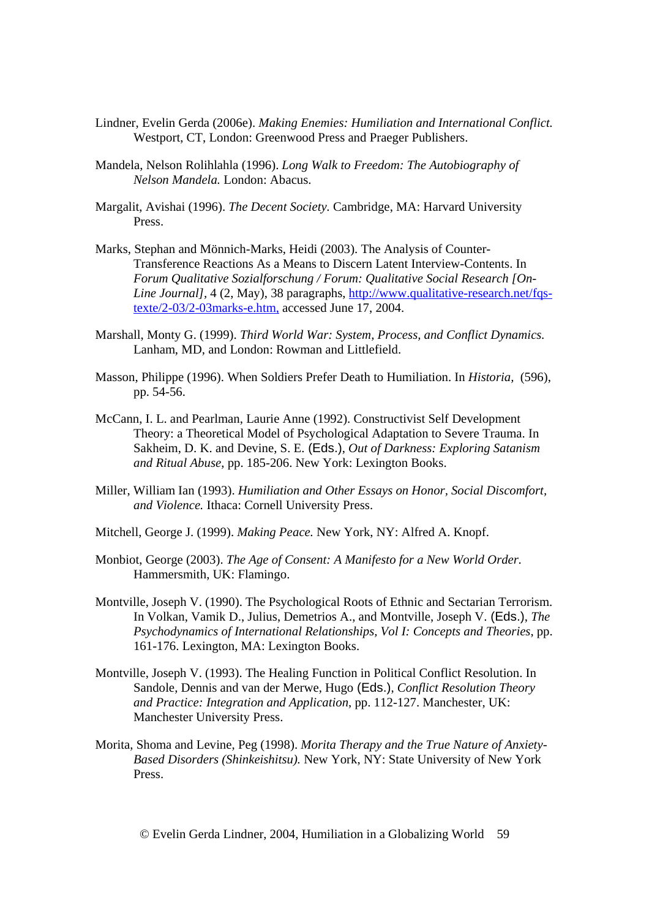- Lindner, Evelin Gerda (2006e). *Making Enemies: Humiliation and International Conflict.*  Westport, CT, London: Greenwood Press and Praeger Publishers.
- Mandela, Nelson Rolihlahla (1996). *Long Walk to Freedom: The Autobiography of Nelson Mandela.* London: Abacus.
- Margalit, Avishai (1996). *The Decent Society.* Cambridge, MA: Harvard University Press.
- Marks, Stephan and Mönnich-Marks, Heidi (2003). The Analysis of Counter-Transference Reactions As a Means to Discern Latent Interview-Contents. In *Forum Qualitative Sozialforschung / Forum: Qualitative Social Research [On-Line Journal],* 4 (2, May), 38 paragraphs, http://www.qualitative-research.net/fqstexte/2-03/2-03marks-e.htm, accessed June 17, 2004.
- Marshall, Monty G. (1999). *Third World War: System, Process, and Conflict Dynamics.*  Lanham, MD, and London: Rowman and Littlefield.
- Masson, Philippe (1996). When Soldiers Prefer Death to Humiliation. In *Historia,* (596), pp. 54-56.
- McCann, I. L. and Pearlman, Laurie Anne (1992). Constructivist Self Development Theory: a Theoretical Model of Psychological Adaptation to Severe Trauma. In Sakheim, D. K. and Devine, S. E. (Eds.), *Out of Darkness: Exploring Satanism and Ritual Abuse*, pp. 185-206. New York: Lexington Books.
- Miller, William Ian (1993). *Humiliation and Other Essays on Honor, Social Discomfort, and Violence.* Ithaca: Cornell University Press.
- Mitchell, George J. (1999). *Making Peace.* New York, NY: Alfred A. Knopf.
- Monbiot, George (2003). *The Age of Consent: A Manifesto for a New World Order.*  Hammersmith, UK: Flamingo.
- Montville, Joseph V. (1990). The Psychological Roots of Ethnic and Sectarian Terrorism. In Volkan, Vamik D., Julius, Demetrios A., and Montville, Joseph V. (Eds.), *The Psychodynamics of International Relationships, Vol I: Concepts and Theories*, pp. 161-176. Lexington, MA: Lexington Books.
- Montville, Joseph V. (1993). The Healing Function in Political Conflict Resolution. In Sandole, Dennis and van der Merwe, Hugo (Eds.), *Conflict Resolution Theory and Practice: Integration and Application*, pp. 112-127. Manchester, UK: Manchester University Press.
- Morita, Shoma and Levine, Peg (1998). *Morita Therapy and the True Nature of Anxiety-Based Disorders (Shinkeishitsu).* New York, NY: State University of New York Press.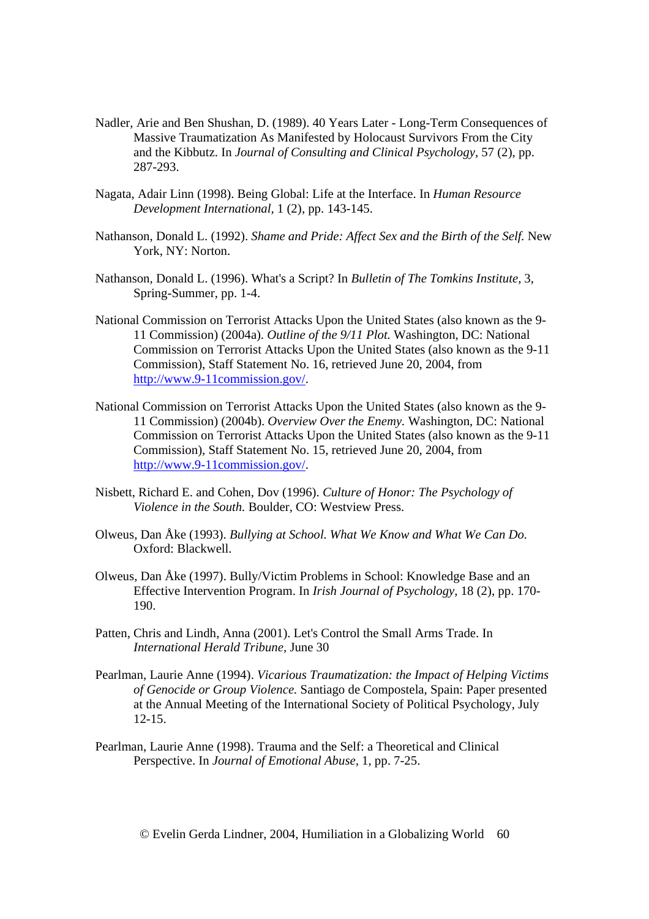- Nadler, Arie and Ben Shushan, D. (1989). 40 Years Later Long-Term Consequences of Massive Traumatization As Manifested by Holocaust Survivors From the City and the Kibbutz. In *Journal of Consulting and Clinical Psychology,* 57 (2), pp. 287-293.
- Nagata, Adair Linn (1998). Being Global: Life at the Interface. In *Human Resource Development International,* 1 (2), pp. 143-145.
- Nathanson, Donald L. (1992). *Shame and Pride: Affect Sex and the Birth of the Self.* New York, NY: Norton.
- Nathanson, Donald L. (1996). What's a Script? In *Bulletin of The Tomkins Institute,* 3, Spring-Summer, pp. 1-4.
- National Commission on Terrorist Attacks Upon the United States (also known as the 9- 11 Commission) (2004a). *Outline of the 9/11 Plot.* Washington, DC: National Commission on Terrorist Attacks Upon the United States (also known as the 9-11 Commission), Staff Statement No. 16, retrieved June 20, 2004, from http://www.9-11commission.gov/.
- National Commission on Terrorist Attacks Upon the United States (also known as the 9- 11 Commission) (2004b). *Overview Over the Enemy.* Washington, DC: National Commission on Terrorist Attacks Upon the United States (also known as the 9-11 Commission), Staff Statement No. 15, retrieved June 20, 2004, from http://www.9-11commission.gov/.
- Nisbett, Richard E. and Cohen, Dov (1996). *Culture of Honor: The Psychology of Violence in the South.* Boulder, CO: Westview Press.
- Olweus, Dan Åke (1993). *Bullying at School. What We Know and What We Can Do.*  Oxford: Blackwell.
- Olweus, Dan Åke (1997). Bully/Victim Problems in School: Knowledge Base and an Effective Intervention Program. In *Irish Journal of Psychology,* 18 (2), pp. 170- 190.
- Patten, Chris and Lindh, Anna (2001). Let's Control the Small Arms Trade. In *International Herald Tribune,* June 30
- Pearlman, Laurie Anne (1994). *Vicarious Traumatization: the Impact of Helping Victims of Genocide or Group Violence.* Santiago de Compostela, Spain: Paper presented at the Annual Meeting of the International Society of Political Psychology, July 12-15.
- Pearlman, Laurie Anne (1998). Trauma and the Self: a Theoretical and Clinical Perspective. In *Journal of Emotional Abuse,* 1, pp. 7-25.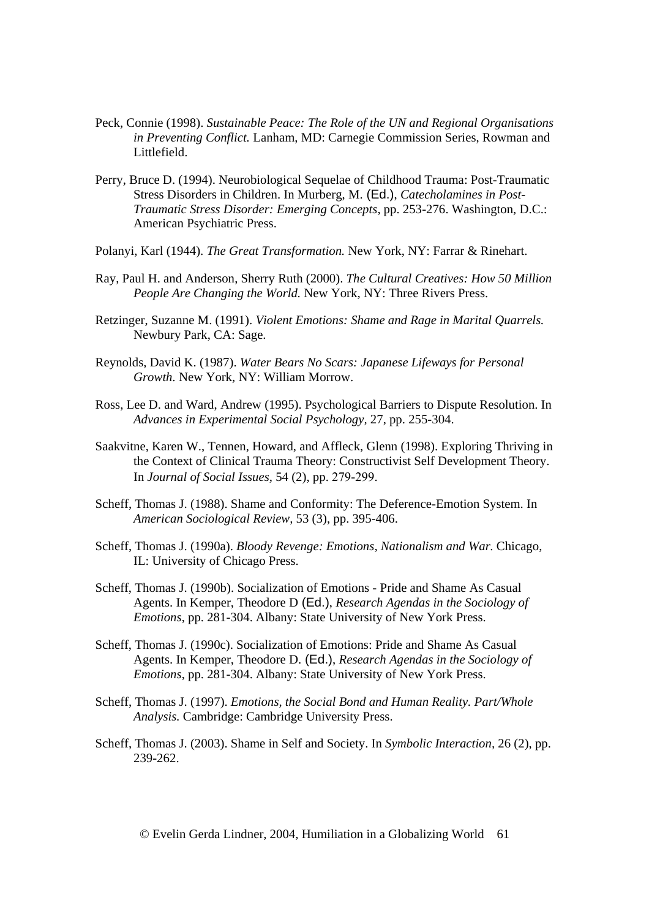- Peck, Connie (1998). *Sustainable Peace: The Role of the UN and Regional Organisations in Preventing Conflict.* Lanham, MD: Carnegie Commission Series, Rowman and Littlefield.
- Perry, Bruce D. (1994). Neurobiological Sequelae of Childhood Trauma: Post-Traumatic Stress Disorders in Children. In Murberg, M. (Ed.), *Catecholamines in Post-Traumatic Stress Disorder: Emerging Concepts*, pp. 253-276. Washington, D.C.: American Psychiatric Press.
- Polanyi, Karl (1944). *The Great Transformation.* New York, NY: Farrar & Rinehart.
- Ray, Paul H. and Anderson, Sherry Ruth (2000). *The Cultural Creatives: How 50 Million People Are Changing the World.* New York, NY: Three Rivers Press.
- Retzinger, Suzanne M. (1991). *Violent Emotions: Shame and Rage in Marital Quarrels.*  Newbury Park, CA: Sage.
- Reynolds, David K. (1987). *Water Bears No Scars: Japanese Lifeways for Personal Growth.* New York, NY: William Morrow.
- Ross, Lee D. and Ward, Andrew (1995). Psychological Barriers to Dispute Resolution. In *Advances in Experimental Social Psychology,* 27, pp. 255-304.
- Saakvitne, Karen W., Tennen, Howard, and Affleck, Glenn (1998). Exploring Thriving in the Context of Clinical Trauma Theory: Constructivist Self Development Theory. In *Journal of Social Issues,* 54 (2), pp. 279-299.
- Scheff, Thomas J. (1988). Shame and Conformity: The Deference-Emotion System. In *American Sociological Review,* 53 (3), pp. 395-406.
- Scheff, Thomas J. (1990a). *Bloody Revenge: Emotions, Nationalism and War.* Chicago, IL: University of Chicago Press.
- Scheff, Thomas J. (1990b). Socialization of Emotions Pride and Shame As Casual Agents. In Kemper, Theodore D (Ed.), *Research Agendas in the Sociology of Emotions*, pp. 281-304. Albany: State University of New York Press.
- Scheff, Thomas J. (1990c). Socialization of Emotions: Pride and Shame As Casual Agents. In Kemper, Theodore D. (Ed.), *Research Agendas in the Sociology of Emotions*, pp. 281-304. Albany: State University of New York Press.
- Scheff, Thomas J. (1997). *Emotions, the Social Bond and Human Reality. Part/Whole Analysis.* Cambridge: Cambridge University Press.
- Scheff, Thomas J. (2003). Shame in Self and Society. In *Symbolic Interaction,* 26 (2), pp. 239-262.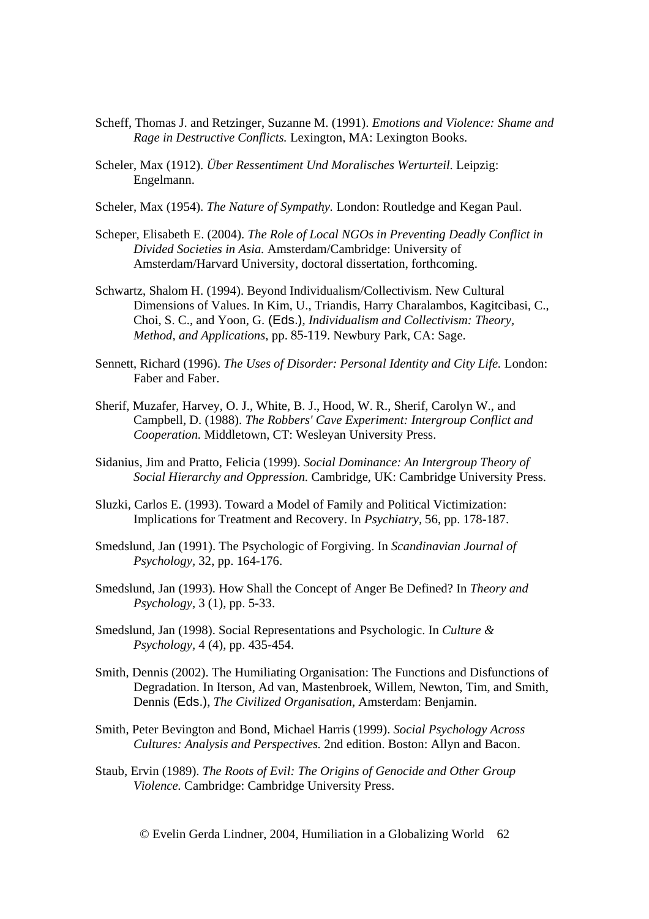- Scheff, Thomas J. and Retzinger, Suzanne M. (1991). *Emotions and Violence: Shame and Rage in Destructive Conflicts.* Lexington, MA: Lexington Books.
- Scheler, Max (1912). *Über Ressentiment Und Moralisches Werturteil.* Leipzig: Engelmann.
- Scheler, Max (1954). *The Nature of Sympathy.* London: Routledge and Kegan Paul.
- Scheper, Elisabeth E. (2004). *The Role of Local NGOs in Preventing Deadly Conflict in Divided Societies in Asia.* Amsterdam/Cambridge: University of Amsterdam/Harvard University, doctoral dissertation, forthcoming.
- Schwartz, Shalom H. (1994). Beyond Individualism/Collectivism. New Cultural Dimensions of Values. In Kim, U., Triandis, Harry Charalambos, Kagitcibasi, C., Choi, S. C., and Yoon, G. (Eds.), *Individualism and Collectivism: Theory, Method, and Applications*, pp. 85-119. Newbury Park, CA: Sage.
- Sennett, Richard (1996). *The Uses of Disorder: Personal Identity and City Life.* London: Faber and Faber.
- Sherif, Muzafer, Harvey, O. J., White, B. J., Hood, W. R., Sherif, Carolyn W., and Campbell, D. (1988). *The Robbers' Cave Experiment: Intergroup Conflict and Cooperation.* Middletown, CT: Wesleyan University Press.
- Sidanius, Jim and Pratto, Felicia (1999). *Social Dominance: An Intergroup Theory of Social Hierarchy and Oppression.* Cambridge, UK: Cambridge University Press.
- Sluzki, Carlos E. (1993). Toward a Model of Family and Political Victimization: Implications for Treatment and Recovery. In *Psychiatry,* 56, pp. 178-187.
- Smedslund, Jan (1991). The Psychologic of Forgiving. In *Scandinavian Journal of Psychology,* 32, pp. 164-176.
- Smedslund, Jan (1993). How Shall the Concept of Anger Be Defined? In *Theory and Psychology,* 3 (1), pp. 5-33.
- Smedslund, Jan (1998). Social Representations and Psychologic. In *Culture & Psychology,* 4 (4), pp. 435-454.
- Smith, Dennis (2002). The Humiliating Organisation: The Functions and Disfunctions of Degradation. In Iterson, Ad van, Mastenbroek, Willem, Newton, Tim, and Smith, Dennis (Eds.), *The Civilized Organisation*, Amsterdam: Benjamin.
- Smith, Peter Bevington and Bond, Michael Harris (1999). *Social Psychology Across Cultures: Analysis and Perspectives.* 2nd edition. Boston: Allyn and Bacon.
- Staub, Ervin (1989). *The Roots of Evil: The Origins of Genocide and Other Group Violence.* Cambridge: Cambridge University Press.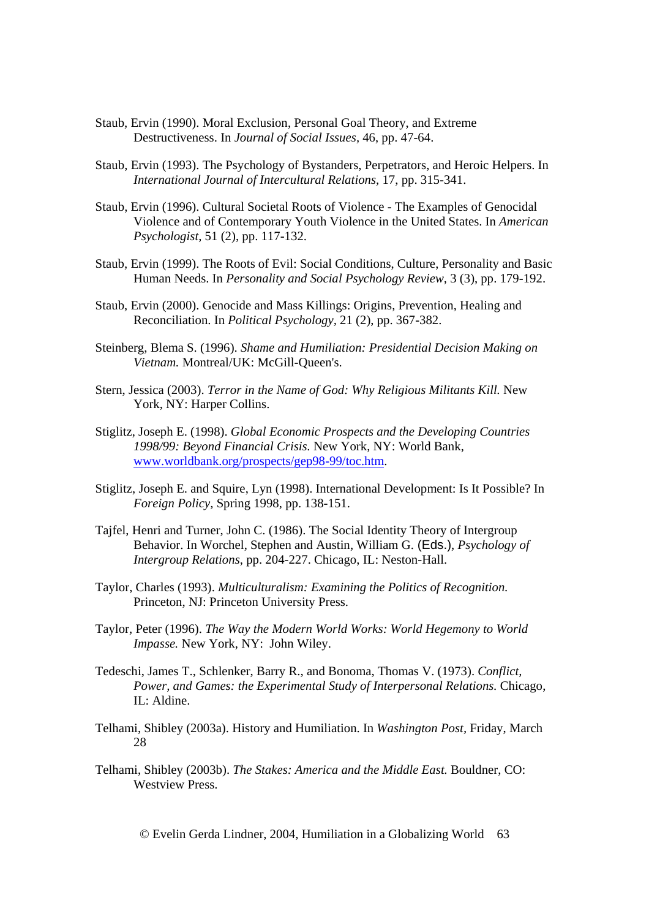- Staub, Ervin (1990). Moral Exclusion, Personal Goal Theory, and Extreme Destructiveness. In *Journal of Social Issues,* 46, pp. 47-64.
- Staub, Ervin (1993). The Psychology of Bystanders, Perpetrators, and Heroic Helpers. In *International Journal of Intercultural Relations,* 17, pp. 315-341.
- Staub, Ervin (1996). Cultural Societal Roots of Violence The Examples of Genocidal Violence and of Contemporary Youth Violence in the United States. In *American Psychologist,* 51 (2), pp. 117-132.
- Staub, Ervin (1999). The Roots of Evil: Social Conditions, Culture, Personality and Basic Human Needs. In *Personality and Social Psychology Review,* 3 (3), pp. 179-192.
- Staub, Ervin (2000). Genocide and Mass Killings: Origins, Prevention, Healing and Reconciliation. In *Political Psychology,* 21 (2), pp. 367-382.
- Steinberg, Blema S. (1996). *Shame and Humiliation: Presidential Decision Making on Vietnam.* Montreal/UK: McGill-Queen's.
- Stern, Jessica (2003). *Terror in the Name of God: Why Religious Militants Kill.* New York, NY: Harper Collins.
- Stiglitz, Joseph E. (1998). *Global Economic Prospects and the Developing Countries 1998/99: Beyond Financial Crisis.* New York, NY: World Bank, www.worldbank.org/prospects/gep98-99/toc.htm.
- Stiglitz, Joseph E. and Squire, Lyn (1998). International Development: Is It Possible? In *Foreign Policy,* Spring 1998, pp. 138-151.
- Tajfel, Henri and Turner, John C. (1986). The Social Identity Theory of Intergroup Behavior. In Worchel, Stephen and Austin, William G. (Eds.), *Psychology of Intergroup Relations*, pp. 204-227. Chicago, IL: Neston-Hall.
- Taylor, Charles (1993). *Multiculturalism: Examining the Politics of Recognition.*  Princeton, NJ: Princeton University Press.
- Taylor, Peter (1996). *The Way the Modern World Works: World Hegemony to World Impasse.* New York, NY: John Wiley.
- Tedeschi, James T., Schlenker, Barry R., and Bonoma, Thomas V. (1973). *Conflict, Power, and Games: the Experimental Study of Interpersonal Relations.* Chicago, IL: Aldine.
- Telhami, Shibley (2003a). History and Humiliation. In *Washington Post,* Friday, March 28
- Telhami, Shibley (2003b). *The Stakes: America and the Middle East.* Bouldner, CO: Westview Press.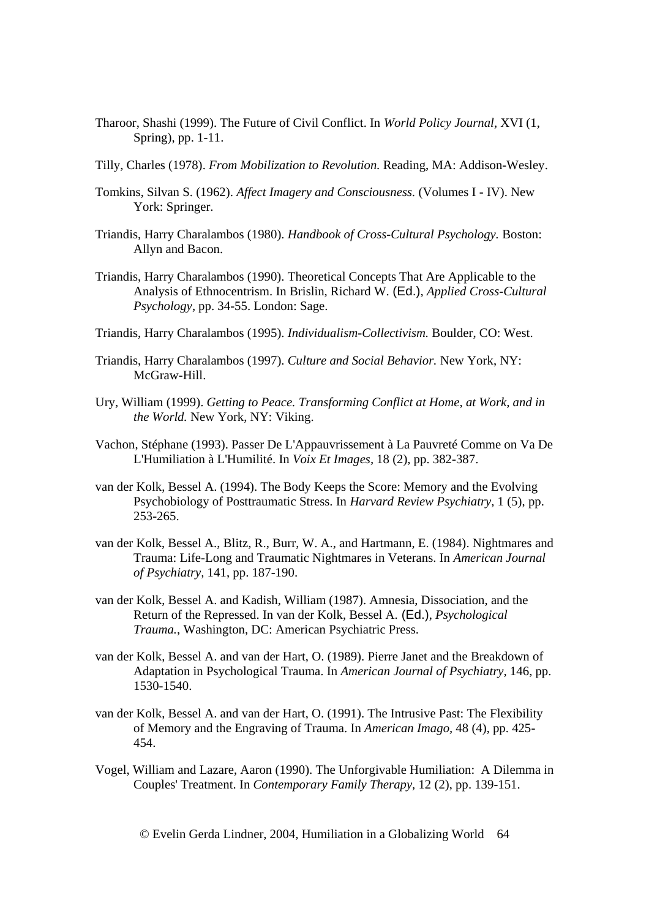- Tharoor, Shashi (1999). The Future of Civil Conflict. In *World Policy Journal,* XVI (1, Spring), pp. 1-11.
- Tilly, Charles (1978). *From Mobilization to Revolution.* Reading, MA: Addison-Wesley.
- Tomkins, Silvan S. (1962). *Affect Imagery and Consciousness.* (Volumes I IV). New York: Springer.
- Triandis, Harry Charalambos (1980). *Handbook of Cross-Cultural Psychology.* Boston: Allyn and Bacon.
- Triandis, Harry Charalambos (1990). Theoretical Concepts That Are Applicable to the Analysis of Ethnocentrism. In Brislin, Richard W. (Ed.), *Applied Cross-Cultural Psychology*, pp. 34-55. London: Sage.
- Triandis, Harry Charalambos (1995). *Individualism-Collectivism.* Boulder, CO: West.
- Triandis, Harry Charalambos (1997). *Culture and Social Behavior.* New York, NY: McGraw-Hill.
- Ury, William (1999). *Getting to Peace. Transforming Conflict at Home, at Work, and in the World.* New York, NY: Viking.
- Vachon, Stéphane (1993). Passer De L'Appauvrissement à La Pauvreté Comme on Va De L'Humiliation à L'Humilité. In *Voix Et Images,* 18 (2), pp. 382-387.
- van der Kolk, Bessel A. (1994). The Body Keeps the Score: Memory and the Evolving Psychobiology of Posttraumatic Stress. In *Harvard Review Psychiatry,* 1 (5), pp. 253-265.
- van der Kolk, Bessel A., Blitz, R., Burr, W. A., and Hartmann, E. (1984). Nightmares and Trauma: Life-Long and Traumatic Nightmares in Veterans. In *American Journal of Psychiatry,* 141, pp. 187-190.
- van der Kolk, Bessel A. and Kadish, William (1987). Amnesia, Dissociation, and the Return of the Repressed. In van der Kolk, Bessel A. (Ed.), *Psychological Trauma.*, Washington, DC: American Psychiatric Press.
- van der Kolk, Bessel A. and van der Hart, O. (1989). Pierre Janet and the Breakdown of Adaptation in Psychological Trauma. In *American Journal of Psychiatry,* 146, pp. 1530-1540.
- van der Kolk, Bessel A. and van der Hart, O. (1991). The Intrusive Past: The Flexibility of Memory and the Engraving of Trauma. In *American Imago,* 48 (4), pp. 425- 454.
- Vogel, William and Lazare, Aaron (1990). The Unforgivable Humiliation: A Dilemma in Couples' Treatment. In *Contemporary Family Therapy,* 12 (2), pp. 139-151.